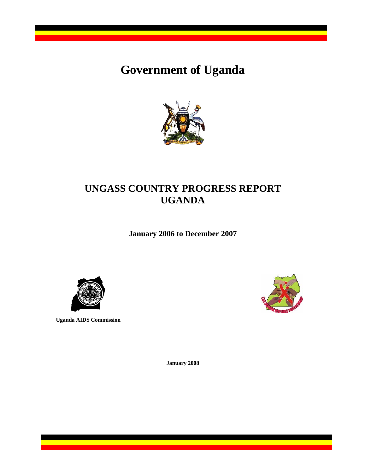# **Government of Uganda**



## **UNGASS COUNTRY PROGRESS REPORT UGANDA**

**January 2006 to December 2007**



**Uganda AIDS Commission** 



**January 2008**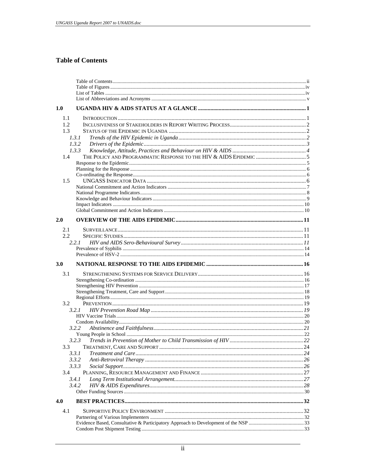## **Table of Contents**

| 1.0     |       |  |
|---------|-------|--|
| 1.1     |       |  |
| 1.2     |       |  |
| 1.3     |       |  |
|         | 1.3.1 |  |
|         | 1.3.2 |  |
|         | 1.3.3 |  |
| 1.4     |       |  |
|         |       |  |
|         |       |  |
|         |       |  |
| 1.5     |       |  |
|         |       |  |
|         |       |  |
|         |       |  |
|         |       |  |
|         |       |  |
| 2.0     |       |  |
| 2.1     |       |  |
| $2.2\,$ |       |  |
|         | 2.2.1 |  |
|         |       |  |
|         |       |  |
|         |       |  |
| 3.0     |       |  |
|         |       |  |
| 3.1     |       |  |
|         |       |  |
|         |       |  |
|         |       |  |
|         |       |  |
| 3.2     |       |  |
|         | 3.2.1 |  |
|         |       |  |
|         | 3.2.2 |  |
|         |       |  |
|         | 3.2.3 |  |
|         |       |  |
|         | 3.3.1 |  |
|         | 3.3.2 |  |
|         | 3.3.3 |  |
| 3.4     |       |  |
|         | 3.4.1 |  |
|         | 3.4.2 |  |
|         |       |  |
| 4.0     |       |  |
| 4.1     |       |  |
|         |       |  |
|         |       |  |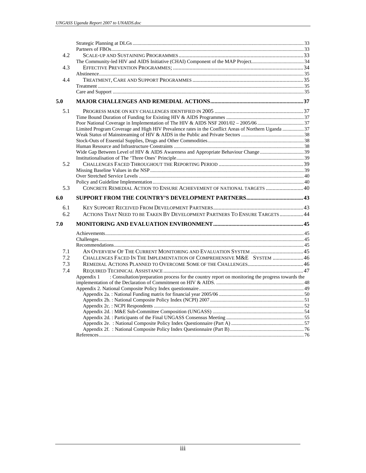| 4.2 |                                                                                                                |  |
|-----|----------------------------------------------------------------------------------------------------------------|--|
|     |                                                                                                                |  |
| 4.3 |                                                                                                                |  |
|     |                                                                                                                |  |
| 4.4 |                                                                                                                |  |
|     |                                                                                                                |  |
|     |                                                                                                                |  |
| 5.0 |                                                                                                                |  |
| 5.1 |                                                                                                                |  |
|     |                                                                                                                |  |
|     |                                                                                                                |  |
|     | Limited Program Coverage and High HIV Prevalence rates in the Conflict Areas of Northern Uganda  37            |  |
|     |                                                                                                                |  |
|     |                                                                                                                |  |
|     |                                                                                                                |  |
|     |                                                                                                                |  |
|     |                                                                                                                |  |
| 5.2 |                                                                                                                |  |
|     |                                                                                                                |  |
|     |                                                                                                                |  |
|     |                                                                                                                |  |
| 5.3 | CONCRETE REMEDIAL ACTION TO ENSURE ACHIEVEMENT OF NATIONAL TARGETS  40                                         |  |
| 6.0 |                                                                                                                |  |
| 6.1 |                                                                                                                |  |
| 6.2 | ACTIONS THAT NEED TO BE TAKEN BY DEVELOPMENT PARTNERS TO ENSURE TARGETS  44                                    |  |
|     |                                                                                                                |  |
| 7.0 |                                                                                                                |  |
|     |                                                                                                                |  |
|     |                                                                                                                |  |
|     |                                                                                                                |  |
| 7.1 |                                                                                                                |  |
| 7.2 | CHALLENGES FACED IN THE IMPLEMENTATION OF COMPREHENSIVE M&E SYSTEM  46                                         |  |
| 7.3 |                                                                                                                |  |
| 7.4 |                                                                                                                |  |
|     | : Consultation/preparation process for the country report on monitoring the progress towards the<br>Appendix 1 |  |
|     |                                                                                                                |  |
|     |                                                                                                                |  |
|     |                                                                                                                |  |
|     |                                                                                                                |  |
|     |                                                                                                                |  |
|     |                                                                                                                |  |
|     |                                                                                                                |  |
|     |                                                                                                                |  |
|     |                                                                                                                |  |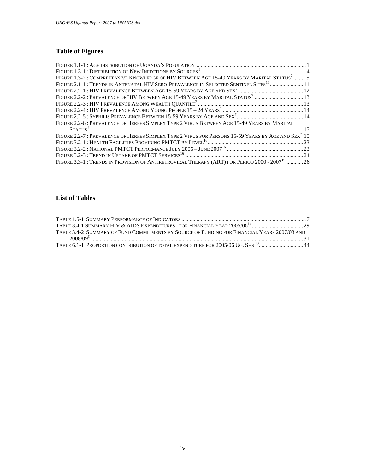## **Table of Figures**

| FIGURE 1.3-2 : COMPREHENSIVE KNOWLEDGE OF HIV BETWEEN AGE 15-49 YEARS BY MARITAL STATUS <sup>7</sup> 5         |  |
|----------------------------------------------------------------------------------------------------------------|--|
| FIGURE 2.1-1: TRENDS IN ANTENATAL HIV SERO-PREVALENCE IN SELECTED SENTINEL SITES <sup>15</sup> 11              |  |
|                                                                                                                |  |
|                                                                                                                |  |
|                                                                                                                |  |
|                                                                                                                |  |
|                                                                                                                |  |
| FIGURE 2.2-6: PREVALENCE OF HERPES SIMPLEX TYPE 2 VIRUS BETWEEN AGE 15-49 YEARS BY MARITAL                     |  |
| S1471037                                                                                                       |  |
| FIGURE 2.2-7: PREVALENCE OF HERPES SIMPLEX TYPE 2 VIRUS FOR PERSONS 15-59 YEARS BY AGE AND SEX <sup>7</sup> 15 |  |
|                                                                                                                |  |
|                                                                                                                |  |
|                                                                                                                |  |
| FIGURE 3.3-1 : TRENDS IN PROVISION OF ANTIRETROVIRAL THERAPY (ART) FOR PERIOD 2000 - 2007 <sup>19</sup> 26     |  |

## **List of Tables**

| TABLE 3.4-2. SUMMARY OF FUND COMMITMENTS BY SOURCE OF FUNDING FOR FINANCIAL YEARS 2007/08 AND |  |
|-----------------------------------------------------------------------------------------------|--|
|                                                                                               |  |
| TABLE 6.1-1 PROPORTION CONTRIBUTION OF TOTAL EXPENDITURE FOR 2005/06 UG. SHS <sup>13</sup> 44 |  |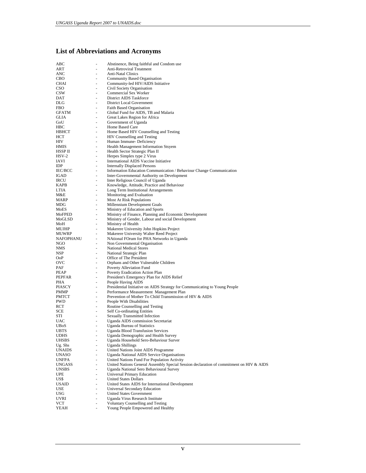## **List of Abbreviations and Acronyms**

| ABC<br>ART             | $\overline{a}$               | Abstinence, Being faithful and Condom use                                               |
|------------------------|------------------------------|-----------------------------------------------------------------------------------------|
|                        |                              | <b>Anti-Retroviral Treatment</b>                                                        |
| ANC                    |                              | <b>Anti-Natal Clinics</b>                                                               |
| CBO                    | ٠                            | <b>Community Based Organisation</b>                                                     |
| CHAI                   |                              | Community-led HIV/AIDS Initiative                                                       |
| CSO<br>CSW             | ٠<br>٠                       | Civil Society Organisation<br><b>Commercial Sex Worker</b>                              |
| DAT                    |                              | District AIDS Taskforce                                                                 |
| DLG                    | ÷                            | District Local Government                                                               |
| FBO                    | ٠                            | <b>Faith Based Organisation</b>                                                         |
| <b>GFATM</b>           | ٠                            | Global Fund for AIDS, TB and Malaria                                                    |
| GLIA                   | ÷.                           | Great Lakes Region for Africa                                                           |
| GoU                    |                              | Government of Uganda                                                                    |
| <b>HBC</b>             | ٠                            | Home Based Care                                                                         |
| НВНСТ                  |                              | Home Based HIV Counselling and Testing                                                  |
| НСТ                    | ÷,                           | HIV Counselling and Testing                                                             |
| HIV                    | ٠                            | Human Immune-Deficiency                                                                 |
| HMIS                   |                              | Health Management Information Stsyem                                                    |
| HSSP II                | ÷,                           | Health Sector Strategic Plan II                                                         |
| $HSV-2$                | ÷,                           | Herpes Simplex type 2 Virus                                                             |
| IAVI                   | $\qquad \qquad \blacksquare$ | International AIDS Vaccine Initiative                                                   |
| IDP                    | $\overline{a}$               | <b>Internally Displaced Persons</b>                                                     |
| <b>IEC/BCC</b>         | $\overline{\phantom{a}}$     | Information Education Communication / Behaviour Change Communication                    |
| IGAD                   | ٠                            | Inter-Governmental Authority on Development                                             |
| <b>IRCU</b>            |                              | Inter Religious Council of Uganda                                                       |
| KAPB                   | ÷,                           | Knowledge, Attitude, Practice and Behaviour                                             |
| LTIA                   | ٠                            | Long Term Institutional Arrangements                                                    |
| M&E                    | -                            | Monitoring and Evaluation                                                               |
| MARP                   | $\overline{\phantom{a}}$     | <b>Most At Risk Populations</b>                                                         |
| MDG                    | ÷,                           | Millennium Development Goals                                                            |
| MoES                   | ٠                            | Ministry of Education and Sports                                                        |
| MoFPED                 | $\overline{\phantom{a}}$     | Ministry of Finance, Planning and Economic Development                                  |
| MoGLSD                 | ÷,                           | Ministry of Gender, Labour and social Development                                       |
| MoH                    | ٠                            | Ministry of Health                                                                      |
| MUJHP                  |                              | Makerere University John Hopkins Project                                                |
| MUWRP                  | ÷.                           | Makerere University Walter Reed Project                                                 |
| NAFOPHANU              | ÷,                           | NAtional FOrum for PHA Networks in Uganda                                               |
| NGO                    | $\qquad \qquad \blacksquare$ | Non Governmental Organisation                                                           |
| NMS                    | ÷.                           | <b>National Medical Stores</b>                                                          |
| NSP.                   | ÷,                           | National Strategic Plan                                                                 |
| OoP                    | ٠                            | Office of The President                                                                 |
| ovc                    |                              | Orphans and Other Vulnerable Children                                                   |
| PAF                    | ÷,                           | Poverty Alleviation Fund                                                                |
| PEAP                   | $\overline{\phantom{m}}$     | Poverty Eradication Action Plan                                                         |
| PEPFAR                 | ٠                            | President's Emergency Plan for AIDS Relief                                              |
| PHA                    | $\overline{\phantom{a}}$     | People Having AIDS                                                                      |
| PIASCY                 | ÷,                           | Presidential Initiative on AIDS Strategy for Communicating to Young People              |
| PMMP                   | $\overline{\phantom{a}}$     | Performance Measurement Management Plan                                                 |
| PMTCT                  | $\overline{\phantom{a}}$     | Prevention of Mother To Child Transmission of HIV & AIDS                                |
| PWD                    | ÷,                           | People With Disabilities                                                                |
| RCT                    |                              |                                                                                         |
| SCE                    | ٠                            |                                                                                         |
|                        | $\overline{\phantom{0}}$     | Routine Counselling and Testing                                                         |
|                        | ÷,                           | Self Co-ordinating Entities                                                             |
| STI<br>UAC             | $\overline{\phantom{m}}$     | <b>Sexually Transmitted Infection</b>                                                   |
|                        |                              | Uganda AIDS commission Secretariat                                                      |
| <b>UBoS</b>            | $\overline{\phantom{0}}$     | <b>Uganda Bureau of Statistics</b>                                                      |
| <b>UBTS</b>            | -                            | <b>Uganda Blood Transfusion Services</b>                                                |
| UDHS                   | ٠                            | Uganda Demographic and Health Survey                                                    |
| UHSBS                  |                              | Uganda Household Sero-Behaviour Surver<br><b>Uganda Shillings</b>                       |
| Ug. Shs                | ÷.                           | United Nations Joint AIDS Programme                                                     |
| UNAIDS<br><b>UNASO</b> | $\overline{\phantom{0}}$     | <b>Uganda National AIDS Service Organisations</b>                                       |
| <b>UNFPA</b>           |                              | United Nations Fund For Population Activity                                             |
| UNGASS                 | ÷.                           | United Nations General Assembly Special Session declaration of commitment on HIV & AIDS |
| <b>UNSBS</b>           | $\overline{\phantom{0}}$     | Uganda National Sero Behavioural Survey                                                 |
| <b>UPE</b>             | Ξ.                           | <b>Universal Primary Education</b>                                                      |
| US\$                   | $\bar{a}$                    | <b>United States Dollars</b>                                                            |
| <b>USAID</b>           | ä,                           | United States AIDS for International Development                                        |
| USE                    | Ξ.                           | <b>Universal Secondary Education</b>                                                    |
| USG                    |                              | <b>United States Government</b>                                                         |
| UVRI                   | $\bar{a}$                    | Uganda Virus Research Institute                                                         |
| VCT                    | ٠                            | <b>Voluntary Counselling and Testing</b><br>Young People Empowered and Healthy          |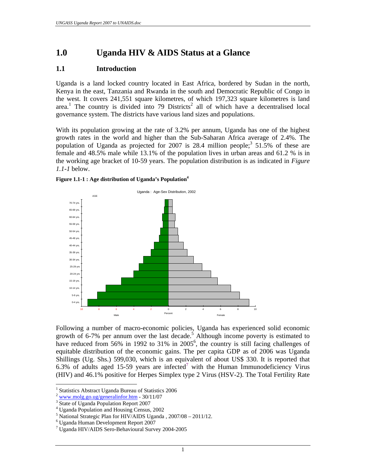## **1.0 Uganda HIV & AIDS Status at a Glance**

#### **1.1 Introduction**

Uganda is a land locked country located in East Africa, bordered by Sudan in the north, Kenya in the east, Tanzania and Rwanda in the south and Democratic Republic of Congo in the west. It covers 241,551 square kilometres, of which 197,323 square kilometres is land area.<sup>1</sup> The country is divided into 79 Districts<sup>2</sup> all of which have a decentralised local governance system. The districts have various land sizes and populations.

With its population growing at the rate of 3.2% per annum, Uganda has one of the highest growth rates in the world and higher than the Sub-Saharan Africa average of 2.4%. The population of Uganda as projected for 2007 is 28.4 million people;<sup>3</sup> 51.5% of these are female and 48.5% male while 13.1% of the population lives in urban areas and 61.2 % is in the working age bracket of 10-59 years. The population distribution is as indicated in *Figure 1.1-1* below.





Following a number of macro-economic policies, Uganda has experienced solid economic growth of 6-7% per annum over the last decade.<sup>5</sup> Although income poverty is estimated to have reduced from 56% in 1992 to 31% in  $2005^6$ , the country is still facing challenges of equitable distribution of the economic gains. The per capita GDP as of 2006 was Uganda Shillings (Ug. Shs.) 599,030, which is an equivalent of about US\$ 330. It is reported that 6.3% of adults aged 15-59 years are infected<sup>7</sup> with the Human Immunodeficiency Virus (HIV) and 46.1% positive for Herpes Simplex type 2 Virus (HSV-2). The Total Fertility Rate

<sup>&</sup>lt;sup>1</sup> Statistics Abstract Uganda Bureau of Statistics 2006

 $2$  www.molg.go.ug/generalinfor.htm - 30/11/07

<sup>&</sup>lt;sup>3</sup> State of Uganda Population Report 2007

<sup>4</sup> Uganda Population and Housing Census, 2002

<sup>5</sup> National Strategic Plan for HIV/AIDS Uganda , 2007/08 – 2011/12.

<sup>6</sup> Uganda Human Development Report 2007

<sup>7</sup> Uganda HIV/AIDS Sero-Behavioural Survey 2004-2005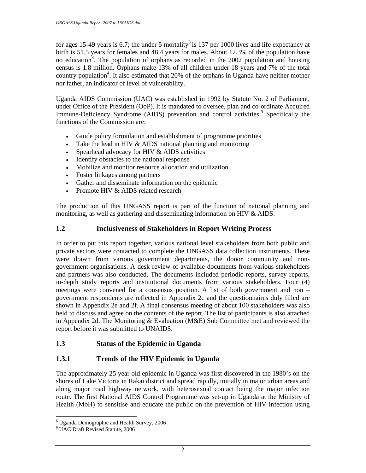for ages 15-49 years is 6.7; the under 5 mortality<sup>3</sup> is 137 per 1000 lives and life expectancy at birth is 51.5 years for females and 48.4 years for males. About 12.3% of the population have no education<sup>8</sup>. The population of orphans as recorded in the 2002 population and housing census is 1.8 million. Orphans make 13% of all children under 18 years and 7% of the total country population<sup>4</sup>. It also estimated that 20% of the orphans in Uganda have neither mother nor father, an indicator of level of vulnerability.

Uganda AIDS Commission (UAC) was established in 1992 by Statute No. 2 of Parliament, under Office of the President (OoP). It is mandated to oversee, plan and co-ordinate Acquired Immune-Deficiency Syndrome (AIDS) prevention and control activities.<sup>9</sup> Specifically the functions of the Commission are:

- Guide policy formulation and establishment of programme priorities
- Take the lead in HIV & AIDS national planning and monitoring
- Spearhead advocacy for HIV & AIDS activities
- Identify obstacles to the national response
- Mobilize and monitor resource allocation and utilization
- Foster linkages among partners
- Gather and disseminate information on the epidemic
- Promote HIV & AIDS related research

The production of this UNGASS report is part of the function of national planning and monitoring, as well as gathering and disseminating information on HIV & AIDS.

## **1.2 Inclusiveness of Stakeholders in Report Writing Process**

In order to put this report together, various national level stakeholders from both public and private sectors were contacted to complete the UNGASS data collection instruments. These were drawn from various government departments, the donor community and nongovernment organisations. A desk review of available documents from various stakeholders and partners was also conducted. The documents included periodic reports, survey reports, in-depth study reports and institutional documents from various stakeholders. Four (4) meetings were convened for a consensus position. A list of both government and non – government respondents are reflected in Appendix 2c and the questionnaires duly filled are shown in Appendix 2e and 2f. A final consensus meeting of about 100 stakeholders was also held to discuss and agree on the contents of the report. The list of participants is also attached in Appendix 2d. The Monitoring & Evaluation (M&E) Sub Committee met and reviewed the report before it was submitted to UNAIDS.

## **1.3 Status of the Epidemic in Uganda**

## **1.3.1 Trends of the HIV Epidemic in Uganda**

The approximately 25 year old epidemic in Uganda was first discovered in the 1980's on the shores of Lake Victoria in Rakai district and spread rapidly, initially in major urban areas and along major road highway network, with heterosexual contact being the major infection route. The first National AIDS Control Programme was set-up in Uganda at the Ministry of Health (MoH) to sensitise and educate the public on the prevention of HIV infection using

<sup>8</sup> Uganda Demographic and Health Survey, 2006

<sup>9</sup> UAC Draft Revised Statute, 2006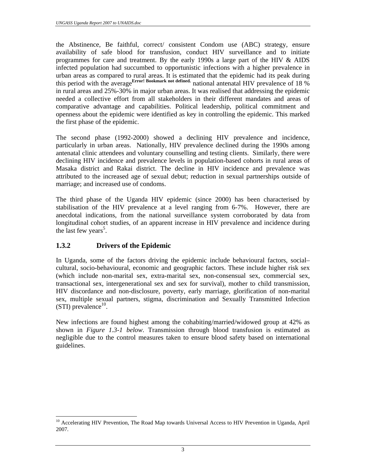the Abstinence, Be faithful, correct/ consistent Condom use (ABC) strategy, ensure availability of safe blood for transfusion, conduct HIV surveillance and to initiate programmes for care and treatment. By the early 1990s a large part of the HIV & AIDS infected population had succumbed to opportunistic infections with a higher prevalence in urban areas as compared to rural areas. It is estimated that the epidemic had its peak during this period with the average**Error! Bookmark not defined.** national antenatal HIV prevalence of 18 % in rural areas and 25%-30% in major urban areas. It was realised that addressing the epidemic needed a collective effort from all stakeholders in their different mandates and areas of comparative advantage and capabilities. Political leadership, political commitment and openness about the epidemic were identified as key in controlling the epidemic. This marked the first phase of the epidemic.

The second phase (1992-2000) showed a declining HIV prevalence and incidence, particularly in urban areas. Nationally, HIV prevalence declined during the 1990s among antenatal clinic attendees and voluntary counselling and testing clients. Similarly, there were declining HIV incidence and prevalence levels in population-based cohorts in rural areas of Masaka district and Rakai district. The decline in HIV incidence and prevalence was attributed to the increased age of sexual debut; reduction in sexual partnerships outside of marriage; and increased use of condoms.

The third phase of the Uganda HIV epidemic (since 2000) has been characterised by stabilisation of the HIV prevalence at a level ranging from 6-7%. However, there are anecdotal indications, from the national surveillance system corroborated by data from longitudinal cohort studies, of an apparent increase in HIV prevalence and incidence during the last few years<sup>5</sup>.

## **1.3.2 Drivers of the Epidemic**

In Uganda, some of the factors driving the epidemic include behavioural factors, social– cultural, socio-behavioural, economic and geographic factors. These include higher risk sex (which include non-marital sex, extra-marital sex, non-consensual sex, commercial sex, transactional sex, intergenerational sex and sex for survival), mother to child transmission, HIV discordance and non-disclosure, poverty, early marriage, glorification of non-marital sex, multiple sexual partners, stigma, discrimination and Sexually Transmitted Infection (STI) prevalence<sup>10</sup>.

New infections are found highest among the cohabiting/married/widowed group at 42% as shown in *Figure 1.3-1 below*. Transmission through blood transfusion is estimated as negligible due to the control measures taken to ensure blood safety based on international guidelines.

 $\overline{a}$ <sup>10</sup> Accelerating HIV Prevention, The Road Map towards Universal Access to HIV Prevention in Uganda, April 2007.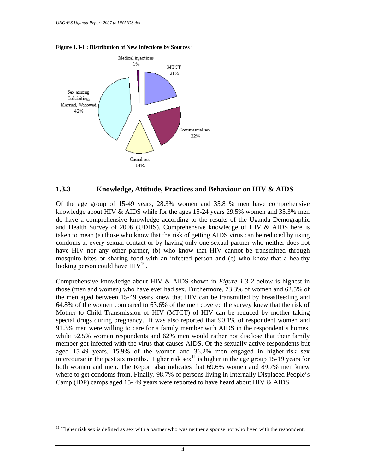$\overline{a}$ 





#### **1.3.3 Knowledge, Attitude, Practices and Behaviour on HIV & AIDS**

Of the age group of 15-49 years, 28.3% women and 35.8 % men have comprehensive knowledge about HIV & AIDS while for the ages 15-24 years 29.5% women and 35.3% men do have a comprehensive knowledge according to the results of the Uganda Demographic and Health Survey of 2006 (UDHS). Comprehensive knowledge of HIV  $\&$  AIDS here is taken to mean (a) those who know that the risk of getting AIDS virus can be reduced by using condoms at every sexual contact or by having only one sexual partner who neither does not have HIV nor any other partner, (b) who know that HIV cannot be transmitted through mosquito bites or sharing food with an infected person and (c) who know that a healthy looking person could have  $HIV^{10}$ .

Comprehensive knowledge about HIV & AIDS shown in *Figure 1.3-2* below is highest in those (men and women) who have ever had sex. Furthermore, 73.3% of women and 62.5% of the men aged between 15-49 years knew that HIV can be transmitted by breastfeeding and 64.8% of the women compared to 63.6% of the men covered the survey knew that the risk of Mother to Child Transmission of HIV (MTCT) of HIV can be reduced by mother taking special drugs during pregnancy. It was also reported that 90.1% of respondent women and 91.3% men were willing to care for a family member with AIDS in the respondent's homes, while 52.5% women respondents and 62% men would rather not disclose that their family member got infected with the virus that causes AIDS. Of the sexually active respondents but aged 15-49 years, 15.9% of the women and 36.2% men engaged in higher-risk sex intercourse in the past six months. Higher risk sex<sup>11</sup> is higher in the age group 15-19 years for both women and men. The Report also indicates that 69.6% women and 89.7% men knew where to get condoms from. Finally, 98.7% of persons living in Internally Displaced People's Camp (IDP) camps aged 15- 49 years were reported to have heard about HIV & AIDS.

 $11$  Higher risk sex is defined as sex with a partner who was neither a spouse nor who lived with the respondent.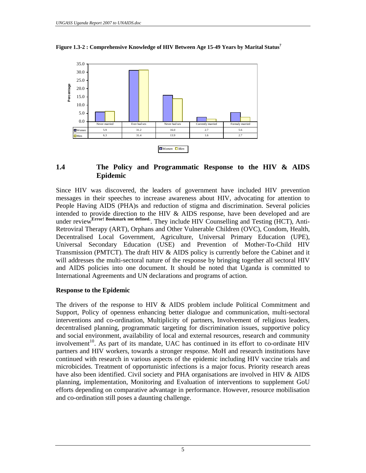

**Figure 1.3-2 : Comprehensive Knowledge of HIV Between Age 15-49 Years by Marital Status<sup>7</sup>**

#### **1.4 The Policy and Programmatic Response to the HIV & AIDS Epidemic**

Since HIV was discovered, the leaders of government have included HIV prevention messages in their speeches to increase awareness about HIV, advocating for attention to People Having AIDS (PHA)s and reduction of stigma and discrimination. Several policies intended to provide direction to the HIV & AIDS response, have been developed and are under review<sup>Error! Bookmark not defined.</sup> They include HIV Counselling and Testing (HCT), Anti-Retroviral Therapy (ART), Orphans and Other Vulnerable Children (OVC), Condom, Health, Decentralised Local Government, Agriculture, Universal Primary Education (UPE), Universal Secondary Education (USE) and Prevention of Mother-To-Child HIV Transmission (PMTCT). The draft HIV  $\&$  AIDS policy is currently before the Cabinet and it will addresses the multi-sectoral nature of the response by bringing together all sectoral HIV and AIDS policies into one document. It should be noted that Uganda is committed to International Agreements and UN declarations and programs of action.

#### **Response to the Epidemic**

The drivers of the response to HIV  $\&$  AIDS problem include Political Commitment and Support, Policy of openness enhancing better dialogue and communication, multi-sectoral interventions and co-ordination, Multiplicity of partners, Involvement of religious leaders, decentralised planning, programmatic targeting for discrimination issues, supportive policy and social environment, availability of local and external resources, research and community  $involvement<sup>10</sup>$ . As part of its mandate, UAC has continued in its effort to co-ordinate HIV partners and HIV workers, towards a stronger response. MoH and research institutions have continued with research in various aspects of the epidemic including HIV vaccine trials and microbicides. Treatment of opportunistic infections is a major focus. Priority research areas have also been identified. Civil society and PHA organisations are involved in HIV & AIDS planning, implementation, Monitoring and Evaluation of interventions to supplement GoU efforts depending on comparative advantage in performance. However, resource mobilisation and co-ordination still poses a daunting challenge.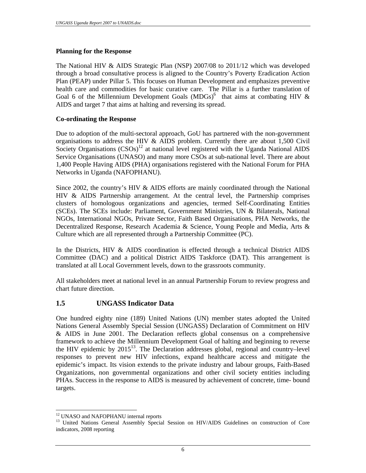#### **Planning for the Response**

The National HIV & AIDS Strategic Plan (NSP) 2007/08 to 2011/12 which was developed through a broad consultative process is aligned to the Country's Poverty Eradication Action Plan (PEAP) under Pillar 5. This focuses on Human Development and emphasizes preventive health care and commodities for basic curative care. The Pillar is a further translation of Goal 6 of the Millennium Development Goals  $(MDGs)^6$  that aims at combating HIV & AIDS and target 7 that aims at halting and reversing its spread.

#### **Co-ordinating the Response**

Due to adoption of the multi-sectoral approach, GoU has partnered with the non-government organisations to address the HIV & AIDS problem. Currently there are about 1,500 Civil Society Organisations  $(CSOS)^{12}$  at national level registered with the Uganda National AIDS Service Organisations (UNASO) and many more CSOs at sub-national level. There are about 1,400 People Having AIDS (PHA) organisations registered with the National Forum for PHA Networks in Uganda (NAFOPHANU).

Since 2002, the country's HIV & AIDS efforts are mainly coordinated through the National HIV & AIDS Partnership arrangement. At the central level, the Partnership comprises clusters of homologous organizations and agencies, termed Self-Coordinating Entities (SCEs). The SCEs include: Parliament, Government Ministries, UN & Bilaterals, National NGOs, International NGOs, Private Sector, Faith Based Organisations, PHA Networks, the Decentralized Response, Research Academia & Science, Young People and Media, Arts & Culture which are all represented through a Partnership Committee (PC).

In the Districts, HIV & AIDS coordination is effected through a technical District AIDS Committee (DAC) and a political District AIDS Taskforce (DAT). This arrangement is translated at all Local Government levels, down to the grassroots community.

All stakeholders meet at national level in an annual Partnership Forum to review progress and chart future direction.

#### **1.5 UNGASS Indicator Data**

One hundred eighty nine (189) United Nations (UN) member states adopted the United Nations General Assembly Special Session (UNGASS) Declaration of Commitment on HIV & AIDS in June 2001. The Declaration reflects global consensus on a comprehensive framework to achieve the Millennium Development Goal of halting and beginning to reverse the HIV epidemic by  $2015^{13}$ . The Declaration addresses global, regional and country–level responses to prevent new HIV infections, expand healthcare access and mitigate the epidemic's impact. Its vision extends to the private industry and labour groups, Faith-Based Organizations, non governmental organizations and other civil society entities including PHAs. Success in the response to AIDS is measured by achievement of concrete, time- bound targets.

<sup>&</sup>lt;sup>12</sup> UNASO and NAFOPHANU internal reports

<sup>&</sup>lt;sup>13</sup> United Nations General Assembly Special Session on HIV/AIDS Guidelines on construction of Core indicators, 2008 reporting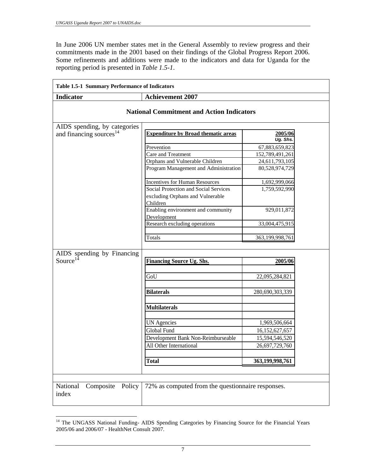$\overline{a}$ 

In June 2006 UN member states met in the General Assembly to review progress and their commitments made in the 2001 based on their findings of the Global Progress Report 2006. Some refinements and additions were made to the indicators and data for Uganda for the reporting period is presented in *Table 1.5-1*.

|                                                    | <b>Achievement 2007</b>                                       |                     |  |
|----------------------------------------------------|---------------------------------------------------------------|---------------------|--|
|                                                    | <b>National Commitment and Action Indicators</b>              |                     |  |
| AIDS spending, by categories                       |                                                               |                     |  |
| and financing sources <sup>14</sup>                | <b>Expenditure by Broad thematic areas</b>                    | 2005/06<br>Ug. Shs. |  |
|                                                    | Prevention                                                    | 67,883,659,823      |  |
|                                                    | Care and Treatment                                            | 152,789,491,261     |  |
|                                                    | Orphans and Vulnerable Children                               | 24,611,793,105      |  |
|                                                    | Program Management and Administration                         | 80,528,974,729      |  |
|                                                    | <b>Incentives for Human Resources</b>                         | 1,692,999,066       |  |
|                                                    | Social Protection and Social Services                         | 1,759,592,990       |  |
|                                                    | excluding Orphans and Vulnerable<br>Children                  |                     |  |
|                                                    | Enabling environment and community                            | 929,011,872         |  |
|                                                    | Development                                                   |                     |  |
|                                                    |                                                               |                     |  |
|                                                    | Research excluding operations                                 | 33,004,475,915      |  |
|                                                    | Totals                                                        | 363,199,998,761     |  |
|                                                    | <b>Financing Source Ug. Shs.</b>                              | 2005/06             |  |
|                                                    | GoU                                                           | 22,095,284,821      |  |
|                                                    | <b>Bilaterals</b>                                             | 280,690,303,339     |  |
|                                                    | <b>Multilaterals</b>                                          |                     |  |
| AIDS spending by Financing<br>Source <sup>14</sup> |                                                               |                     |  |
|                                                    | <b>UN</b> Agencies<br>Global Fund                             | 1,969,506,664       |  |
|                                                    |                                                               | 16,152,627,657      |  |
|                                                    | Development Bank Non-Reimburseable<br>All Other International | 15,594,546,520      |  |
|                                                    |                                                               | 26,697,729,760      |  |

<sup>&</sup>lt;sup>14</sup> The UNGASS National Funding- AIDS Spending Categories by Financing Source for the Financial Years 2005/06 and 2006/07 - HealthNet Consult 2007.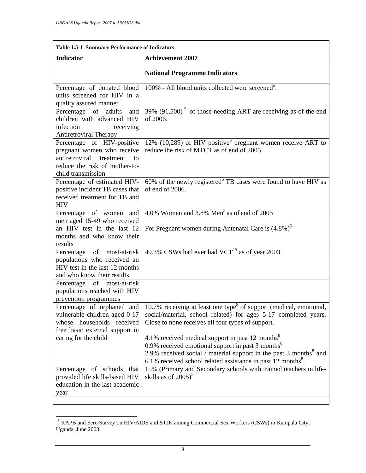| <b>Indicator</b><br><b>Achievement 2007</b><br><b>National Programme Indicators</b><br>100% - All blood units collected were screened <sup>5</sup> .<br>Percentage of donated blood<br>units screened for HIV in a<br>quality assured manner<br>39% $(91,500)$ <sup>5</sup> of those needing ART are receiving as of the end<br>Percentage of adults<br>and<br>of 2006.<br>children with advanced HIV<br>infection<br>receiving<br><b>Antiretroviral Therapy</b><br>$12\%$ (10,289) of HIV positive <sup>5</sup> pregnant women receive ART to<br>Percentage of HIV-positive<br>reduce the risk of MTCT as of end of 2005.<br>pregnant women who receive<br>antiretroviral<br>treatment<br>to<br>reduce the risk of mother-to-<br>child transmission<br>60% of the newly registered <sup>5</sup> TB cases were found to have HIV as<br>Percentage of estimated HIV-<br>of end of 2006.<br>positive incident TB cases that<br>received treatment for TB and<br><b>HIV</b><br>4.0% Women and 3.8% Men <sup>5</sup> as of end of 2005<br>Percentage of women and<br>men aged 15-49 who received<br>an HIV test in the last 12<br>For Pregnant women during Antenatal Care is $(4.8\%)^5$<br>months and who know their<br>results<br>49.3% CSWs had ever had $VCT^{15}$ as of year 2003.<br>Percentage of most-at-risk<br>populations who received an<br>HIV test in the last 12 months<br>and who know their results<br>Percentage of most-at-risk<br>populations reached with HIV<br>prevention programmes<br>Percentage of orphaned and $\vert 10.7\%$ receiving at least one type <sup>8</sup> of support (medical, emotional,<br>social/material, school related) for ages 5-17 completed years.<br>vulnerable children aged 0-17<br>whose households received<br>Close to none receives all four types of support.<br>free basic external support in<br>4.1% received medical support in past 12 months <sup>8</sup><br>caring for the child<br>0.9% received emotional support in past 3 months $8$<br>2.9% received social / material support in the past 3 months <sup>8</sup> and<br>6.1% received school related assistance in past 12 months <sup>8</sup> .<br>15% (Primary and Secondary schools with trained teachers in life-<br>Percentage of schools that<br>skills as of $2005$ <sup>3</sup><br>provided life skills-based HIV<br>education in the last academic<br>year | <b>Table 1.5-1 Summary Performance of Indicators</b> |  |  |  |  |
|----------------------------------------------------------------------------------------------------------------------------------------------------------------------------------------------------------------------------------------------------------------------------------------------------------------------------------------------------------------------------------------------------------------------------------------------------------------------------------------------------------------------------------------------------------------------------------------------------------------------------------------------------------------------------------------------------------------------------------------------------------------------------------------------------------------------------------------------------------------------------------------------------------------------------------------------------------------------------------------------------------------------------------------------------------------------------------------------------------------------------------------------------------------------------------------------------------------------------------------------------------------------------------------------------------------------------------------------------------------------------------------------------------------------------------------------------------------------------------------------------------------------------------------------------------------------------------------------------------------------------------------------------------------------------------------------------------------------------------------------------------------------------------------------------------------------------------------------------------------------------------------------------------------------------------------------------------------------------------------------------------------------------------------------------------------------------------------------------------------------------------------------------------------------------------------------------------------------------------------------------------------------------------------------------------------------------------------------------------------------------------------|------------------------------------------------------|--|--|--|--|
|                                                                                                                                                                                                                                                                                                                                                                                                                                                                                                                                                                                                                                                                                                                                                                                                                                                                                                                                                                                                                                                                                                                                                                                                                                                                                                                                                                                                                                                                                                                                                                                                                                                                                                                                                                                                                                                                                                                                                                                                                                                                                                                                                                                                                                                                                                                                                                                        |                                                      |  |  |  |  |
|                                                                                                                                                                                                                                                                                                                                                                                                                                                                                                                                                                                                                                                                                                                                                                                                                                                                                                                                                                                                                                                                                                                                                                                                                                                                                                                                                                                                                                                                                                                                                                                                                                                                                                                                                                                                                                                                                                                                                                                                                                                                                                                                                                                                                                                                                                                                                                                        |                                                      |  |  |  |  |
|                                                                                                                                                                                                                                                                                                                                                                                                                                                                                                                                                                                                                                                                                                                                                                                                                                                                                                                                                                                                                                                                                                                                                                                                                                                                                                                                                                                                                                                                                                                                                                                                                                                                                                                                                                                                                                                                                                                                                                                                                                                                                                                                                                                                                                                                                                                                                                                        |                                                      |  |  |  |  |
|                                                                                                                                                                                                                                                                                                                                                                                                                                                                                                                                                                                                                                                                                                                                                                                                                                                                                                                                                                                                                                                                                                                                                                                                                                                                                                                                                                                                                                                                                                                                                                                                                                                                                                                                                                                                                                                                                                                                                                                                                                                                                                                                                                                                                                                                                                                                                                                        |                                                      |  |  |  |  |
|                                                                                                                                                                                                                                                                                                                                                                                                                                                                                                                                                                                                                                                                                                                                                                                                                                                                                                                                                                                                                                                                                                                                                                                                                                                                                                                                                                                                                                                                                                                                                                                                                                                                                                                                                                                                                                                                                                                                                                                                                                                                                                                                                                                                                                                                                                                                                                                        |                                                      |  |  |  |  |
|                                                                                                                                                                                                                                                                                                                                                                                                                                                                                                                                                                                                                                                                                                                                                                                                                                                                                                                                                                                                                                                                                                                                                                                                                                                                                                                                                                                                                                                                                                                                                                                                                                                                                                                                                                                                                                                                                                                                                                                                                                                                                                                                                                                                                                                                                                                                                                                        |                                                      |  |  |  |  |
|                                                                                                                                                                                                                                                                                                                                                                                                                                                                                                                                                                                                                                                                                                                                                                                                                                                                                                                                                                                                                                                                                                                                                                                                                                                                                                                                                                                                                                                                                                                                                                                                                                                                                                                                                                                                                                                                                                                                                                                                                                                                                                                                                                                                                                                                                                                                                                                        |                                                      |  |  |  |  |
|                                                                                                                                                                                                                                                                                                                                                                                                                                                                                                                                                                                                                                                                                                                                                                                                                                                                                                                                                                                                                                                                                                                                                                                                                                                                                                                                                                                                                                                                                                                                                                                                                                                                                                                                                                                                                                                                                                                                                                                                                                                                                                                                                                                                                                                                                                                                                                                        |                                                      |  |  |  |  |
|                                                                                                                                                                                                                                                                                                                                                                                                                                                                                                                                                                                                                                                                                                                                                                                                                                                                                                                                                                                                                                                                                                                                                                                                                                                                                                                                                                                                                                                                                                                                                                                                                                                                                                                                                                                                                                                                                                                                                                                                                                                                                                                                                                                                                                                                                                                                                                                        |                                                      |  |  |  |  |
|                                                                                                                                                                                                                                                                                                                                                                                                                                                                                                                                                                                                                                                                                                                                                                                                                                                                                                                                                                                                                                                                                                                                                                                                                                                                                                                                                                                                                                                                                                                                                                                                                                                                                                                                                                                                                                                                                                                                                                                                                                                                                                                                                                                                                                                                                                                                                                                        |                                                      |  |  |  |  |
|                                                                                                                                                                                                                                                                                                                                                                                                                                                                                                                                                                                                                                                                                                                                                                                                                                                                                                                                                                                                                                                                                                                                                                                                                                                                                                                                                                                                                                                                                                                                                                                                                                                                                                                                                                                                                                                                                                                                                                                                                                                                                                                                                                                                                                                                                                                                                                                        |                                                      |  |  |  |  |
|                                                                                                                                                                                                                                                                                                                                                                                                                                                                                                                                                                                                                                                                                                                                                                                                                                                                                                                                                                                                                                                                                                                                                                                                                                                                                                                                                                                                                                                                                                                                                                                                                                                                                                                                                                                                                                                                                                                                                                                                                                                                                                                                                                                                                                                                                                                                                                                        |                                                      |  |  |  |  |

<sup>&</sup>lt;sup>15</sup> KAPB and Sero Survey on HIV/AIDS and STDs among Commercial Sex Workers (CSWs) in Kampala City, Uganda, June 2003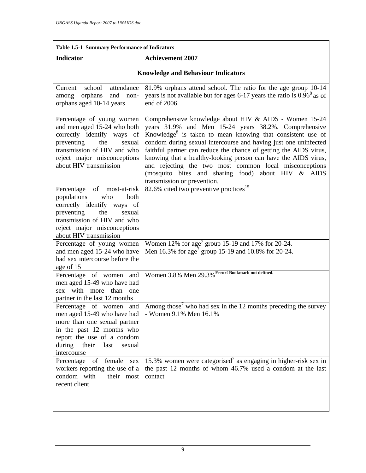| <b>Table 1.5-1 Summary Performance of Indicators</b>                                                                                                                                                             |                                                                                                                                                                                                                                                                                                                                                                                                                                                                                                                                                   |  |  |  |  |
|------------------------------------------------------------------------------------------------------------------------------------------------------------------------------------------------------------------|---------------------------------------------------------------------------------------------------------------------------------------------------------------------------------------------------------------------------------------------------------------------------------------------------------------------------------------------------------------------------------------------------------------------------------------------------------------------------------------------------------------------------------------------------|--|--|--|--|
| <b>Indicator</b>                                                                                                                                                                                                 | <b>Achievement 2007</b>                                                                                                                                                                                                                                                                                                                                                                                                                                                                                                                           |  |  |  |  |
| <b>Knowledge and Behaviour Indicators</b>                                                                                                                                                                        |                                                                                                                                                                                                                                                                                                                                                                                                                                                                                                                                                   |  |  |  |  |
| attendance<br>Current<br>school<br>and non-<br>orphans<br>among<br>orphans aged 10-14 years                                                                                                                      | 81.9% orphans attend school. The ratio for the age group 10-14<br>years is not available but for ages 6-17 years the ratio is $0.96^8$ as of<br>end of 2006.                                                                                                                                                                                                                                                                                                                                                                                      |  |  |  |  |
| Percentage of young women<br>and men aged 15-24 who both<br>correctly identify ways of<br>preventing<br>the<br>sexual<br>transmission of HIV and who<br>reject major misconceptions<br>about HIV transmission    | Comprehensive knowledge about HIV & AIDS - Women 15-24<br>years 31.9% and Men 15-24 years 38.2%. Comprehensive<br>Knowledge <sup>8</sup> is taken to mean knowing that consistent use of<br>condom during sexual intercourse and having just one uninfected<br>faithful partner can reduce the chance of getting the AIDS virus,<br>knowing that a healthy-looking person can have the AIDS virus,<br>and rejecting the two most common local misconceptions<br>(mosquito bites and sharing food) about HIV & AIDS<br>transmission or prevention. |  |  |  |  |
| of most-at-risk<br>Percentage<br>populations<br>both<br>who<br>correctly identify ways of<br>preventing<br>the<br>sexual<br>transmission of HIV and who<br>reject major misconceptions<br>about HIV transmission | 82.6% cited two preventive practices <sup>15</sup>                                                                                                                                                                                                                                                                                                                                                                                                                                                                                                |  |  |  |  |
| Percentage of young women<br>and men aged 15-24 who have<br>had sex intercourse before the<br>age of 15                                                                                                          | Women $12\%$ for age <sup>7</sup> group 15-19 and 17% for 20-24.<br>Men 16.3% for $age^7$ group 15-19 and 10.8% for 20-24.                                                                                                                                                                                                                                                                                                                                                                                                                        |  |  |  |  |
| Percentage of women and<br>men aged 15-49 who have had<br>with more than one<br>sex<br>partner in the last 12 months                                                                                             | Women 3.8% Men 29.3% Error! Bookmark not defined.                                                                                                                                                                                                                                                                                                                                                                                                                                                                                                 |  |  |  |  |
| Percentage of women and<br>men aged 15-49 who have had<br>more than one sexual partner<br>in the past 12 months who<br>report the use of a condom<br>during<br>their last<br>sexual<br>intercourse               | Among those <sup>7</sup> who had sex in the 12 months preceding the survey<br>- Women 9.1% Men 16.1%                                                                                                                                                                                                                                                                                                                                                                                                                                              |  |  |  |  |
| Percentage<br>of<br>female<br>sex<br>workers reporting the use of a<br>condom with<br>their most<br>recent client                                                                                                | 15.3% women were categorised <sup>7</sup> as engaging in higher-risk sex in<br>the past 12 months of whom 46.7% used a condom at the last<br>contact                                                                                                                                                                                                                                                                                                                                                                                              |  |  |  |  |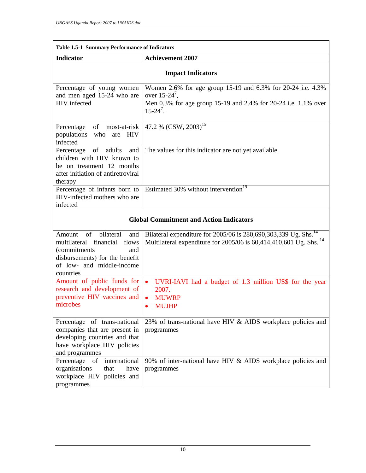| <b>Table 1.5-1 Summary Performance of Indicators</b>                                                                                                                      |                                                                                                                                                                    |  |  |  |  |
|---------------------------------------------------------------------------------------------------------------------------------------------------------------------------|--------------------------------------------------------------------------------------------------------------------------------------------------------------------|--|--|--|--|
| <b>Indicator</b>                                                                                                                                                          | <b>Achievement 2007</b>                                                                                                                                            |  |  |  |  |
| <b>Impact Indicators</b>                                                                                                                                                  |                                                                                                                                                                    |  |  |  |  |
| Percentage of young women<br>and men aged 15-24 who are<br>HIV infected                                                                                                   | Women 2.6% for age group 15-19 and 6.3% for 20-24 i.e. 4.3%<br>over $15-24^7$ .<br>Men 0.3% for age group 15-19 and 2.4% for 20-24 i.e. 1.1% over<br>$15 - 24^7$ . |  |  |  |  |
| of<br>most-at-risk<br>Percentage<br>populations<br>who<br><b>HIV</b><br>are<br>infected                                                                                   | 47.2 % $(CSW, 2003)^{15}$                                                                                                                                          |  |  |  |  |
| Percentage of adults<br>and<br>children with HIV known to<br>be on treatment 12 months<br>after initiation of antiretroviral<br>therapy                                   | The values for this indicator are not yet available.                                                                                                               |  |  |  |  |
| Percentage of infants born to<br>HIV-infected mothers who are<br>infected                                                                                                 | Estimated 30% without intervention <sup>19</sup>                                                                                                                   |  |  |  |  |
|                                                                                                                                                                           | <b>Global Commitment and Action Indicators</b>                                                                                                                     |  |  |  |  |
| of<br>bilateral<br>Amount<br>and<br>financial<br>multilateral<br>flows<br>(commitments<br>and<br>disbursements) for the benefit<br>of low- and middle-income<br>countries | Bilateral expenditure for 2005/06 is 280,690,303,339 Ug. Shs. <sup>14</sup><br>Multilateral expenditure for 2005/06 is 60,414,410,601 Ug. Shs. <sup>14</sup>       |  |  |  |  |
| Amount of public funds for<br>research and development of<br>preventive HIV vaccines and<br>microbes                                                                      | UVRI-IAVI had a budget of 1.3 million US\$ for the year<br>$\bullet$<br>2007.<br><b>MUWRP</b><br><b>MUJHP</b>                                                      |  |  |  |  |
| Percentage of trans-national<br>companies that are present in<br>developing countries and that<br>have workplace HIV policies<br>and programmes                           | 23% of trans-national have HIV & AIDS workplace policies and<br>programmes                                                                                         |  |  |  |  |
| international<br>Percentage<br>of<br>organisations<br>that<br>have<br>workplace HIV policies and<br>programmes                                                            | 90% of inter-national have HIV & AIDS workplace policies and<br>programmes                                                                                         |  |  |  |  |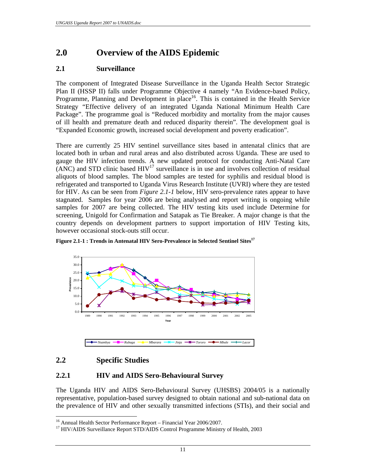## **2.0 Overview of the AIDS Epidemic**

## **2.1 Surveillance**

The component of Integrated Disease Surveillance in the Uganda Health Sector Strategic Plan II (HSSP II) falls under Programme Objective 4 namely "An Evidence-based Policy, Programme, Planning and Development in place<sup>16</sup>. This is contained in the Health Service Strategy "Effective delivery of an integrated Uganda National Minimum Health Care Package". The programme goal is "Reduced morbidity and mortality from the major causes of ill health and premature death and reduced disparity therein". The development goal is "Expanded Economic growth, increased social development and poverty eradication".

There are currently 25 HIV sentinel surveillance sites based in antenatal clinics that are located both in urban and rural areas and also distributed across Uganda. These are used to gauge the HIV infection trends. A new updated protocol for conducting Anti-Natal Care  $\overline{N}$ (ANC) and STD clinic based HIV<sup>17</sup> surveillance is in use and involves collection of residual aliquots of blood samples. The blood samples are tested for syphilis and residual blood is refrigerated and transported to Uganda Virus Research Institute (UVRI) where they are tested for HIV. As can be seen from *Figure 2.1-1* below, HIV sero-prevalence rates appear to have stagnated. Samples for year 2006 are being analysed and report writing is ongoing while samples for 2007 are being collected. The HIV testing kits used include Determine for screening, Unigold for Confirmation and Satapak as Tie Breaker. A major change is that the country depends on development partners to support importation of HIV Testing kits, however occasional stock-outs still occur.



Figure 2.1-1 : Trends in Antenatal HIV Sero-Prevalence in Selected Sentinel Sites<sup>17</sup>

## **2.2 Specific Studies**

 $\overline{a}$ 

#### **2.2.1 HIV and AIDS Sero-Behavioural Survey**

The Uganda HIV and AIDS Sero-Behavioural Survey (UHSBS) 2004/05 is a nationally representative, population-based survey designed to obtain national and sub-national data on the prevalence of HIV and other sexually transmitted infections (STIs), and their social and

<sup>&</sup>lt;sup>16</sup> Annual Health Sector Performance Report – Financial Year 2006/2007.

<sup>&</sup>lt;sup>17</sup> HIV/AIDS Surveillance Report STD/AIDS Control Programme Ministry of Health, 2003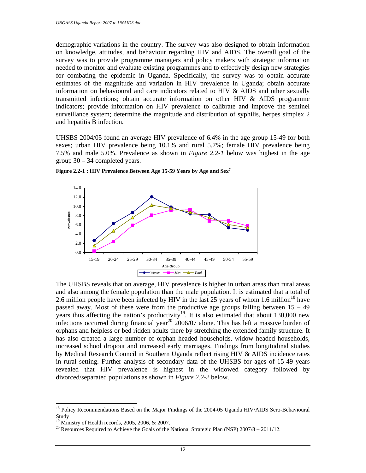demographic variations in the country. The survey was also designed to obtain information on knowledge, attitudes, and behaviour regarding HIV and AIDS. The overall goal of the survey was to provide programme managers and policy makers with strategic information needed to monitor and evaluate existing programmes and to effectively design new strategies for combating the epidemic in Uganda. Specifically, the survey was to obtain accurate estimates of the magnitude and variation in HIV prevalence in Uganda; obtain accurate information on behavioural and care indicators related to HIV  $&$  AIDS and other sexually transmitted infections; obtain accurate information on other HIV & AIDS programme indicators; provide information on HIV prevalence to calibrate and improve the sentinel surveillance system; determine the magnitude and distribution of syphilis, herpes simplex 2 and hepatitis B infection.

UHSBS 2004/05 found an average HIV prevalence of 6.4% in the age group 15-49 for both sexes; urban HIV prevalence being 10.1% and rural 5.7%; female HIV prevalence being 7.5% and male 5.0%. Prevalence as shown in *Figure 2.2-1* below was highest in the age group 30 – 34 completed years.



**Figure 2.2-1 : HIV Prevalence Between Age 15-59 Years by Age and Sex7**

The UHSBS reveals that on average, HIV prevalence is higher in urban areas than rural areas and also among the female population than the male population. It is estimated that a total of 2.6 million people have been infected by HIV in the last 25 years of whom 1.6 million<sup>18</sup> have passed away. Most of these were from the productive age groups falling between  $15 - 49$ years thus affecting the nation's productivity<sup>19</sup>. It is also estimated that about 130,000 new infections occurred during financial year<sup>20</sup> 2006/07 alone. This has left a massive burden of orphans and helpless or bed ridden adults there by stretching the extended family structure. It has also created a large number of orphan headed households, widow headed households, increased school dropout and increased early marriages. Findings from longitudinal studies by Medical Research Council in Southern Uganda reflect rising HIV & AIDS incidence rates in rural setting. Further analysis of secondary data of the UHSBS for ages of 15-49 years revealed that HIV prevalence is highest in the widowed category followed by divorced/separated populations as shown in *Figure 2.2-2* below.

<sup>&</sup>lt;sup>18</sup> Policy Recommendations Based on the Major Findings of the 2004-05 Uganda HIV/AIDS Sero-Behavioural **Study** 

 $19$  Ministry of Health records, 2005, 2006, & 2007.

<sup>&</sup>lt;sup>20</sup> Resources Required to Achieve the Goals of the National Strategic Plan (NSP)  $2007/8 - 2011/12$ .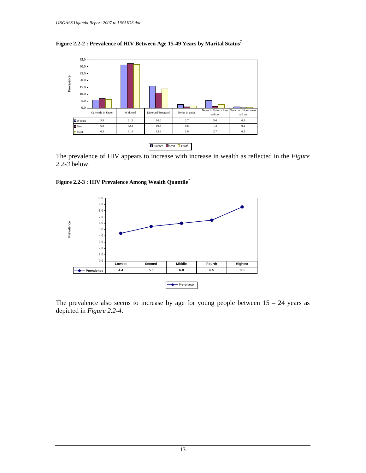



The prevalence of HIV appears to increase with increase in wealth as reflected in the *Figure 2.2-3* below.





The prevalence also seems to increase by age for young people between  $15 - 24$  years as depicted in *Figure 2.2-4*.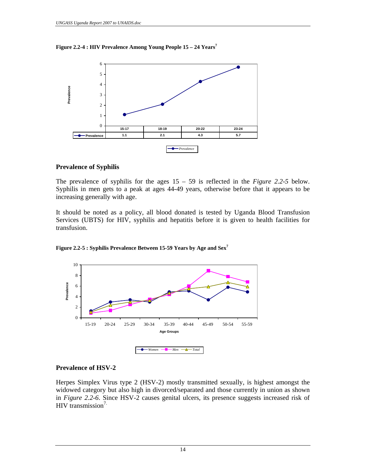**Figure 2.2-4 : HIV Prevalence Among Young People 15 – 24 Years<sup>7</sup>**



#### **Prevalence of Syphilis**

The prevalence of syphilis for the ages 15 – 59 is reflected in the *Figure 2.2-5* below. Syphilis in men gets to a peak at ages 44-49 years, otherwise before that it appears to be increasing generally with age.

It should be noted as a policy, all blood donated is tested by Uganda Blood Transfusion Services (UBTS) for HIV, syphilis and hepatitis before it is given to health facilities for transfusion.





#### **Prevalence of HSV-2**

Herpes Simplex Virus type 2 (HSV-2) mostly transmitted sexually, is highest amongst the widowed category but also high in divorced/separated and those currently in union as shown in *Figure 2.2-6*. Since HSV-2 causes genital ulcers, its presence suggests increased risk of HIV transmission $7$ .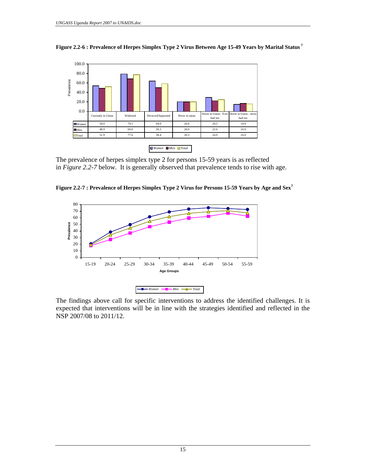

**Figure 2.2-6 : Prevalence of Herpes Simplex Type 2 Virus Between Age 15-49 Years by Marital Status<sup>7</sup>**

The prevalence of herpes simplex type 2 for persons 15-59 years is as reflected in *Figure 2.2-7* below. It is generally observed that prevalence tends to rise with age.





The findings above call for specific interventions to address the identified challenges. It is expected that interventions will be in line with the strategies identified and reflected in the NSP 2007/08 to 2011/12.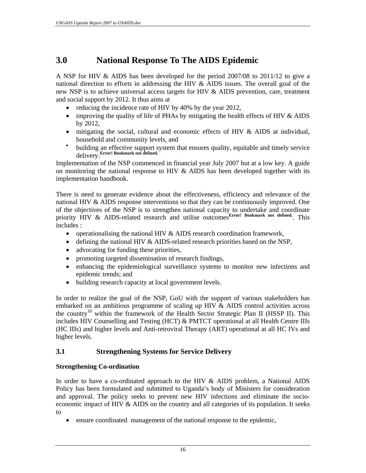## **3.0 National Response To The AIDS Epidemic**

A NSP for HIV & AIDS has been developed for the period 2007/08 to 2011/12 to give a national direction to efforts in addressing the HIV & AIDS issues. The overall goal of the new NSP is to achieve universal access targets for HIV & AIDS prevention, care, treatment and social support by 2012. It thus aims at

- reducing the incidence rate of HIV by 40% by the year 2012,
- improving the quality of life of PHAs by mitigating the health effects of HIV  $\&$  AIDS by 2012,
- mitigating the social, cultural and economic effects of HIV & AIDS at individual, household and community levels, and
- building an effective support system that ensures quality, equitable and timely service delivery.**Error! Bookmark not defined.**

Implementation of the NSP commenced in financial year July 2007 but at a low key. A guide on monitoring the national response to HIV  $\&$  AIDS has been developed together with its implementation handbook.

There is need to generate evidence about the effectiveness, efficiency and relevance of the national HIV & AIDS response interventions so that they can be continuously improved. One of the objectives of the NSP is to strengthen national capacity to undertake and coordinate priority HIV & AIDS-related research and utilise outcomes<sup>Error!</sup> Bookmark not defined. This includes :

- operationalising the national HIV & AIDS research coordination framework,
- defining the national HIV & AIDS-related research priorities based on the NSP,
- advocating for funding these priorities,
- promoting targeted dissemination of research findings,
- enhancing the epidemiological surveillance systems to monitor new infections and epidemic trends; and
- building research capacity at local government levels.

In order to realize the goal of the NSP, GoU with the support of various stakeholders has embarked on an ambitious programme of scaling up HIV & AIDS control activities across the country<sup>16</sup> within the framework of the Health Sector Strategic Plan II (HSSP II). This includes HIV Counselling and Testing (HCT) & PMTCT operational at all Health Centre IIIs (HC IIIs) and higher levels and Anti-retroviral Therapy (ART) operational at all HC IVs and higher levels.

## **3.1 Strengthening Systems for Service Delivery**

## **Strengthening Co-ordination**

In order to have a co-ordinated approach to the HIV & AIDS problem, a National AIDS Policy has been formulated and submitted to Uganda's body of Ministers for consideration and approval. The policy seeks to prevent new HIV infections and eliminate the socioeconomic impact of HIV & AIDS on the country and all categories of its population. It seeks to

• ensure coordinated management of the national response to the epidemic,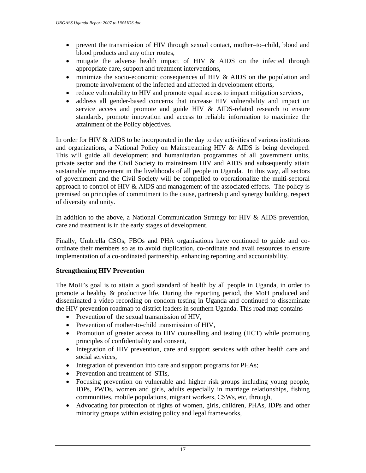- prevent the transmission of HIV through sexual contact, mother–to–child, blood and blood products and any other routes,
- mitigate the adverse health impact of HIV & AIDS on the infected through appropriate care, support and treatment interventions,
- minimize the socio-economic consequences of HIV & AIDS on the population and promote involvement of the infected and affected in development efforts,
- reduce vulnerability to HIV and promote equal access to impact mitigation services,
- address all gender-based concerns that increase HIV vulnerability and impact on service access and promote and guide HIV & AIDS-related research to ensure standards, promote innovation and access to reliable information to maximize the attainment of the Policy objectives.

In order for HIV  $\&$  AIDS to be incorporated in the day to day activities of various institutions and organizations, a National Policy on Mainstreaming HIV & AIDS is being developed. This will guide all development and humanitarian programmes of all government units, private sector and the Civil Society to mainstream HIV and AIDS and subsequently attain sustainable improvement in the livelihoods of all people in Uganda. In this way, all sectors of government and the Civil Society will be compelled to operationalize the multi-sectoral approach to control of HIV & AIDS and management of the associated effects. The policy is premised on principles of commitment to the cause, partnership and synergy building, respect of diversity and unity.

In addition to the above, a National Communication Strategy for HIV  $&$  AIDS prevention, care and treatment is in the early stages of development.

Finally, Umbrella CSOs, FBOs and PHA organisations have continued to guide and coordinate their members so as to avoid duplication, co-ordinate and avail resources to ensure implementation of a co-ordinated partnership, enhancing reporting and accountability.

#### **Strengthening HIV Prevention**

The MoH's goal is to attain a good standard of health by all people in Uganda, in order to promote a healthy & productive life. During the reporting period, the MoH produced and disseminated a video recording on condom testing in Uganda and continued to disseminate the HIV prevention roadmap to district leaders in southern Uganda. This road map contains

- Prevention of the sexual transmission of HIV,
- Prevention of mother-to-child transmission of HIV,
- Promotion of greater access to HIV counselling and testing (HCT) while promoting principles of confidentiality and consent,
- Integration of HIV prevention, care and support services with other health care and social services,
- Integration of prevention into care and support programs for PHAs;
- Prevention and treatment of STIs,
- Focusing prevention on vulnerable and higher risk groups including young people, IDPs, PWDs, women and girls, adults especially in marriage relationships, fishing communities, mobile populations, migrant workers, CSWs, etc, through,
- Advocating for protection of rights of women, girls, children, PHAs, IDPs and other minority groups within existing policy and legal frameworks,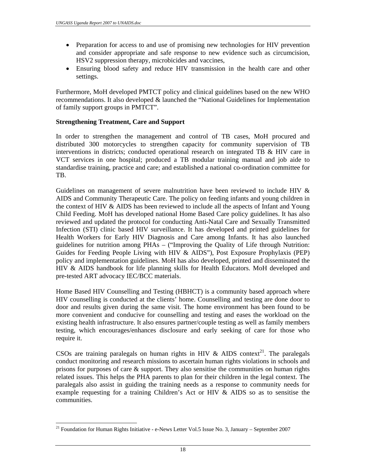- Preparation for access to and use of promising new technologies for HIV prevention and consider appropriate and safe response to new evidence such as circumcision, HSV2 suppression therapy, microbicides and vaccines,
- Ensuring blood safety and reduce HIV transmission in the health care and other settings.

Furthermore, MoH developed PMTCT policy and clinical guidelines based on the new WHO recommendations. It also developed & launched the "National Guidelines for Implementation of family support groups in PMTCT".

#### **Strengthening Treatment, Care and Support**

In order to strengthen the management and control of TB cases, MoH procured and distributed 300 motorcycles to strengthen capacity for community supervision of TB interventions in districts; conducted operational research on integrated TB & HIV care in VCT services in one hospital; produced a TB modular training manual and job aide to standardise training, practice and care; and established a national co-ordination committee for TB.

Guidelines on management of severe malnutrition have been reviewed to include HIV & AIDS and Community Therapeutic Care. The policy on feeding infants and young children in the context of HIV & AIDS has been reviewed to include all the aspects of Infant and Young Child Feeding. MoH has developed national Home Based Care policy guidelines. It has also reviewed and updated the protocol for conducting Anti-Natal Care and Sexually Transmitted Infection (STI) clinic based HIV surveillance. It has developed and printed guidelines for Health Workers for Early HIV Diagnosis and Care among Infants. It has also launched guidelines for nutrition among PHAs – ("Improving the Quality of Life through Nutrition: Guides for Feeding People Living with HIV & AIDS"), Post Exposure Prophylaxis (PEP) policy and implementation guidelines. MoH has also developed, printed and disseminated the HIV & AIDS handbook for life planning skills for Health Educators. MoH developed and pre-tested ART advocacy IEC/BCC materials.

Home Based HIV Counselling and Testing (HBHCT) is a community based approach where HIV counselling is conducted at the clients' home. Counselling and testing are done door to door and results given during the same visit. The home environment has been found to be more convenient and conducive for counselling and testing and eases the workload on the existing health infrastructure. It also ensures partner/couple testing as well as family members testing, which encourages/enhances disclosure and early seeking of care for those who require it.

CSOs are training paralegals on human rights in HIV  $\&$  AIDS context<sup>21</sup>. The paralegals conduct monitoring and research missions to ascertain human rights violations in schools and prisons for purposes of care  $\&$  support. They also sensitise the communities on human rights related issues. This helps the PHA parents to plan for their children in the legal context. The paralegals also assist in guiding the training needs as a response to community needs for example requesting for a training Children's Act or HIV & AIDS so as to sensitise the communities.

 $21$  Foundation for Human Rights Initiative - e-News Letter Vol.5 Issue No. 3, January – September 2007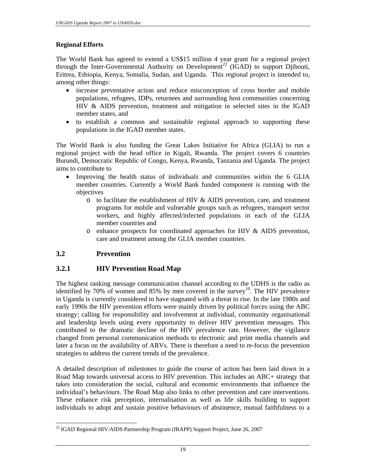## **Regional Efforts**

The World Bank has agreed to extend a US\$15 million 4 year grant for a regional project through the Inter-Governmental Authority on Development<sup>22</sup> (IGAD) to support Djibouti, Eritrea, Ethiopia, Kenya, Somalia, Sudan, and Uganda. This regional project is intended to, among other things:

- increase preventative action and reduce misconception of cross border and mobile populations, refugees, IDPs, returnees and surrounding host communities concerning HIV & AIDS prevention, treatment and mitigation in selected sites in the IGAD member states, and
- to establish a common and sustainable regional approach to supporting these populations in the IGAD member states.

The World Bank is also funding the Great Lakes Initiative for Africa (GLIA) to run a regional project with the head office in Kigali, Rwanda. The project covers 6 countries Burundi, Democratic Republic of Congo, Kenya, Rwanda, Tanzania and Uganda. The project aims to contribute to

- Improving the health status of individuals and communities within the 6 GLIA member countries. Currently a World Bank funded component is running with the objectives
	- $\circ$  to facilitate the establishment of HIV & AIDS prevention, care, and treatment programs for mobile and vulnerable groups such as refugees, transport sector workers, and highly affected/infected populations in each of the GLIA member countries and
	- o enhance prospects for coordinated approaches for HIV & AIDS prevention, care and treatment among the GLIA member countries.

#### **3.2 Prevention**

## **3.2.1 HIV Prevention Road Map**

The highest ranking message communication channel according to the UDHS is the radio as identified by 70% of women and 85% by men covered in the survey<sup>10</sup>. The HIV prevalence in Uganda is currently considered to have stagnated with a threat to rise. In the late 1980s and early 1990s the HIV prevention efforts were mainly driven by political forces using the ABC strategy; calling for responsibility and involvement at individual, community organisational and leadership levels using every opportunity to deliver HIV prevention messages. This contributed to the dramatic decline of the HIV prevalence rate. However, the vigilance changed from personal communication methods to electronic and print media channels and later a focus on the availability of ARVs. There is therefore a need to re-focus the prevention strategies to address the current trends of the prevalence.

A detailed description of milestones to guide the course of action has been laid down in a Road Map towards universal access to HIV prevention. This includes an ABC+ strategy that takes into consideration the social, cultural and economic environments that influence the individual's behaviours. The Road Map also links to other prevention and care interventions. These enhance risk perception, internalisation as well as life skills building to support individuals to adopt and sustain positive behaviours of abstinence, mutual faithfulness to a

 $\overline{a}$ <sup>22</sup> IGAD Regional HIV/AIDS Partnership Program (IRAPP) Support Project, June 26, 2007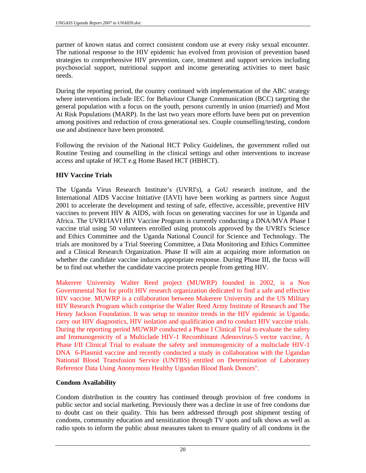partner of known status and correct consistent condom use at every risky sexual encounter. The national response to the HIV epidemic has evolved from provision of prevention based strategies to comprehensive HIV prevention, care, treatment and support services including psychosocial support, nutritional support and income generating activities to meet basic needs.

During the reporting period, the country continued with implementation of the ABC strategy where interventions include IEC for Behaviour Change Communication (BCC) targeting the general population with a focus on the youth, persons currently in union (married) and Most At Risk Populations (MARP). In the last two years more efforts have been put on prevention among positives and reduction of cross generational sex. Couple counselling/testing, condom use and abstinence have been promoted.

Following the revision of the National HCT Policy Guidelines, the government rolled out Routine Testing and counselling in the clinical settings and other interventions to increase access and uptake of HCT e.g Home Based HCT (HBHCT).

## **HIV Vaccine Trials**

The Uganda Virus Research Institute's (UVRI's), a GoU research institute, and the International AIDS Vaccine Initiative (IAVI) have been working as partners since August 2001 to accelerate the development and testing of safe, effective, accessible, preventive HIV vaccines to prevent HIV & AIDS, with focus on generating vaccines for use in Uganda and Africa. The UVRI/IAVI HIV Vaccine Program is currently conducting a DNA/MVA Phase I vaccine trial using 50 volunteers enrolled using protocols approved by the UVRI's Science and Ethics Committee and the Uganda National Council for Science and Technology. The trials are monitored by a Trial Steering Committee, a Data Monitoring and Ethics Committee and a Clinical Research Organization. Phase II will aim at acquiring more information on whether the candidate vaccine induces appropriate response. During Phase III, the focus will be to find out whether the candidate vaccine protects people from getting HIV.

Makerere University Walter Reed project (MUWRP) founded in 2002, is a Non Governmental Not for profit HIV research organization dedicated to find a safe and effective HIV vaccine. MUWRP is a collaboration between Makerere University and the US Military HIV Research Program which comprise the Walter Reed Army Institute of Research and The Henry Jackson Foundation. It was setup to monitor trends in the HIV epidemic in Uganda; carry out HIV diagnostics, HIV isolation and qualification and to conduct HIV vaccine trials. During the reporting period MUWRP conducted a Phase I Clinical Trial to evaluate the safety and Immunogenicity of a Multiclade HIV-1 Recombinant Adenovirus-5 vector vaccine, A Phase I/II Clinical Trial to evaluate the safety and immunogenicity of a multiclade HIV-1 DNA 6-Plasmid vaccine and recently conducted a study in collaboration with the Ugandan National Blood Transfusion Service (UNTBS) entitled on Determination of Laboratory Reference Data Using Anonymous Healthy Ugandan Blood Bank Donors".

#### **Condom Availability**

Condom distribution in the country has continued through provision of free condoms in public sector and social marketing. Previously there was a decline in use of free condoms due to doubt cast on their quality. This has been addressed through post shipment testing of condoms, community education and sensitization through TV spots and talk shows as well as radio spots to inform the public about measures taken to ensure quality of all condoms in the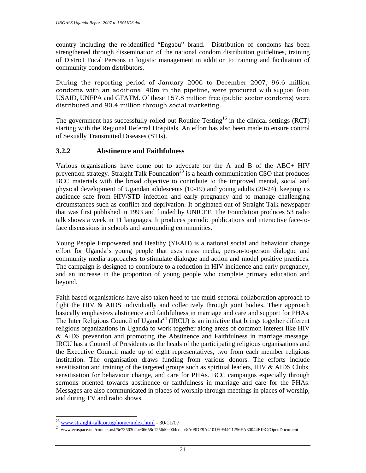country including the re-identified "Engabu" brand. Distribution of condoms has been strengthened through dissemination of the national condom distribution guidelines, training of District Focal Persons in logistic management in addition to training and facilitation of community condom distributors.

During the reporting period of January 2006 to December 2007, 96.6 million condoms with an additional 40m in the pipeline, were procured with support from USAID, UNFPA and GFATM. Of these 157.8 million free (public sector condoms) were distributed and 90.4 million through social marketing.

The government has successfully rolled out Routine Testing<sup>16</sup> in the clinical settings (RCT) starting with the Regional Referral Hospitals. An effort has also been made to ensure control of Sexually Transmitted Diseases (STIs).

## **3.2.2 Abstinence and Faithfulness**

Various organisations have come out to advocate for the A and B of the ABC+ HIV prevention strategy. Straight Talk Foundation<sup>23</sup> is a health communication CSO that produces BCC materials with the broad objective to contribute to the improved mental, social and physical development of Ugandan adolescents (10-19) and young adults (20-24), keeping its audience safe from HIV/STD infection and early pregnancy and to manage challenging circumstances such as conflict and deprivation. It originated out of Straight Talk newspaper that was first published in 1993 and funded by UNICEF. The Foundation produces 53 radio talk shows a week in 11 languages. It produces periodic publications and interactive face-toface discussions in schools and surrounding communities.

Young People Empowered and Healthy (YEAH) is a national social and behaviour change effort for Uganda's young people that uses mass media, person-to-person dialogue and community media approaches to stimulate dialogue and action and model positive practices. The campaign is designed to contribute to a reduction in HIV incidence and early pregnancy, and an increase in the proportion of young people who complete primary education and beyond.

Faith based organisations have also taken heed to the multi-sectoral collaboration approach to fight the HIV & AIDS individually and collectively through joint bodies. Their approach basically emphasizes abstinence and faithfulness in marriage and care and support for PHAs. The Inter Religious Council of Uganda<sup>24</sup> (IRCU) is an initiative that brings together different religious organizations in Uganda to work together along areas of common interest like HIV & AIDS prevention and promoting the Abstinence and Faithfulness in marriage message. IRCU has a Council of Presidents as the heads of the participating religious organisations and the Executive Council made up of eight representatives, two from each member religious institution. The organisation draws funding from various donors. The efforts include sensitisation and training of the targeted groups such as spiritual leaders, HIV & AIDS Clubs, sensitisation for behaviour change, and care for PHAs. BCC campaigns especially through sermons oriented towards abstinence or faithfulness in marriage and care for the PHAs. Messages are also communicated in places of worship through meetings in places of worship, and during TV and radio shows.

 $^{23}$  www.straight-talk.or.ug/home/index.html - 30/11/07<br><sup>24</sup> www.ecuspace.net/contact.nsf/5e7350302ae36658c1256d0c004edeb3/A08DE9A4101E0F44C1256EA80044F19C?OpenDocument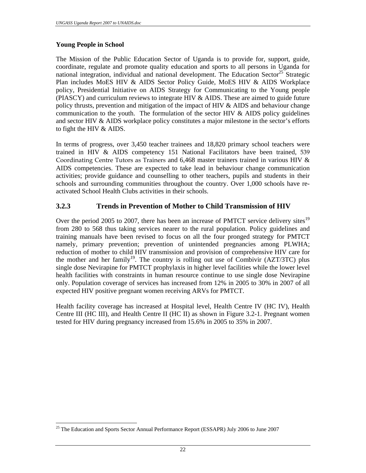#### **Young People in School**

 $\overline{a}$ 

The Mission of the Public Education Sector of Uganda is to provide for, support, guide, coordinate, regulate and promote quality education and sports to all persons in Uganda for national integration, individual and national development. The Education Sector<sup>25</sup> Strategic Plan includes MoES HIV & AIDS Sector Policy Guide, MoES HIV & AIDS Workplace policy, Presidential Initiative on AIDS Strategy for Communicating to the Young people (PIASCY) and curriculum reviews to integrate HIV & AIDS. These are aimed to guide future policy thrusts, prevention and mitigation of the impact of HIV  $\&$  AIDS and behaviour change communication to the youth. The formulation of the sector HIV  $\&$  AIDS policy guidelines and sector HIV & AIDS workplace policy constitutes a major milestone in the sector's efforts to fight the HIV & AIDS.

In terms of progress, over 3,450 teacher trainees and 18,820 primary school teachers were trained in HIV  $\&$  AIDS competency 151 National Facilitators have been trained, 539 Coordinating Centre Tutors as Trainers and 6,468 master trainers trained in various HIV & AIDS competencies. These are expected to take lead in behaviour change communication activities; provide guidance and counselling to other teachers, pupils and students in their schools and surrounding communities throughout the country. Over 1,000 schools have reactivated School Health Clubs activities in their schools.

## **3.2.3 Trends in Prevention of Mother to Child Transmission of HIV**

Over the period 2005 to 2007, there has been an increase of PMTCT service delivery sites<sup>19</sup> from 280 to 568 thus taking services nearer to the rural population. Policy guidelines and training manuals have been revised to focus on all the four pronged strategy for PMTCT namely, primary prevention; prevention of unintended pregnancies among PLWHA; reduction of mother to child HIV transmission and provision of comprehensive HIV care for the mother and her family<sup>19</sup>. The country is rolling out use of Combivir (AZT/3TC) plus single dose Nevirapine for PMTCT prophylaxis in higher level facilities while the lower level health facilities with constraints in human resource continue to use single dose Nevirapine only. Population coverage of services has increased from 12% in 2005 to 30% in 2007 of all expected HIV positive pregnant women receiving ARVs for PMTCT.

Health facility coverage has increased at Hospital level, Health Centre IV (HC IV), Health Centre III (HC III), and Health Centre II (HC II) as shown in Figure 3.2-1. Pregnant women tested for HIV during pregnancy increased from 15.6% in 2005 to 35% in 2007.

<sup>&</sup>lt;sup>25</sup> The Education and Sports Sector Annual Performance Report (ESSAPR) July 2006 to June 2007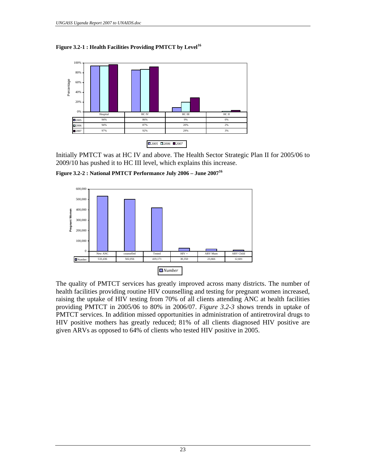



Initially PMTCT was at HC IV and above. The Health Sector Strategic Plan II for 2005/06 to 2009/10 has pushed it to HC III level, which explains this increase.

**Figure 3.2-2 : National PMTCT Performance July 2006 – June 200716**



The quality of PMTCT services has greatly improved across many districts. The number of health facilities providing routine HIV counselling and testing for pregnant women increased, raising the uptake of HIV testing from 70% of all clients attending ANC at health facilities providing PMTCT in 2005/06 to 80% in 2006/07. *Figure 3.2-3* shows trends in uptake of PMTCT services. In addition missed opportunities in administration of antiretroviral drugs to HIV positive mothers has greatly reduced; 81% of all clients diagnosed HIV positive are given ARVs as opposed to 64% of clients who tested HIV positive in 2005.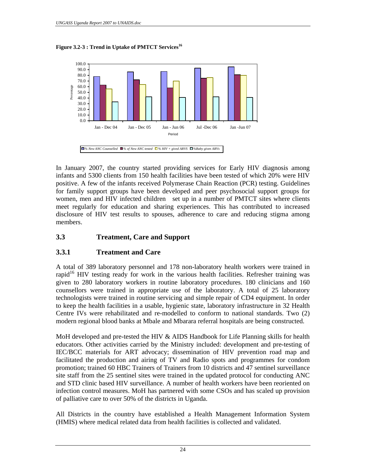



In January 2007, the country started providing services for Early HIV diagnosis among infants and 5300 clients from 150 health facilities have been tested of which 20% were HIV positive. A few of the infants received Polymerase Chain Reaction (PCR) testing. Guidelines for family support groups have been developed and peer psychosocial support groups for women, men and HIV infected children set up in a number of PMTCT sites where clients meet regularly for education and sharing experiences. This has contributed to increased disclosure of HIV test results to spouses, adherence to care and reducing stigma among members.

## **3.3 Treatment, Care and Support**

## **3.3.1 Treatment and Care**

A total of 389 laboratory personnel and 178 non-laboratory health workers were trained in rapid $16$  HIV testing ready for work in the various health facilities. Refresher training was given to 280 laboratory workers in routine laboratory procedures. 180 clinicians and 160 counsellors were trained in appropriate use of the laboratory. A total of 25 laboratory technologists were trained in routine servicing and simple repair of CD4 equipment. In order to keep the health facilities in a usable, hygienic state, laboratory infrastructure in 32 Health Centre IVs were rehabilitated and re-modelled to conform to national standards. Two (2) modern regional blood banks at Mbale and Mbarara referral hospitals are being constructed.

MoH developed and pre-tested the HIV & AIDS Handbook for Life Planning skills for health educators. Other activities carried by the Ministry included: development and pre-testing of IEC/BCC materials for ART advocacy; dissemination of HIV prevention road map and facilitated the production and airing of TV and Radio spots and programmes for condom promotion; trained 60 HBC Trainers of Trainers from 10 districts and 47 sentinel surveillance site staff from the 25 sentinel sites were trained in the updated protocol for conducting ANC and STD clinic based HIV surveillance. A number of health workers have been reoriented on infection control measures. MoH has partnered with some CSOs and has scaled up provision of palliative care to over 50% of the districts in Uganda.

All Districts in the country have established a Health Management Information System (HMIS) where medical related data from health facilities is collected and validated.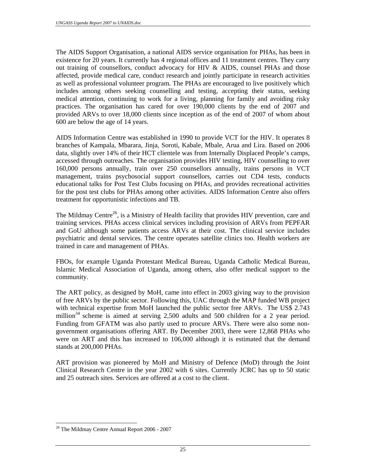The AIDS Support Organisation, a national AIDS service organisation for PHAs, has been in existence for 20 years. It currently has 4 regional offices and 11 treatment centres. They carry out training of counsellors, conduct advocacy for HIV & AIDS, counsel PHAs and those affected, provide medical care, conduct research and jointly participate in research activities as well as professional volunteer program. The PHAs are encouraged to live positively which includes among others seeking counselling and testing, accepting their status, seeking medical attention, continuing to work for a living, planning for family and avoiding risky practices. The organisation has cared for over 190,000 clients by the end of 2007 and provided ARVs to over 18,000 clients since inception as of the end of 2007 of whom about 600 are below the age of 14 years.

AIDS Information Centre was established in 1990 to provide VCT for the HIV. It operates 8 branches of Kampala, Mbarara, Jinja, Soroti, Kabale, Mbale, Arua and Lira. Based on 2006 data, slightly over 14% of their HCT clientele was from Internally Displaced People's camps, accessed through outreaches. The organisation provides HIV testing, HIV counselling to over 160,000 persons annually, train over 250 counsellors annually, trains persons in VCT management, trains psychosocial support counsellors, carries out CD4 tests, conducts educational talks for Post Test Clubs focusing on PHAs, and provides recreational activities for the post test clubs for PHAs among other activities. AIDS Information Centre also offers treatment for opportunistic infections and TB.

The Mildmay Centre<sup>26</sup>, is a Ministry of Health facility that provides HIV prevention, care and training services. PHAs access clinical services including provision of ARVs from PEPFAR and GoU although some patients access ARVs at their cost. The clinical service includes psychiatric and dental services. The centre operates satellite clinics too. Health workers are trained in care and management of PHAs.

FBOs, for example Uganda Protestant Medical Bureau, Uganda Catholic Medical Bureau, Islamic Medical Association of Uganda, among others, also offer medical support to the community.

The ART policy, as designed by MoH, came into effect in 2003 giving way to the provision of free ARVs by the public sector. Following this, UAC through the MAP funded WB project with technical expertise from MoH launched the public sector free ARVs. The US\$ 2.743 million<sup>34</sup> scheme is aimed at serving 2,500 adults and 500 children for a 2 year period. Funding from GFATM was also partly used to procure ARVs. There were also some nongovernment organisations offering ART. By December 2003, there were 12,868 PHAs who were on ART and this has increased to 106,000 although it is estimated that the demand stands at 200,000 PHAs.

ART provision was pioneered by MoH and Ministry of Defence (MoD) through the Joint Clinical Research Centre in the year 2002 with 6 sites. Currently JCRC has up to 50 static and 25 outreach sites. Services are offered at a cost to the client.

<sup>26</sup> The Mildmay Centre Annual Report 2006 - 2007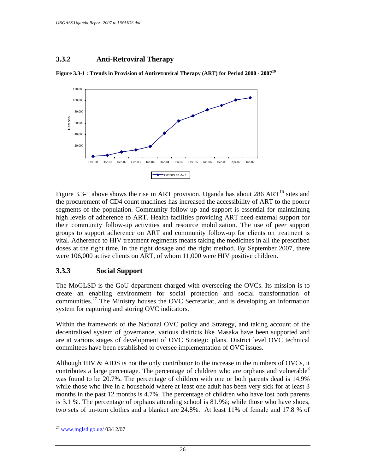## **3.3.2 Anti-Retroviral Therapy**



**Figure 3.3-1 : Trends in Provision of Antiretroviral Therapy (ART) for Period 2000 - 2007<sup>19</sup>**

Figure 3.3-1 above shows the rise in ART provision. Uganda has about 286 ART<sup>16</sup> sites and the procurement of CD4 count machines has increased the accessibility of ART to the poorer segments of the population. Community follow up and support is essential for maintaining high levels of adherence to ART. Health facilities providing ART need external support for their community follow-up activities and resource mobilization. The use of peer support groups to support adherence on ART and community follow-up for clients on treatment is vital. Adherence to HIV treatment regiments means taking the medicines in all the prescribed doses at the right time, in the right dosage and the right method. By September 2007, there were 106,000 active clients on ART, of whom 11,000 were HIV positive children.

#### **3.3.3 Social Support**

The MoGLSD is the GoU department charged with overseeing the OVCs. Its mission is to create an enabling environment for social protection and social transformation of communities.<sup>27</sup> The Ministry houses the OVC Secretariat, and is developing an information system for capturing and storing OVC indicators.

Within the framework of the National OVC policy and Strategy, and taking account of the decentralised system of governance, various districts like Masaka have been supported and are at various stages of development of OVC Strategic plans. District level OVC technical committees have been established to oversee implementation of OVC issues.

Although HIV  $\&$  AIDS is not the only contributor to the increase in the numbers of OVCs, it contributes a large percentage. The percentage of children who are orphans and vulnerable<sup>8</sup> was found to be 20.7%. The percentage of children with one or both parents dead is 14.9% while those who live in a household where at least one adult has been very sick for at least 3 months in the past 12 months is 4.7%. The percentage of children who have lost both parents is 3.1 %. The percentage of orphans attending school is 81.9%; while those who have shoes, two sets of un-torn clothes and a blanket are 24.8%. At least 11% of female and 17.8 % of

<sup>27</sup> <sup>27</sup> www.mglsd.go.ug/ 03/12/07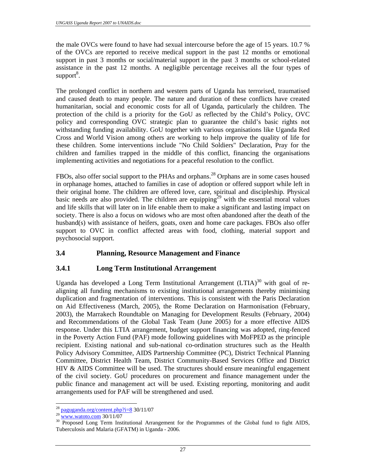the male OVCs were found to have had sexual intercourse before the age of 15 years. 10.7 % of the OVCs are reported to receive medical support in the past 12 months or emotional support in past 3 months or social/material support in the past 3 months or school-related assistance in the past 12 months. A negligible percentage receives all the four types of support<sup>8</sup>.

The prolonged conflict in northern and western parts of Uganda has terrorised, traumatised and caused death to many people. The nature and duration of these conflicts have created humanitarian, social and economic costs for all of Uganda, particularly the children. The protection of the child is a priority for the GoU as reflected by the Child's Policy, OVC policy and corresponding OVC strategic plan to guarantee the child's basic rights not withstanding funding availability. GoU together with various organisations like Uganda Red Cross and World Vision among others are working to help improve the quality of life for these children. Some interventions include "No Child Soldiers" Declaration, Pray for the children and families trapped in the middle of this conflict, financing the organisations implementing activities and negotiations for a peaceful resolution to the conflict.

FBOs, also offer social support to the PHAs and orphans.<sup>28</sup> Orphans are in some cases housed in orphanage homes, attached to families in case of adoption or offered support while left in their original home. The children are offered love, care, spiritual and discipleship. Physical basic needs are also provided. The children are equipping<sup>29</sup> with the essential moral values and life skills that will later on in life enable them to make a significant and lasting impact on society. There is also a focus on widows who are most often abandoned after the death of the husband(s) with assistance of heifers, goats, oxen and home care packages. FBOs also offer support to OVC in conflict affected areas with food, clothing, material support and psychosocial support.

## **3.4 Planning, Resource Management and Finance**

#### **3.4.1 Long Term Institutional Arrangement**

Uganda has developed a Long Term Institutional Arrangement  $(LTIA)^{30}$  with goal of realigning all funding mechanisms to existing institutional arrangements thereby minimising duplication and fragmentation of interventions. This is consistent with the Paris Declaration on Aid Effectiveness (March, 2005), the Rome Declaration on Harmonisation (February, 2003), the Marrakech Roundtable on Managing for Development Results (February, 2004) and Recommendations of the Global Task Team (June 2005) for a more effective AIDS response. Under this LTIA arrangement, budget support financing was adopted, ring-fenced in the Poverty Action Fund (PAF) mode following guidelines with MoFPED as the principle recipient. Existing national and sub-national co-ordination structures such as the Health Policy Advisory Committee, AIDS Partnership Committee (PC), District Technical Planning Committee, District Health Team, District Community-Based Services Office and District HIV & AIDS Committee will be used. The structures should ensure meaningful engagement of the civil society. GoU procedures on procurement and finance management under the public finance and management act will be used. Existing reporting, monitoring and audit arrangements used for PAF will be strengthened and used.

 $\overline{a}$ 

<sup>&</sup>lt;sup>28</sup> paguganda.org/content.php?i=8 30/11/07<br><sup>29</sup> www.watoto.com 30/11/07<br><sup>30</sup> Proposed Long Term Institutional Arrangement for the Programmes of the Global fund to fight AIDS, Tuberculosis and Malaria (GFATM) in Uganda - 2006.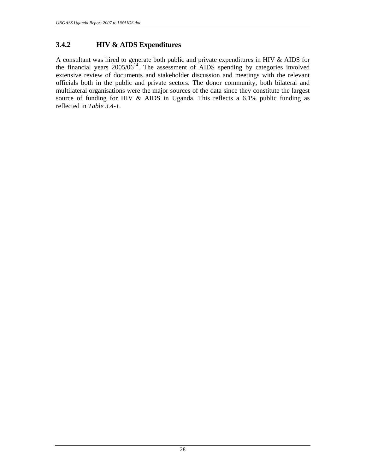## **3.4.2 HIV & AIDS Expenditures**

A consultant was hired to generate both public and private expenditures in HIV & AIDS for the financial years  $2005/06^{14}$ . The assessment of AIDS spending by categories involved extensive review of documents and stakeholder discussion and meetings with the relevant officials both in the public and private sectors. The donor community, both bilateral and multilateral organisations were the major sources of the data since they constitute the largest source of funding for HIV & AIDS in Uganda. This reflects a 6.1% public funding as reflected in *Table 3.4-1*.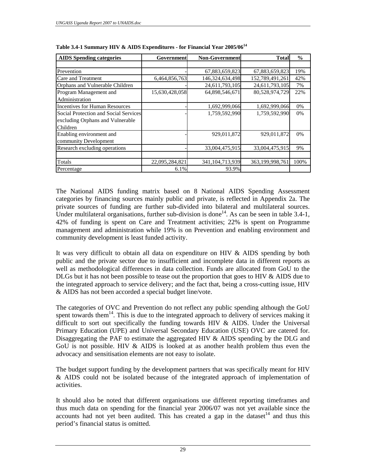| <b>AIDS</b> Spending categories       | Government     | <b>Non-Government</b> | <b>Total</b>    | $\frac{6}{9}$ |
|---------------------------------------|----------------|-----------------------|-----------------|---------------|
|                                       |                |                       |                 |               |
| Prevention                            |                | 67,883,659,823        | 67,883,659,823  | 19%           |
| Care and Treatment                    | 6,464,856,763  | 146,324,634,498       | 152,789,491,261 | 42%           |
| Orphans and Vulnerable Children       |                | 24,611,793,105        | 24,611,793,105  | 7%            |
| Program Management and                | 15,630,428,058 | 64,898,546,671        | 80,528,974,729  | 22%           |
| Administration                        |                |                       |                 |               |
| <b>Incentives for Human Resources</b> |                | 1,692,999,066         | 1,692,999,066   | 0%            |
| Social Protection and Social Services |                | 1,759,592,990         | 1,759,592,990   | $0\%$         |
| excluding Orphans and Vulnerable      |                |                       |                 |               |
| Children                              |                |                       |                 |               |
| Enabling environment and              |                | 929,011,872           | 929,011,872     | 0%            |
| community Development                 |                |                       |                 |               |
| Research excluding operations         |                | 33,004,475,915        | 33,004,475,915  | 9%            |
|                                       |                |                       |                 |               |
| Totals                                | 22,095,284,821 | 341, 104, 713, 939    | 363,199,998,761 | 100%          |
| Percentage                            | 6.1%           | 93.9%                 |                 |               |

**Table 3.4-1 Summary HIV & AIDS Expenditures - for Financial Year 2005/06<sup>14</sup>**

The National AIDS funding matrix based on 8 National AIDS Spending Assessment categories by financing sources mainly public and private, is reflected in Appendix 2a. The private sources of funding are further sub-divided into bilateral and multilateral sources. Under multilateral organisations, further sub-division is done<sup>14</sup>. As can be seen in table 3.4-1, 42% of funding is spent on Care and Treatment activities; 22% is spent on Programme management and administration while 19% is on Prevention and enabling environment and community development is least funded activity.

It was very difficult to obtain all data on expenditure on HIV & AIDS spending by both public and the private sector due to insufficient and incomplete data in different reports as well as methodological differences in data collection. Funds are allocated from GoU to the DLGs but it has not been possible to tease out the proportion that goes to HIV & AIDS due to the integrated approach to service delivery; and the fact that, being a cross-cutting issue, HIV & AIDS has not been accorded a special budget line/vote.

The categories of OVC and Prevention do not reflect any public spending although the GoU spent towards them<sup>14</sup>. This is due to the integrated approach to delivery of services making it difficult to sort out specifically the funding towards HIV & AIDS. Under the Universal Primary Education (UPE) and Universal Secondary Education (USE) OVC are catered for. Disaggregating the PAF to estimate the aggregated HIV & AIDS spending by the DLG and GoU is not possible. HIV & AIDS is looked at as another health problem thus even the advocacy and sensitisation elements are not easy to isolate.

The budget support funding by the development partners that was specifically meant for HIV & AIDS could not be isolated because of the integrated approach of implementation of activities.

It should also be noted that different organisations use different reporting timeframes and thus much data on spending for the financial year 2006/07 was not yet available since the accounts had not yet been audited. This has created a gap in the dataset<sup>14</sup> and thus this period's financial status is omitted.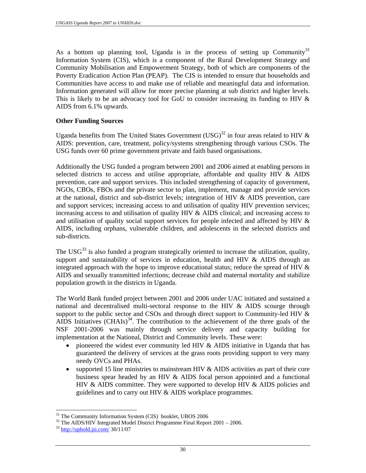As a bottom up planning tool, Uganda is in the process of setting up Community<sup>31</sup> Information System (CIS), which is a component of the Rural Development Strategy and Community Mobilisation and Empowerment Strategy, both of which are components of the Poverty Eradication Action Plan (PEAP). The CIS is intended to ensure that households and Communities have access to and make use of reliable and meaningful data and information. Information generated will allow for more precise planning at sub district and higher levels. This is likely to be an advocacy tool for GoU to consider increasing its funding to HIV & AIDS from 6.1% upwards.

#### **Other Funding Sources**

Uganda benefits from The United States Government  $(USG)^{32}$  in four areas related to HIV & AIDS: prevention, care, treatment, policy/systems strengthening through various CSOs. The USG funds over 60 prime government private and faith based organisations.

Additionally the USG funded a program between 2001 and 2006 aimed at enabling persons in selected districts to access and utilise appropriate, affordable and quality HIV & AIDS prevention, care and support services. This included strengthening of capacity of government, NGOs, CBOs, FBOs and the private sector to plan, implement, manage and provide services at the national, district and sub-district levels; integration of HIV  $\&$  AIDS prevention, care and support services; increasing access to and utilisation of quality HIV prevention services; increasing access to and utilisation of quality HIV & AIDS clinical; and increasing access to and utilisation of quality social support services for people infected and affected by HIV & AIDS, including orphans, vulnerable children, and adolescents in the selected districts and sub-districts.

The USG<sup>33</sup> is also funded a program strategically oriented to increase the utilization, quality, support and sustainability of services in education, health and HIV  $&$  AIDS through an integrated approach with the hope to improve educational status; reduce the spread of HIV & AIDS and sexually transmitted infections; decrease child and maternal mortality and stabilize population growth in the districts in Uganda.

The World Bank funded project between 2001 and 2006 under UAC initiated and sustained a national and decentralised multi-sectoral response to the HIV & AIDS scourge through support to the public sector and CSOs and through direct support to Community-led HIV  $\&$ AIDS Initiatives  $(CHAIs)^{34}$ . The contribution to the achievement of the three goals of the NSF 2001-2006 was mainly through service delivery and capacity building for implementation at the National, District and Community levels. These were:

- pioneered the widest ever community led HIV & AIDS initiative in Uganda that has guaranteed the delivery of services at the grass roots providing support to very many needy OVCs and PHAs.
- supported 15 line ministries to mainstream HIV & AIDS activities as part of their core business spear headed by an HIV & AIDS focal person appointed and a functional HIV & AIDS committee. They were supported to develop HIV & AIDS policies and guidelines and to carry out HIV & AIDS workplace programmes.

<sup>&</sup>lt;sup>31</sup> The Community Information System (CIS) booklet, UBOS 2006

 $32$  The AIDS/HIV Integrated Model District Programme Final Report 2001 – 2006.

<sup>33</sup> http://uphold.jsi.com/ 30/11/07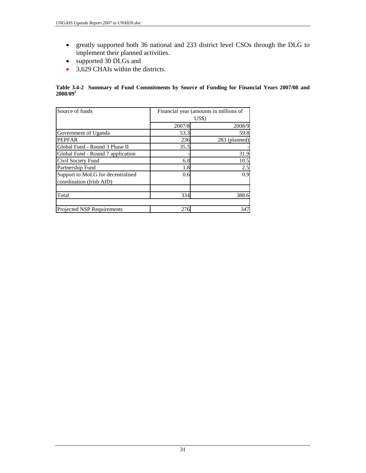- greatly supported both 36 national and 233 district level CSOs through the DLG to implement their planned activities.
- supported 30 DLGs and
- 3,629 CHAIs within the districts.

#### **Table 3.4-2 Summary of Fund Commitments by Source of Funding for Financial Years 2007/08 and 2008/09<sup>5</sup>**

| Source of funds                   | Financial year (amounts in millions of<br>USS |               |  |
|-----------------------------------|-----------------------------------------------|---------------|--|
|                                   |                                               |               |  |
|                                   | 2007/8                                        | 2008/9        |  |
| Government of Uganda              | 53.3                                          | 59.8          |  |
| <b>PEPFAR</b>                     | 236                                           | 283 (planned) |  |
| Global Fund - Round 3 Phase II    | 35.5                                          |               |  |
| Global Fund - Round 7 application |                                               | 31.9          |  |
| Civil Society Fund                | 6.8                                           | 10.5          |  |
| Partnership Fund                  | 1.8                                           | 2.5           |  |
| Support to MoLG for decentralised | 0.6                                           | 0.9           |  |
| coordination (Irish AID)          |                                               |               |  |
| Total                             | 334                                           | 388.6         |  |
| Projected NSP Requirements        | 276                                           | 347           |  |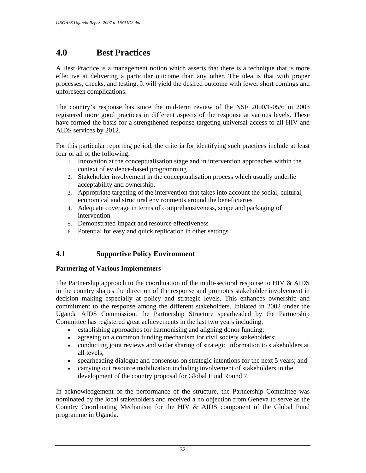# **4.0 Best Practices**

A Best Practice is a management notion which asserts that there is a technique that is more effective at delivering a particular outcome than any other. The idea is that with proper processes, checks, and testing. It will yield the desired outcome with fewer short comings and unforeseen complications.

The country's response has since the mid-term review of the NSF 2000/1-05/6 in 2003 registered more good practices in different aspects of the response at various levels. These have formed the basis for a strengthened response targeting universal access to all HIV and AIDS services by 2012.

For this particular reporting period, the criteria for identifying such practices include at least four or all of the following:

- 1. Innovation at the conceptualisation stage and in intervention approaches within the context of evidence-based programming
- 2. Stakeholder involvement in the conceptualisation process which usually underlie acceptability and ownership,
- 3. Appropriate targeting of the intervention that takes into account the social, cultural, economical and structural environments around the beneficiaries
- 4. Adequate coverage in terms of comprehensiveness, scope and packaging of intervention
- 5. Demonstrated impact and resource effectiveness
- 6. Potential for easy and quick replication in other settings

# **4.1 Supportive Policy Environment**

#### **Partnering of Various Implementers**

The Partnership approach to the coordination of the multi-sectoral response to HIV & AIDS in the country shapes the direction of the response and promotes stakeholder involvement in decision making especially at policy and strategic levels. This enhances ownership and commitment to the response among the different stakeholders. Initiated in 2002 under the Uganda AIDS Commission, the Partnership Structure spearheaded by the Partnership Committee has registered great achievements in the last two years including:

- establishing approaches for harmonising and aligning donor funding;
- agreeing on a common funding mechanism for civil society stakeholders;
- conducting joint reviews and wider sharing of strategic information to stakeholders at all levels;
- spearheading dialogue and consensus on strategic intentions for the next 5 years; and
- carrying out resource mobilization including involvement of stakeholders in the development of the country proposal for Global Fund Round 7.

In acknowledgement of the performance of the structure, the Partnership Committee was nominated by the local stakeholders and received a no objection from Geneva to serve as the Country Coordinating Mechanism for the HIV & AIDS component of the Global Fund programme in Uganda.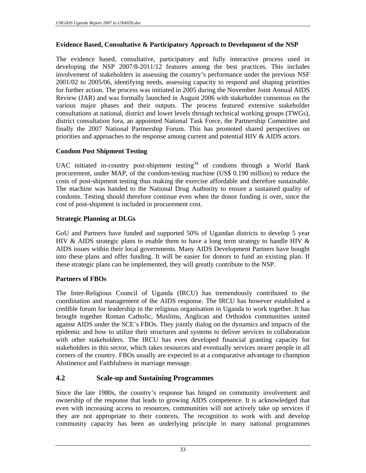### **Evidence Based, Consultative & Participatory Approach to Development of the NSP**

The evidence based, consultative, participatory and fully interactive process used in developing the NSP 2007/8-2011/12 features among the best practices. This includes involvement of stakeholders in assessing the country's performance under the previous NSF 2001/02 to 2005/06, identifying needs, assessing capacity to respond and shaping priorities for further action. The process was initiated in 2005 during the November Joint Annual AIDS Review (JAR) and was formally launched in August 2006 with stakeholder consensus on the various major phases and their outputs. The process featured extensive stakeholder consultations at national, district and lower levels through technical working groups (TWGs), district consultation fora, an appointed National Task Force, the Partnership Committee and finally the 2007 National Partnership Forum. This has promoted shared perspectives on priorities and approaches to the response among current and potential HIV & AIDS actors.

## **Condom Post Shipment Testing**

UAC initiated in-country post-shipment testing<sup>34</sup> of condoms through a World Bank procurement, under MAP, of the condom-testing machine (US\$ 0.190 million) to reduce the costs of post-shipment testing thus making the exercise affordable and therefore sustainable. The machine was handed to the National Drug Authority to ensure a sustained quality of condoms. Testing should therefore continue even when the donor funding is over, since the cost of post-shipment is included in procurement cost.

## **Strategic Planning at DLGs**

GoU and Partners have funded and supported 50% of Ugandan districts to develop 5 year HIV & AIDS strategic plans to enable them to have a long term strategy to handle HIV  $\&$ AIDS issues within their local governments. Many AIDS Development Partners have bought into these plans and offer funding. It will be easier for donors to fund an existing plan. If these strategic plans can be implemented, they will greatly contribute to the NSP.

### **Partners of FBOs**

The Inter-Religious Council of Uganda (IRCU) has tremendously contributed to the coordination and management of the AIDS response. The IRCU has however established a credible forum for leadership in the religious organisation in Uganda to work together. It has brought together Roman Catholic, Muslims, Anglican and Orthodox communities united against AIDS under the SCE's FBOs. They jointly dialog on the dynamics and impacts of the epidemic and how to utilize their structures and systems to deliver services in collaboration with other stakeholders. The IRCU has even developed financial granting capacity for stakeholders in this sector, which takes resources and eventually services nearer people in all corners of the country. FBOs usually are expected to at a comparative advantage to champion Abstinence and Faithfulness in marriage message.

# **4.2 Scale-up and Sustaining Programmes**

Since the late 1980s, the country's response has hinged on community involvement and ownership of the response that leads to growing AIDS competence. It is acknowledged that even with increasing access to resources, communities will not actively take up services if they are not appropriate to their contexts. The recognition to work with and develop community capacity has been an underlying principle in many national programmes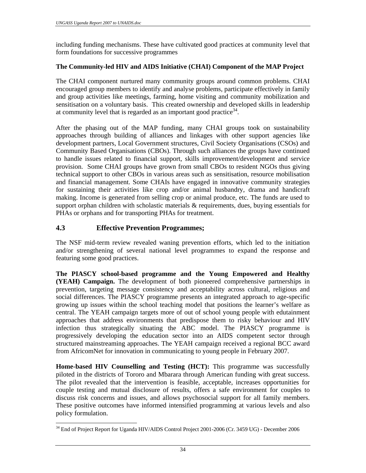including funding mechanisms. These have cultivated good practices at community level that form foundations for successive programmes

#### **The Community-led HIV and AIDS Initiative (CHAI) Component of the MAP Project**

The CHAI component nurtured many community groups around common problems. CHAI encouraged group members to identify and analyse problems, participate effectively in family and group activities like meetings, farming, home visiting and community mobilization and sensitisation on a voluntary basis. This created ownership and developed skills in leadership at community level that is regarded as an important good practice  $34$ .

After the phasing out of the MAP funding, many CHAI groups took on sustainability approaches through building of alliances and linkages with other support agencies like development partners, Local Government structures, Civil Society Organisations (CSOs) and Community Based Organisations (CBOs). Through such alliances the groups have continued to handle issues related to financial support, skills improvement/development and service provision. Some CHAI groups have grown from small CBOs to resident NGOs thus giving technical support to other CBOs in various areas such as sensitisation, resource mobilisation and financial management. Some CHAIs have engaged in innovative community strategies for sustaining their activities like crop and/or animal husbandry, drama and handicraft making. Income is generated from selling crop or animal produce, etc. The funds are used to support orphan children with scholastic materials & requirements, dues, buying essentials for PHAs or orphans and for transporting PHAs for treatment.

## **4.3 Effective Prevention Programmes;**

 $\overline{a}$ 

The NSF mid-term review revealed waning prevention efforts, which led to the initiation and/or strengthening of several national level programmes to expand the response and featuring some good practices.

**The PIASCY school-based programme and the Young Empowered and Healthy (YEAH) Campaign.** The development of both pioneered comprehensive partnerships in prevention, targeting message consistency and acceptability across cultural, religious and social differences. The PIASCY programme presents an integrated approach to age-specific growing up issues within the school teaching model that positions the learner's welfare as central. The YEAH campaign targets more of out of school young people with edutainment approaches that address environments that predispose them to risky behaviour and HIV infection thus strategically situating the ABC model. The PIASCY programme is progressively developing the education sector into an AIDS competent sector through structured mainstreaming approaches. The YEAH campaign received a regional BCC award from AfricomNet for innovation in communicating to young people in February 2007.

**Home-based HIV Counselling and Testing (HCT):** This programme was successfully piloted in the districts of Tororo and Mbarara through American funding with great success. The pilot revealed that the intervention is feasible, acceptable, increases opportunities for couple testing and mutual disclosure of results, offers a safe environment for couples to discuss risk concerns and issues, and allows psychosocial support for all family members. These positive outcomes have informed intensified programming at various levels and also policy formulation.

<sup>&</sup>lt;sup>34</sup> End of Project Report for Uganda HIV/AIDS Control Project 2001-2006 (Cr. 3459 UG) - December 2006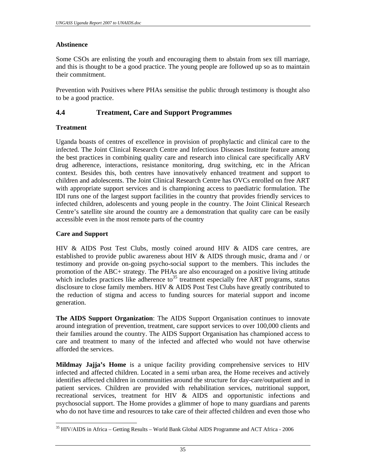#### **Abstinence**

Some CSOs are enlisting the youth and encouraging them to abstain from sex till marriage, and this is thought to be a good practice. The young people are followed up so as to maintain their commitment.

Prevention with Positives where PHAs sensitise the public through testimony is thought also to be a good practice.

### **4.4 Treatment, Care and Support Programmes**

#### **Treatment**

Uganda boasts of centres of excellence in provision of prophylactic and clinical care to the infected. The Joint Clinical Research Centre and Infectious Diseases Institute feature among the best practices in combining quality care and research into clinical care specifically ARV drug adherence, interactions, resistance monitoring, drug switching, etc in the African context. Besides this, both centres have innovatively enhanced treatment and support to children and adolescents. The Joint Clinical Research Centre has OVCs enrolled on free ART with appropriate support services and is championing access to paediatric formulation. The IDI runs one of the largest support facilities in the country that provides friendly services to infected children, adolescents and young people in the country. The Joint Clinical Research Centre's satellite site around the country are a demonstration that quality care can be easily accessible even in the most remote parts of the country

#### **Care and Support**

HIV & AIDS Post Test Clubs, mostly coined around HIV & AIDS care centres, are established to provide public awareness about HIV & AIDS through music, drama and / or testimony and provide on-going psycho-social support to the members. This includes the promotion of the ABC+ strategy. The PHAs are also encouraged on a positive living attitude which includes practices like adherence to<sup>35</sup> treatment especially free ART programs, status disclosure to close family members. HIV & AIDS Post Test Clubs have greatly contributed to the reduction of stigma and access to funding sources for material support and income generation.

**The AIDS Support Organization**: The AIDS Support Organisation continues to innovate around integration of prevention, treatment, care support services to over 100,000 clients and their families around the country. The AIDS Support Organisation has championed access to care and treatment to many of the infected and affected who would not have otherwise afforded the services.

**Mildmay Jajja's Home** is a unique facility providing comprehensive services to HIV infected and affected children. Located in a semi urban area, the Home receives and actively identifies affected children in communities around the structure for day-care/outpatient and in patient services. Children are provided with rehabilitation services, nutritional support, recreational services, treatment for HIV & AIDS and opportunistic infections and psychosocial support. The Home provides a glimmer of hope to many guardians and parents who do not have time and resources to take care of their affected children and even those who

 $\overline{a}$ <sup>35</sup> HIV/AIDS in Africa – Getting Results – World Bank Global AIDS Programme and ACT Africa - 2006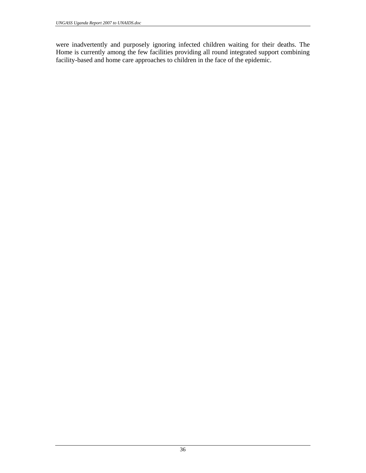were inadvertently and purposely ignoring infected children waiting for their deaths. The Home is currently among the few facilities providing all round integrated support combining facility-based and home care approaches to children in the face of the epidemic.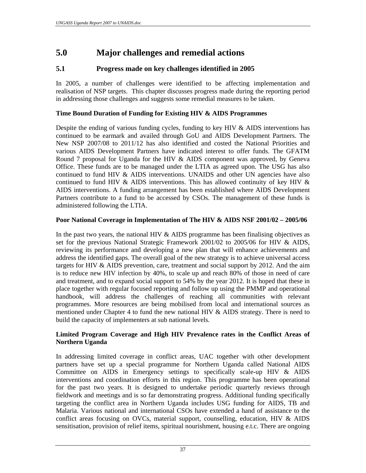# **5.0 Major challenges and remedial actions**

# **5.1 Progress made on key challenges identified in 2005**

In 2005, a number of challenges were identified to be affecting implementation and realisation of NSP targets. This chapter discusses progress made during the reporting period in addressing those challenges and suggests some remedial measures to be taken.

# **Time Bound Duration of Funding for Existing HIV & AIDS Programmes**

Despite the ending of various funding cycles, funding to key HIV & AIDS interventions has continued to be earmark and availed through GoU and AIDS Development Partners. The New NSP 2007/08 to 2011/12 has also identified and costed the National Priorities and various AIDS Development Partners have indicated interest to offer funds. The GFATM Round 7 proposal for Uganda for the HIV & AIDS component was approved, by Geneva Office. These funds are to be managed under the LTIA as agreed upon. The USG has also continued to fund HIV & AIDS interventions. UNAIDS and other UN agencies have also continued to fund HIV  $\&$  AIDS interventions. This has allowed continuity of key HIV  $\&$ AIDS interventions. A funding arrangement has been established where AIDS Development Partners contribute to a fund to be accessed by CSOs. The management of these funds is administered following the LTIA.

### **Poor National Coverage in Implementation of The HIV & AIDS NSF 2001/02 – 2005/06**

In the past two years, the national HIV  $\&$  AIDS programme has been finalising objectives as set for the previous National Strategic Framework 2001/02 to 2005/06 for HIV & AIDS, reviewing its performance and developing a new plan that will enhance achievements and address the identified gaps. The overall goal of the new strategy is to achieve universal access targets for HIV & AIDS prevention, care, treatment and social support by 2012. And the aim is to reduce new HIV infection by 40%, to scale up and reach 80% of those in need of care and treatment, and to expand social support to 54% by the year 2012. It is hoped that these in place together with regular focused reporting and follow up using the PMMP and operational handbook, will address the challenges of reaching all communities with relevant programmes. More resources are being mobilised from local and international sources as mentioned under Chapter 4 to fund the new national HIV & AIDS strategy. There is need to build the capacity of implementers at sub national levels.

#### **Limited Program Coverage and High HIV Prevalence rates in the Conflict Areas of Northern Uganda**

In addressing limited coverage in conflict areas, UAC together with other development partners have set up a special programme for Northern Uganda called National AIDS Committee on AIDS in Emergency settings to specifically scale-up HIV & AIDS interventions and coordination efforts in this region. This programme has been operational for the past two years. It is designed to undertake periodic quarterly reviews through fieldwork and meetings and is so far demonstrating progress. Additional funding specifically targeting the conflict area in Northern Uganda includes USG funding for AIDS, TB and Malaria. Various national and international CSOs have extended a hand of assistance to the conflict areas focusing on OVCs, material support, counselling, education, HIV & AIDS sensitisation, provision of relief items, spiritual nourishment, housing e.t.c. There are ongoing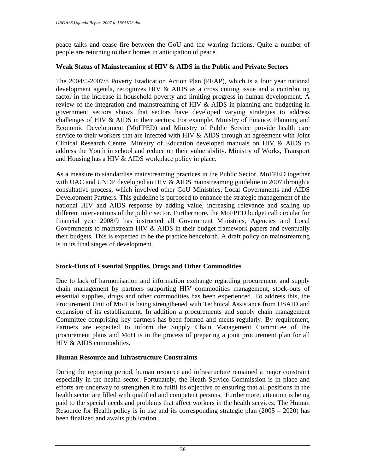peace talks and cease fire between the GoU and the warring factions. Quite a number of people are returning to their homes in anticipation of peace.

#### **Weak Status of Mainstreaming of HIV & AIDS in the Public and Private Sectors**

The 2004/5-2007/8 Poverty Eradication Action Plan (PEAP), which is a four year national development agenda, recognizes HIV & AIDS as a cross cutting issue and a contributing factor in the increase in household poverty and limiting progress in human development. A review of the integration and mainstreaming of HIV & AIDS in planning and budgeting in government sectors shows that sectors have developed varying strategies to address challenges of HIV & AIDS in their sectors. For example, Ministry of Finance, Planning and Economic Development (MoFPED) and Ministry of Public Service provide health care service to their workers that are infected with HIV  $\&$  AIDS through an agreement with Joint Clinical Research Centre. Ministry of Education developed manuals on HIV & AIDS to address the Youth in school and reduce on their vulnerability. Ministry of Works, Transport and Housing has a HIV & AIDS workplace policy in place.

As a measure to standardise mainstreaming practices in the Public Sector, MoFPED together with UAC and UNDP developed an HIV & AIDS mainstreaming guideline in 2007 through a consultative process, which involved other GoU Ministries, Local Governments and AIDS Development Partners. This guideline is purposed to enhance the strategic management of the national HIV and AIDS response by adding value, increasing relevance and scaling up different interventions of the public sector. Furthermore, the MoFPED budget call circular for financial year 2008/9 has instructed all Government Ministries, Agencies and Local Governments to mainstream HIV & AIDS in their budget framework papers and eventually their budgets. This is expected to be the practice henceforth. A draft policy on mainstreaming is in its final stages of development.

### **Stock-Outs of Essential Supplies, Drugs and Other Commodities**

Due to lack of harmonisation and information exchange regarding procurement and supply chain management by partners supporting HIV commodities management, stock-outs of essential supplies, drugs and other commodities has been experienced. To address this, the Procurement Unit of MoH is being strengthened with Technical Assistance from USAID and expansion of its establishment. In addition a procurements and supply chain management Committee comprising key partners has been formed and meets regularly. By requirement, Partners are expected to inform the Supply Chain Management Committee of the procurement plans and MoH is in the process of preparing a joint procurement plan for all HIV & AIDS commodities.

#### **Human Resource and Infrastructure Constraints**

During the reporting period, human resource and infrastructure remained a major constraint especially in the health sector. Fortunately, the Heath Service Commission is in place and efforts are underway to strengthen it to fulfil its objective of ensuring that all positions in the health sector are filled with qualified and competent persons. Furthermore, attention is being paid to the special needs and problems that affect workers in the health services. The Human Resource for Health policy is in use and its corresponding strategic plan  $(2005 - 2020)$  has been finalized and awaits publication.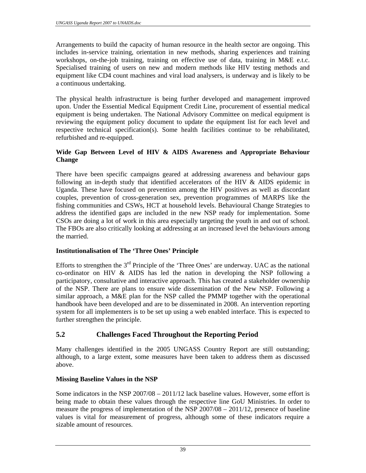Arrangements to build the capacity of human resource in the health sector are ongoing. This includes in-service training, orientation in new methods, sharing experiences and training workshops, on-the-job training, training on effective use of data, training in M&E e.t.c. Specialised training of users on new and modern methods like HIV testing methods and equipment like CD4 count machines and viral load analysers, is underway and is likely to be a continuous undertaking.

The physical health infrastructure is being further developed and management improved upon. Under the Essential Medical Equipment Credit Line, procurement of essential medical equipment is being undertaken. The National Advisory Committee on medical equipment is reviewing the equipment policy document to update the equipment list for each level and respective technical specification(s). Some health facilities continue to be rehabilitated, refurbished and re-equipped.

### **Wide Gap Between Level of HIV & AIDS Awareness and Appropriate Behaviour Change**

There have been specific campaigns geared at addressing awareness and behaviour gaps following an in-depth study that identified accelerators of the HIV & AIDS epidemic in Uganda. These have focused on prevention among the HIV positives as well as discordant couples, prevention of cross-generation sex, prevention programmes of MARPS like the fishing communities and CSWs, HCT at household levels. Behavioural Change Strategies to address the identified gaps are included in the new NSP ready for implementation. Some CSOs are doing a lot of work in this area especially targeting the youth in and out of school. The FBOs are also critically looking at addressing at an increased level the behaviours among the married.

# **Institutionalisation of The 'Three Ones' Principle**

Efforts to strengthen the  $3<sup>rd</sup>$  Principle of the 'Three Ones' are underway. UAC as the national co-ordinator on HIV & AIDS has led the nation in developing the NSP following a participatory, consultative and interactive approach. This has created a stakeholder ownership of the NSP. There are plans to ensure wide dissemination of the New NSP. Following a similar approach, a M&E plan for the NSP called the PMMP together with the operational handbook have been developed and are to be disseminated in 2008. An intervention reporting system for all implementers is to be set up using a web enabled interface. This is expected to further strengthen the principle.

# **5.2 Challenges Faced Throughout the Reporting Period**

Many challenges identified in the 2005 UNGASS Country Report are still outstanding; although, to a large extent, some measures have been taken to address them as discussed above.

# **Missing Baseline Values in the NSP**

Some indicators in the NSP 2007/08 – 2011/12 lack baseline values. However, some effort is being made to obtain these values through the respective line GoU Ministries. In order to measure the progress of implementation of the NSP 2007/08 – 2011/12, presence of baseline values is vital for measurement of progress, although some of these indicators require a sizable amount of resources.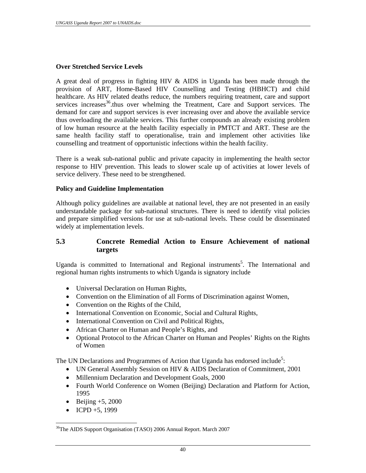#### **Over Stretched Service Levels**

A great deal of progress in fighting HIV & AIDS in Uganda has been made through the provision of ART, Home-Based HIV Counselling and Testing (HBHCT) and child healthcare. As HIV related deaths reduce, the numbers requiring treatment, care and support services increases<sup>36</sup>.thus over whelming the Treatment, Care and Support services. The demand for care and support services is ever increasing over and above the available service thus overloading the available services. This further compounds an already existing problem of low human resource at the health facility especially in PMTCT and ART. These are the same health facility staff to operationalise, train and implement other activities like counselling and treatment of opportunistic infections within the health facility.

There is a weak sub-national public and private capacity in implementing the health sector response to HIV prevention. This leads to slower scale up of activities at lower levels of service delivery. These need to be strengthened.

#### **Policy and Guideline Implementation**

Although policy guidelines are available at national level, they are not presented in an easily understandable package for sub-national structures. There is need to identify vital policies and prepare simplified versions for use at sub-national levels. These could be disseminated widely at implementation levels.

### **5.3 Concrete Remedial Action to Ensure Achievement of national targets**

Uganda is committed to International and Regional instruments<sup>5</sup>. The International and regional human rights instruments to which Uganda is signatory include

- Universal Declaration on Human Rights,
- Convention on the Elimination of all Forms of Discrimination against Women,
- Convention on the Rights of the Child,
- International Convention on Economic, Social and Cultural Rights,
- International Convention on Civil and Political Rights,
- African Charter on Human and People's Rights, and
- Optional Protocol to the African Charter on Human and Peoples' Rights on the Rights of Women

The UN Declarations and Programmes of Action that Uganda has endorsed include<sup>5</sup>:

- UN General Assembly Session on HIV & AIDS Declaration of Commitment, 2001
- Millennium Declaration and Development Goals, 2000
- Fourth World Conference on Women (Beijing) Declaration and Platform for Action, 1995
- Beijing  $+5$ , 2000
- ICPD +5, 1999

 $\overline{a}$ 

<sup>&</sup>lt;sup>36</sup>The AIDS Support Organisation (TASO) 2006 Annual Report. March 2007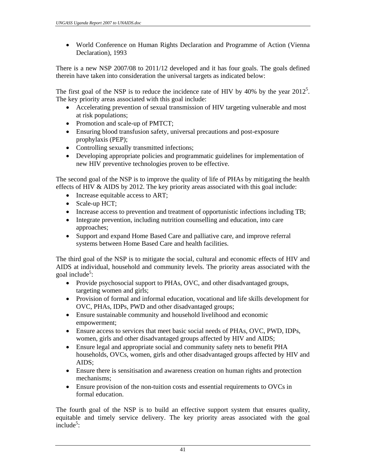• World Conference on Human Rights Declaration and Programme of Action (Vienna Declaration), 1993

There is a new NSP 2007/08 to 2011/12 developed and it has four goals. The goals defined therein have taken into consideration the universal targets as indicated below:

The first goal of the NSP is to reduce the incidence rate of HIV by 40% by the year  $2012^5$ . The key priority areas associated with this goal include:

- Accelerating prevention of sexual transmission of HIV targeting vulnerable and most at risk populations;
- Promotion and scale-up of PMTCT;
- Ensuring blood transfusion safety, universal precautions and post-exposure prophylaxis (PEP);
- Controlling sexually transmitted infections;
- Developing appropriate policies and programmatic guidelines for implementation of new HIV preventive technologies proven to be effective.

The second goal of the NSP is to improve the quality of life of PHAs by mitigating the health effects of HIV & AIDS by 2012. The key priority areas associated with this goal include:

- Increase equitable access to ART;
- Scale-up HCT;
- Increase access to prevention and treatment of opportunistic infections including TB;
- Integrate prevention, including nutrition counselling and education, into care approaches;
- Support and expand Home Based Care and palliative care, and improve referral systems between Home Based Care and health facilities.

The third goal of the NSP is to mitigate the social, cultural and economic effects of HIV and AIDS at individual, household and community levels. The priority areas associated with the goal include<sup>5</sup>:

- Provide psychosocial support to PHAs, OVC, and other disadvantaged groups, targeting women and girls;
- Provision of formal and informal education, vocational and life skills development for OVC, PHAs, IDPs, PWD and other disadvantaged groups;
- Ensure sustainable community and household livelihood and economic empowerment;
- Ensure access to services that meet basic social needs of PHAs, OVC, PWD, IDPs, women, girls and other disadvantaged groups affected by HIV and AIDS;
- Ensure legal and appropriate social and community safety nets to benefit PHA households, OVCs, women, girls and other disadvantaged groups affected by HIV and AIDS;
- Ensure there is sensitisation and awareness creation on human rights and protection mechanisms;
- Ensure provision of the non-tuition costs and essential requirements to OVCs in formal education.

The fourth goal of the NSP is to build an effective support system that ensures quality, equitable and timely service delivery. The key priority areas associated with the goal  $include^5$ :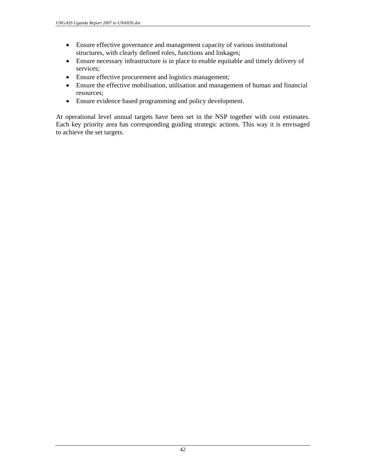- Ensure effective governance and management capacity of various institutional structures, with clearly defined roles, functions and linkages;
- Ensure necessary infrastructure is in place to enable equitable and timely delivery of services;
- Ensure effective procurement and logistics management;
- Ensure the effective mobilisation, utilisation and management of human and financial resources;
- Ensure evidence based programming and policy development.

At operational level annual targets have been set in the NSP together with cost estimates. Each key priority area has corresponding guiding strategic actions. This way it is envisaged to achieve the set targets.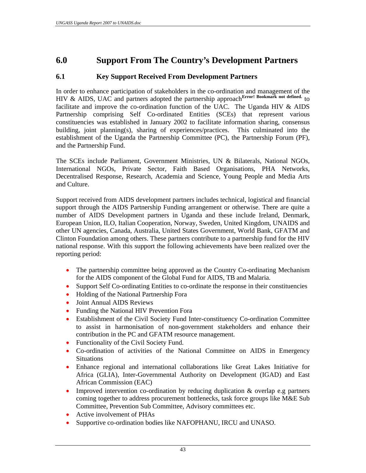# **6.0 Support From The Country's Development Partners**

# **6.1 Key Support Received From Development Partners**

In order to enhance participation of stakeholders in the co-ordination and management of the HIV & AIDS, UAC and partners adopted the partnership approach<sup>Error!</sup> Bookmark not defined. to facilitate and improve the co-ordination function of the UAC. The Uganda HIV & AIDS Partnership comprising Self Co-ordinated Entities (SCEs) that represent various constituencies was established in January 2002 to facilitate information sharing, consensus building, joint planning(s), sharing of experiences/practices. This culminated into the establishment of the Uganda the Partnership Committee (PC), the Partnership Forum (PF), and the Partnership Fund.

The SCEs include Parliament, Government Ministries, UN & Bilaterals, National NGOs, International NGOs, Private Sector, Faith Based Organisations, PHA Networks, Decentralised Response, Research, Academia and Science, Young People and Media Arts and Culture.

Support received from AIDS development partners includes technical, logistical and financial support through the AIDS Partnership Funding arrangement or otherwise. There are quite a number of AIDS Development partners in Uganda and these include Ireland, Denmark, European Union, ILO, Italian Cooperation, Norway, Sweden, United Kingdom, UNAIDS and other UN agencies, Canada, Australia, United States Government, World Bank, GFATM and Clinton Foundation among others. These partners contribute to a partnership fund for the HIV national response. With this support the following achievements have been realized over the reporting period:

- The partnership committee being approved as the Country Co-ordinating Mechanism for the AIDS component of the Global Fund for AIDS, TB and Malaria.
- Support Self Co-ordinating Entities to co-ordinate the response in their constituencies
- Holding of the National Partnership Fora
- Joint Annual AIDS Reviews
- Funding the National HIV Prevention Fora
- Establishment of the Civil Society Fund Inter-constituency Co-ordination Committee to assist in harmonisation of non-government stakeholders and enhance their contribution in the PC and GFATM resource management.
- Functionality of the Civil Society Fund.
- Co-ordination of activities of the National Committee on AIDS in Emergency **Situations**
- Enhance regional and international collaborations like Great Lakes Initiative for Africa (GLIA), Inter-Governmental Authority on Development (IGAD) and East African Commission (EAC)
- Improved intervention co-ordination by reducing duplication & overlap e.g partners coming together to address procurement bottlenecks, task force groups like M&E Sub Committee, Prevention Sub Committee, Advisory committees etc.
- Active involvement of PHAs
- Supportive co-ordination bodies like NAFOPHANU, IRCU and UNASO.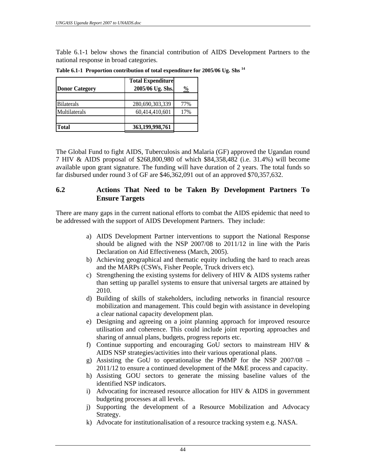Table 6.1-1 below shows the financial contribution of AIDS Development Partners to the national response in broad categories.

|                       | <b>Total Expenditure</b> |               |
|-----------------------|--------------------------|---------------|
| <b>Donor Category</b> | 2005/06 Ug. Shs.         | $\frac{0}{0}$ |
| <b>Bilaterals</b>     | 280,690,303,339          | 77%           |
| Multilaterals         | 60,414,410,601           | 17%           |
|                       |                          |               |
| <b>Total</b>          | 363,199,998,761          |               |

**Table 6.1-1 Proportion contribution of total expenditure for 2005/06 Ug. Shs <sup>14</sup>**

The Global Fund to fight AIDS, Tuberculosis and Malaria (GF) approved the Ugandan round 7 HIV & AIDS proposal of \$268,800,980 of which \$84,358,482 (i.e. 31.4%) will become available upon grant signature. The funding will have duration of 2 years. The total funds so far disbursed under round 3 of GF are \$46,362,091 out of an approved \$70,357,632.

### **6.2 Actions That Need to be Taken By Development Partners To Ensure Targets**

There are many gaps in the current national efforts to combat the AIDS epidemic that need to be addressed with the support of AIDS Development Partners. They include:

- a) AIDS Development Partner interventions to support the National Response should be aligned with the NSP 2007/08 to 2011/12 in line with the Paris Declaration on Aid Effectiveness (March, 2005).
- b) Achieving geographical and thematic equity including the hard to reach areas and the MARPs (CSWs, Fisher People, Truck drivers etc).
- c) Strengthening the existing systems for delivery of HIV & AIDS systems rather than setting up parallel systems to ensure that universal targets are attained by 2010.
- d) Building of skills of stakeholders, including networks in financial resource mobilization and management. This could begin with assistance in developing a clear national capacity development plan.
- e) Designing and agreeing on a joint planning approach for improved resource utilisation and coherence. This could include joint reporting approaches and sharing of annual plans, budgets, progress reports etc.
- f) Continue supporting and encouraging GoU sectors to mainstream HIV  $\&$ AIDS NSP strategies/activities into their various operational plans.
- g) Assisting the GoU to operationalise the PMMP for the NSP 2007/08 2011/12 to ensure a continued development of the M&E process and capacity.
- h) Assisting GOU sectors to generate the missing baseline values of the identified NSP indicators.
- i) Advocating for increased resource allocation for HIV  $\&$  AIDS in government budgeting processes at all levels.
- j) Supporting the development of a Resource Mobilization and Advocacy Strategy.
- k) Advocate for institutionalisation of a resource tracking system e.g. NASA.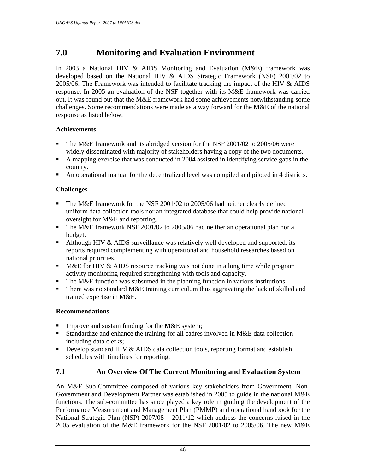# **7.0 Monitoring and Evaluation Environment**

In 2003 a National HIV & AIDS Monitoring and Evaluation (M&E) framework was developed based on the National HIV & AIDS Strategic Framework (NSF) 2001/02 to 2005/06. The Framework was intended to facilitate tracking the impact of the HIV & AIDS response. In 2005 an evaluation of the NSF together with its M&E framework was carried out. It was found out that the M&E framework had some achievements notwithstanding some challenges. Some recommendations were made as a way forward for the M&E of the national response as listed below.

## **Achievements**

- The M&E framework and its abridged version for the NSF 2001/02 to 2005/06 were widely disseminated with majority of stakeholders having a copy of the two documents.
- A mapping exercise that was conducted in 2004 assisted in identifying service gaps in the country.
- An operational manual for the decentralized level was compiled and piloted in 4 districts.

# **Challenges**

- The M&E framework for the NSF 2001/02 to 2005/06 had neither clearly defined uniform data collection tools nor an integrated database that could help provide national oversight for M&E and reporting.
- The M&E framework NSF 2001/02 to 2005/06 had neither an operational plan nor a budget.
- Although HIV  $&$  AIDS surveillance was relatively well developed and supported, its reports required complementing with operational and household researches based on national priorities.
- **M&E** for HIV & AIDS resource tracking was not done in a long time while program activity monitoring required strengthening with tools and capacity.
- The M&E function was subsumed in the planning function in various institutions.
- There was no standard M&E training curriculum thus aggravating the lack of skilled and trained expertise in M&E.

### **Recommendations**

- Improve and sustain funding for the M&E system;
- Standardize and enhance the training for all cadres involved in M&E data collection including data clerks;
- Develop standard HIV  $&$  AIDS data collection tools, reporting format and establish schedules with timelines for reporting.

# **7.1 An Overview Of The Current Monitoring and Evaluation System**

An M&E Sub-Committee composed of various key stakeholders from Government, Non-Government and Development Partner was established in 2005 to guide in the national M&E functions. The sub-committee has since played a key role in guiding the development of the Performance Measurement and Management Plan (PMMP) and operational handbook for the National Strategic Plan (NSP) 2007/08 – 2011/12 which address the concerns raised in the 2005 evaluation of the M&E framework for the NSF 2001/02 to 2005/06. The new M&E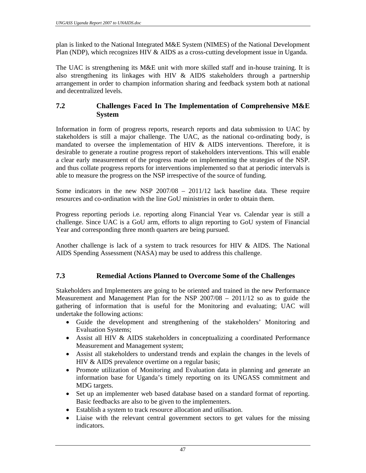plan is linked to the National Integrated M&E System (NIMES) of the National Development Plan (NDP), which recognizes HIV & AIDS as a cross-cutting development issue in Uganda.

The UAC is strengthening its M&E unit with more skilled staff and in-house training. It is also strengthening its linkages with HIV & AIDS stakeholders through a partnership arrangement in order to champion information sharing and feedback system both at national and decentralized levels.

## **7.2 Challenges Faced In The Implementation of Comprehensive M&E System**

Information in form of progress reports, research reports and data submission to UAC by stakeholders is still a major challenge. The UAC, as the national co-ordinating body, is mandated to oversee the implementation of HIV & AIDS interventions. Therefore, it is desirable to generate a routine progress report of stakeholders interventions. This will enable a clear early measurement of the progress made on implementing the strategies of the NSP. and thus collate progress reports for interventions implemented so that at periodic intervals is able to measure the progress on the NSP irrespective of the source of funding.

Some indicators in the new NSP 2007/08 – 2011/12 lack baseline data. These require resources and co-ordination with the line GoU ministries in order to obtain them.

Progress reporting periods i.e. reporting along Financial Year vs. Calendar year is still a challenge. Since UAC is a GoU arm, efforts to align reporting to GoU system of Financial Year and corresponding three month quarters are being pursued.

Another challenge is lack of a system to track resources for HIV & AIDS. The National AIDS Spending Assessment (NASA) may be used to address this challenge.

# **7.3 Remedial Actions Planned to Overcome Some of the Challenges**

Stakeholders and Implementers are going to be oriented and trained in the new Performance Measurement and Management Plan for the NSP 2007/08 – 2011/12 so as to guide the gathering of information that is useful for the Monitoring and evaluating; UAC will undertake the following actions:

- Guide the development and strengthening of the stakeholders' Monitoring and Evaluation Systems;
- Assist all HIV & AIDS stakeholders in conceptualizing a coordinated Performance Measurement and Management system;
- Assist all stakeholders to understand trends and explain the changes in the levels of HIV & AIDS prevalence overtime on a regular basis;
- Promote utilization of Monitoring and Evaluation data in planning and generate an information base for Uganda's timely reporting on its UNGASS commitment and MDG targets.
- Set up an implementer web based database based on a standard format of reporting. Basic feedbacks are also to be given to the implementers.
- Establish a system to track resource allocation and utilisation.
- Liaise with the relevant central government sectors to get values for the missing indicators.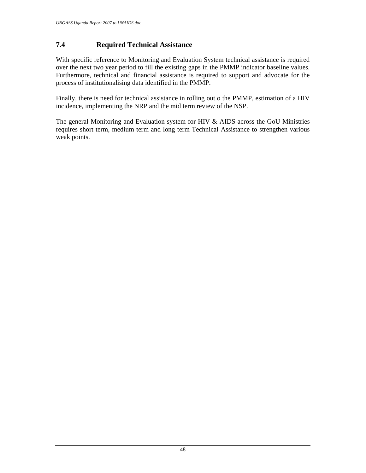# **7.4 Required Technical Assistance**

With specific reference to Monitoring and Evaluation System technical assistance is required over the next two year period to fill the existing gaps in the PMMP indicator baseline values. Furthermore, technical and financial assistance is required to support and advocate for the process of institutionalising data identified in the PMMP.

Finally, there is need for technical assistance in rolling out o the PMMP, estimation of a HIV incidence, implementing the NRP and the mid term review of the NSP.

The general Monitoring and Evaluation system for HIV & AIDS across the GoU Ministries requires short term, medium term and long term Technical Assistance to strengthen various weak points.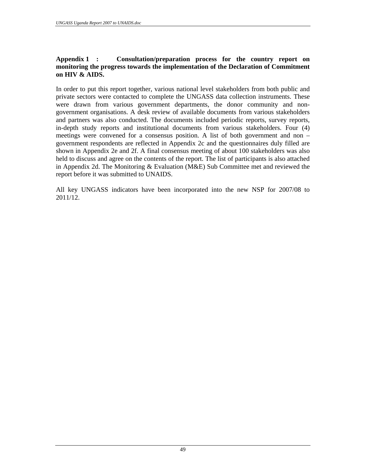#### **Appendix 1 : Consultation/preparation process for the country report on monitoring the progress towards the implementation of the Declaration of Commitment on HIV & AIDS.**

In order to put this report together, various national level stakeholders from both public and private sectors were contacted to complete the UNGASS data collection instruments. These were drawn from various government departments, the donor community and nongovernment organisations. A desk review of available documents from various stakeholders and partners was also conducted. The documents included periodic reports, survey reports, in-depth study reports and institutional documents from various stakeholders. Four (4) meetings were convened for a consensus position. A list of both government and non – government respondents are reflected in Appendix 2c and the questionnaires duly filled are shown in Appendix 2e and 2f. A final consensus meeting of about 100 stakeholders was also held to discuss and agree on the contents of the report. The list of participants is also attached in Appendix 2d. The Monitoring & Evaluation (M&E) Sub Committee met and reviewed the report before it was submitted to UNAIDS.

All key UNGASS indicators have been incorporated into the new NSP for 2007/08 to 2011/12.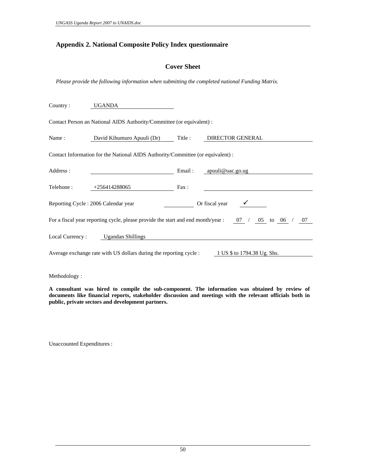#### **Appendix 2. National Composite Policy Index questionnaire**

#### **Cover Sheet**

*Please provide the following information when submitting the completed national Funding Matrix.* 

| Country:   | UGANDA                                                                                                    |      |                                                                                                         |
|------------|-----------------------------------------------------------------------------------------------------------|------|---------------------------------------------------------------------------------------------------------|
|            | Contact Person an National AIDS Authority/Committee (or equivalent) :                                     |      |                                                                                                         |
| Name :     | David Kihumuro Apuuli (Dr) Title : DIRECTOR GENERAL                                                       |      |                                                                                                         |
|            | Contact Information for the National AIDS Authority/Committee (or equivalent) :                           |      |                                                                                                         |
| Address :  | Email: apuuli@uac.go.ug                                                                                   |      |                                                                                                         |
| Telehone : | $+256414288065$                                                                                           | Fax: |                                                                                                         |
|            | Reporting Cycle: 2006 Calendar year                                                                       |      | Or fiscal year $\checkmark$                                                                             |
|            |                                                                                                           |      | For a fiscal year reporting cycle, please provide the start and end month/year : $07 / 05$ to $06 / 07$ |
|            | Local Currency: Ugandan Shillings                                                                         |      |                                                                                                         |
|            | Average exchange rate with US dollars during the reporting cycle : $1 \text{ US }$ \$ to 1794.38 Ug. Shs. |      |                                                                                                         |

Methodology :

**A consultant was hired to compile the sub-component. The information was obtained by review of documents like financial reports, stakeholder discussion and meetings with the relevant officials both in public, private sectors and development partners.**

Unaccounted Expenditures :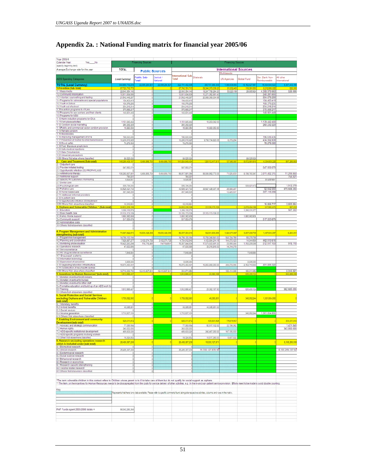| Year 2005/6                                                                                                                                                                                                                    |                                  |                                |                            |                                       |                                                                                                                                                      |                                               |                            |                                 |                                       |
|--------------------------------------------------------------------------------------------------------------------------------------------------------------------------------------------------------------------------------|----------------------------------|--------------------------------|----------------------------|---------------------------------------|------------------------------------------------------------------------------------------------------------------------------------------------------|-----------------------------------------------|----------------------------|---------------------------------|---------------------------------------|
| Calender Year:<br>Yes No<br>(specify beginning /end)                                                                                                                                                                           |                                  | <b>Financing Sources</b>       |                            |                                       |                                                                                                                                                      | <b>Financing Sources</b>                      |                            |                                 |                                       |
| Average Exchange rate for the year                                                                                                                                                                                             | <b>TOTAL</b>                     |                                | <b>Public Sources</b>      |                                       |                                                                                                                                                      | <b>International Sources</b><br>Multilaterals |                            |                                 |                                       |
| AIDS Spending Categories                                                                                                                                                                                                       | (Local Currency)                 | <b>Public Sub-</b>             | Central /                  | International Sub-Bilaterals<br>Total |                                                                                                                                                      | <b>UN Agencies</b>                            | Global Fund                | Dev. Bank Non-                  | All other                             |
| <b>TOTAL (Local Currency)</b>                                                                                                                                                                                                  | 344,889,712.21                   | <b>Total</b><br>22,095,284,821 | lational<br>22,095,284,821 | 322.791.492.335                       | 280.707.368.339                                                                                                                                      | 1,969,508,684                                 | 16,152,627,657             | Reimburseable<br>15,594,546,520 | <b>International</b><br>8,367,443,155 |
| 1.Prevention (Sub- total)<br>1.1 Mass media                                                                                                                                                                                    | 67,723,716,773<br>22.640.354.146 |                                |                            | 67,740,781,713                        | 59,346,373,009.20                                                                                                                                    | 61,602,463                                    | 119,391,55                 | 8,212,888,62                    |                                       |
| 1.2 Community Mobilization                                                                                                                                                                                                     | 10,511,634,506                   |                                |                            | 22,640,354,146<br>10,511,634,50       | 18,247,768,294.20<br>10,271,352,851.40                                                                                                               | 53,223,199                                    | 29,865,924                 | 4.306.970.663<br>240,281,666    | 526.066                               |
| 1.3 Voluntary counselling and testing<br>1.4 Programs for vulnerable and special populations                                                                                                                                   | 21,542,448,297<br>154,403,419    |                                |                            | 21,542,448,297<br>154,403,419         | 20,988,369,004.65                                                                                                                                    |                                               |                            | 554.079.293<br>154,403,419      |                                       |
| 1.5 Youth in School<br>1.6 Youth out of school                                                                                                                                                                                 | 100,379,235<br>234.218.214       |                                |                            | 100,379,235<br>234,218,214            |                                                                                                                                                      |                                               |                            | 100,379,235<br>234, 218, 214    |                                       |
| 1.7Prevention programs for PLHA<br>1.8 Programs for sex workers and their clients                                                                                                                                              | 370,568,217<br>140,901,449       |                                |                            | 370,568,217<br>140,901,449            |                                                                                                                                                      |                                               |                            | 370, 568, 217<br>140.901.449    |                                       |
| 1.9 Programs for MSM                                                                                                                                                                                                           |                                  |                                |                            |                                       |                                                                                                                                                      |                                               |                            |                                 |                                       |
| 1.10 Harm reduction programs for IDUs<br>1.11Work place activities                                                                                                                                                             | 1,151,645,442                    |                                |                            | 1,151,645,442                         | 12,203,042.0                                                                                                                                         |                                               |                            | 1,139,442,400                   |                                       |
| 1.12 Condom social marketing<br>1.13Public and commercial sector condom provision                                                                                                                                              | 260,232,223<br>15,880,054        |                                |                            | 260,232,22<br>15,880,054              | 15,880,053.60                                                                                                                                        |                                               |                            | 260.232.223                     |                                       |
| 1.14 Female condom<br>1.15 Microbicides                                                                                                                                                                                        |                                  |                                |                            |                                       |                                                                                                                                                      |                                               |                            |                                 |                                       |
| 1.16 Improving management of STIs<br>1.17 Prevention of mother-to-child transmission                                                                                                                                           | 196,630,436                      |                                |                            | 196,630,436                           | 9,793,734,823.35                                                                                                                                     |                                               |                            | 196.630.436                     |                                       |
| 1.18 Blood safety                                                                                                                                                                                                              | 10,236,616,925<br>78,278,583     |                                |                            | 10,236,616,925<br>78,278,583          |                                                                                                                                                      | 8,379,264                                     |                            | 434,502,838<br>78.278.583       |                                       |
| 1.19 Post- Exposure prophylaxis<br>1.20 Safe medical injections                                                                                                                                                                |                                  |                                |                            |                                       |                                                                                                                                                      |                                               |                            |                                 |                                       |
| 1.21 Male Circumsicion<br>1.22 Universal precautions                                                                                                                                                                           |                                  |                                |                            |                                       |                                                                                                                                                      |                                               |                            |                                 |                                       |
| 1.99 Others /Not else where classified                                                                                                                                                                                         | 89,525,626<br>148,289,408,19     | 6,464,856,76                   | 6,464,866,763              | 89,525,626<br>141,824,849,434         | 128,112,417,81                                                                                                                                       | 107,650.9                                     | 89,525,626<br>8,672,681,81 | 4,034,609,226                   | 897,289.68                            |
| 2. Care and Treatment (Sub-total)<br>2.1 Outpatient care                                                                                                                                                                       |                                  |                                |                            |                                       |                                                                                                                                                      |                                               |                            |                                 |                                       |
| 2.2 Provider initiated testing<br>2.3 Opportunistic infection (OI) PROPHYLAXIS                                                                                                                                                 | 547,950,078                      |                                |                            | 547,950,078                           |                                                                                                                                                      |                                               |                            | 547,950,078                     |                                       |
| 2.4 Antitretroviral therapy<br>2.5 Nutritional support                                                                                                                                                                         | 106,282,837,861<br>754,931       | 6,464,856,763                  | 6,464,856,763              | 99.817.981.09<br>764,931              | 88,584,992,773.35                                                                                                                                    | 71,525,803                                    | 8,138,760,347              | 3,011,402,315                   | 11,299,860<br>754,931                 |
| 2.6 Specific HIV Laboratory monitoring<br>2.7 Dental care                                                                                                                                                                      | 9,839,657                        |                                |                            | 9,839,657                             |                                                                                                                                                      |                                               |                            | 9,839,657                       |                                       |
| 2.8 Psychological care                                                                                                                                                                                                         | 535.734.050                      |                                |                            | 535,734,058                           |                                                                                                                                                      |                                               | 533,821,472                |                                 | 1,912.578                             |
| 2.9 Palliative care<br>2.10 Home-based care                                                                                                                                                                                    | 40,525,421,733<br>367, 548, 305  |                                |                            | 40,525,421,733<br>367,548,308         | 39,527,425,037.45                                                                                                                                    | 25,696,287<br>10,428,507                      |                            | 92.642.059<br>357.119.398       | 879.658.350                           |
| 2.11 Additional linformal providers<br>2.12 In patient care                                                                                                                                                                    |                                  |                                |                            |                                       |                                                                                                                                                      |                                               |                            |                                 |                                       |
| 2.13 Opportunistic infection (OI) treatment<br>2.99 Others/Not-elsewhere classified                                                                                                                                            | 19,319,581                       |                                |                            | 19.319.581                            |                                                                                                                                                      |                                               |                            | 15.655.717                      | 3.663.864                             |
| 3. Orphans and Vulnerable Children * (Sub-total)                                                                                                                                                                               |                                  |                                |                            |                                       | 21,105,173,12                                                                                                                                        |                                               | 2,878,494,18               | 517.5                           |                                       |
| 3.1 Education<br>3.2 Basic health care                                                                                                                                                                                         | 1,299,118,579<br>21.105.173.129  |                                |                            | 1,299,118,579<br>21,105,173,129       | 21,105,173,129.20                                                                                                                                    |                                               | 1,298,131,377              |                                 | 987.202                               |
| 3.3 Family mome support<br>3.4 Community support                                                                                                                                                                               | 1,580,382,808<br>517.553.679     |                                |                            | 1,680,362,80<br>517.553.679           |                                                                                                                                                      |                                               | 1,680,362,808              | 517.553.679                     |                                       |
| 3.5 Administrative costs<br>3.9 Others/Not-elsewhere classified                                                                                                                                                                |                                  |                                |                            |                                       |                                                                                                                                                      |                                               |                            |                                 |                                       |
|                                                                                                                                                                                                                                |                                  |                                |                            |                                       |                                                                                                                                                      |                                               |                            |                                 |                                       |
| 4. Program Management and Administration<br>strengthening (sub total)                                                                                                                                                          | 74,667,822,674                   | 15,630,428,058                 | 15,630,428,058             | 59,037,394,515                        | 52,331,906,956                                                                                                                                       | 1,624,574,697                                 | 3,607,008,735              | 1,467,640,097                   | 6,264,031                             |
| 4.1 Programme management<br>4.2 Planning and coordination                                                                                                                                                                      | 14.785.130.184<br>7,926,887,277  | 3,102,074,729                  | 3,102,074,728              | 14,766,130,184<br>4,724,812,549       | 13,763,346,641.00<br>4,102,884,214.15                                                                                                                | 943,704,768<br>144,070,123                    | 69,078,785<br>14,944,596   | 462.913.616                     |                                       |
| 4.3 Monitoring and evaluation<br>4.4 Operations research                                                                                                                                                                       | 19,422,260,294<br>47,630,895     | 114.715.489                    | 114715489.1                | 19.307.544.804<br>47,630,895          | 17,676,600,891.30<br>33,316,616.00                                                                                                                   | 23,999,556<br>14,314,079                      | 1,193,209,088              | 512.917.159                     | 918.110                               |
| 4.5 Sero-surveillance                                                                                                                                                                                                          |                                  |                                |                            |                                       |                                                                                                                                                      |                                               |                            |                                 |                                       |
| 4.6 HIV drug-resistance surveillance<br>4.7 Drug supply systems                                                                                                                                                                | 7,648,884                        |                                |                            | 7,548,684                             |                                                                                                                                                      |                                               | 7,548,684                  |                                 |                                       |
| 4.8 Information technology<br>4.9 Supervision of personnel                                                                                                                                                                     | 8,605,080                        |                                |                            | 8,605,080                             |                                                                                                                                                      |                                               | 8,605,08                   |                                 |                                       |
| 4.10 Upgrading laboratory infrastructure<br>4.11 Construction of new health centres.                                                                                                                                           | 19,870,450,461                   |                                |                            | 19,970,450,461                        | 16,855,858,393.50                                                                                                                                    | 369,072,095                                   | 2,153,710,650              | 491,809,322                     |                                       |
| 4.99 Others/ Not- else where classified                                                                                                                                                                                        | 12,719,309,700                   | 12.413.637,841                 | 12,413,637,841             | 304,671,859                           |                                                                                                                                                      | 129,414,086                                   | 169,911,862                |                                 | 5,345,921                             |
| 5. Incentives for Human Resources" (sub-total)<br>5.1 Monetary incentive for physicians                                                                                                                                        | 1,512,555,40                     |                                |                            | 1,512,555,40                          | 23,382,188                                                                                                                                           |                                               | 526,499,12                 |                                 | 962.685.05                            |
| 5.2 Monetary incentive for nurses<br>5.3 Monetary incentive for other staff                                                                                                                                                    |                                  |                                |                            |                                       |                                                                                                                                                      |                                               |                            |                                 |                                       |
| 5.4 Formative education and build up of an AIDS work for<br>5.5 Training                                                                                                                                                       | 1,512,588.407                    |                                |                            | 1,512,555,407                         | 23,382,187.60                                                                                                                                        |                                               | 526,499,124                |                                 | 962,685,095                           |
| 5.9 Others/Not- elsewhere classified<br><b>6. Social Protection and Social Services</b>                                                                                                                                        |                                  |                                |                            |                                       |                                                                                                                                                      |                                               |                            |                                 |                                       |
| excluding Orphans and Vulnerable Children<br>(sub total)                                                                                                                                                                       | 1,759,592,990                    |                                |                            | 1,759,592,990                         | 49,085,851                                                                                                                                           |                                               | 348,662,244                | 1,361,854,895                   |                                       |
| 6.1 Monetary benefits<br>6.2 In-kind benefits                                                                                                                                                                                  | 49,095,851                       |                                |                            | 49,085,851                            | 49,085,851.00                                                                                                                                        |                                               |                            |                                 |                                       |
| 6.3 Social sevices<br>6.4 Income generation                                                                                                                                                                                    | 1,710,507.139                    |                                |                            | 1,710,507,139                         |                                                                                                                                                      |                                               | 348.652.244                | 1,361,854.89                    |                                       |
| 6.9 Others/ Not elsewhere classified<br>7. Enabling Environment and community                                                                                                                                                  |                                  |                                |                            |                                       |                                                                                                                                                      |                                               |                            |                                 |                                       |
| Development (sub-total)                                                                                                                                                                                                        | 929,011,872                      |                                |                            | 929,011,872                           | 408,901,625                                                                                                                                          | 176,678,507                                   |                            |                                 | 344,431,840                           |
| 7.1 Advocacy and strategic communcation<br>7.2 Human rights                                                                                                                                                                    | 77,083,994<br>343,000,000        |                                |                            | 77,083,994<br>343,000,000             | 52,917,102.00                                                                                                                                        | 22,735,062                                    |                            |                                 | 1,431,840<br>343.000.000              |
| 7.3 AIDS-specific institutional development<br>7.4 AIDS-specific programs involving women                                                                                                                                      | 489,603,026                      |                                |                            | 489,603,026                           | 342,467,093.00                                                                                                                                       | 147, 135, 933                                 |                            |                                 |                                       |
| 7.9 Other/ Not elsewhere classified<br>8. Research excluding operations research                                                                                                                                               | 19,324,852                       |                                |                            | 19,324,852                            | 13,517,330.00                                                                                                                                        | 5,807,522                                     |                            |                                 |                                       |
| which is included under (sub-total)<br>8.1 Biomedical research                                                                                                                                                                 | 26,486,387,208                   |                                |                            | 25,486,387,208                        | 19,330,127,87                                                                                                                                        |                                               |                            |                                 | 6,155,250,338                         |
| 8.2 clinical research<br>8.3 Epidemiogical research                                                                                                                                                                            | 25,485,387,208                   |                                |                            | 25,485,387,208                        | 19.330.127.870.50                                                                                                                                    |                                               |                            |                                 | 6.155.259.337.50                      |
| 8.4 Social science research                                                                                                                                                                                                    |                                  |                                |                            |                                       |                                                                                                                                                      |                                               |                            |                                 |                                       |
| 8.5 Behavioural research<br>8.6 Research in economics                                                                                                                                                                          |                                  |                                |                            |                                       |                                                                                                                                                      |                                               |                            |                                 |                                       |
| 8.7 Research capacity strengthening<br>9.8 Vaccine-related research                                                                                                                                                            |                                  |                                |                            |                                       |                                                                                                                                                      |                                               |                            |                                 |                                       |
| 8.9 Others/ Not elsewhere classified                                                                                                                                                                                           | ō)                               | O)                             |                            | ō                                     |                                                                                                                                                      |                                               |                            |                                 |                                       |
| "The term vulnerable children in this context refers to Children whose parent is to ill to take care of them but do not qualify for social support as orphans.                                                                 |                                  |                                |                            |                                       |                                                                                                                                                      |                                               |                            |                                 |                                       |
| ** The item, on the incentives for Human Resources needs to be dissagregated from the costs for service delivery of other activities, e.g. In the in-and out- patient service provision. Efforts need to be made to avoid doub |                                  |                                |                            |                                       |                                                                                                                                                      |                                               |                            |                                 |                                       |
| Key                                                                                                                                                                                                                            |                                  |                                |                            |                                       | Represents that there is no data available. Please refer to specific comments found alongside respective activities, columns and rows in the matrix. |                                               |                            |                                 |                                       |
|                                                                                                                                                                                                                                |                                  |                                |                            |                                       |                                                                                                                                                      |                                               |                            |                                 |                                       |
|                                                                                                                                                                                                                                |                                  |                                |                            |                                       |                                                                                                                                                      |                                               |                            |                                 |                                       |
| PAF Funds spent 2005/2006 totals =                                                                                                                                                                                             | 98.342.286.364                   |                                |                            |                                       |                                                                                                                                                      |                                               |                            |                                 |                                       |
|                                                                                                                                                                                                                                |                                  |                                |                            |                                       |                                                                                                                                                      |                                               |                            |                                 |                                       |
|                                                                                                                                                                                                                                |                                  |                                |                            |                                       |                                                                                                                                                      |                                               |                            |                                 |                                       |
|                                                                                                                                                                                                                                |                                  |                                |                            |                                       |                                                                                                                                                      |                                               |                            |                                 |                                       |

# **Appendix 2a. : National Funding matrix for financial year 2005/06**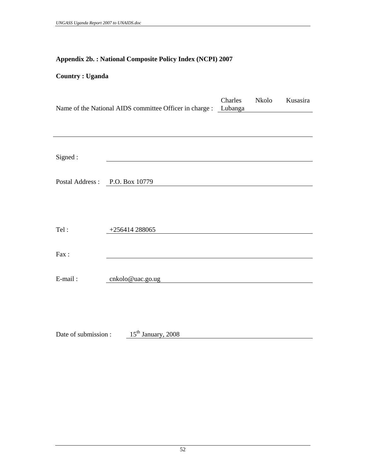# **Appendix 2b. : National Composite Policy Index (NCPI) 2007**

# **Country : Uganda**

|                  | Name of the National AIDS committee Officer in charge : Lubanga | Charles | Nkolo | Kusasira |
|------------------|-----------------------------------------------------------------|---------|-------|----------|
|                  |                                                                 |         |       |          |
|                  |                                                                 |         |       |          |
| Signed:          |                                                                 |         |       |          |
| Postal Address : | P.O. Box 10779                                                  |         |       |          |
|                  |                                                                 |         |       |          |
| Tel:             | $+256414288065$                                                 |         |       |          |
|                  |                                                                 |         |       |          |
| Fax:             |                                                                 |         |       |          |
| E-mail:          | cnkolo@uac.go.ug                                                |         |       |          |
|                  |                                                                 |         |       |          |
|                  |                                                                 |         |       |          |

Date of submission :  $15<sup>th</sup> January, 2008$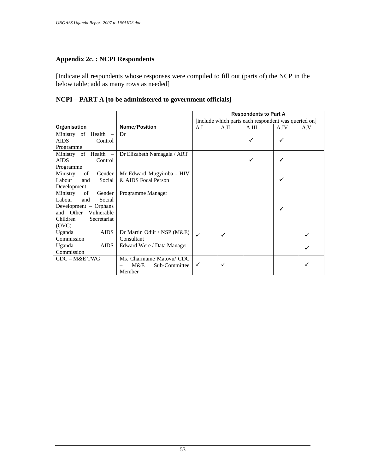#### **Appendix 2c. : NCPI Respondents**

[Indicate all respondents whose responses were compiled to fill out (parts of) the NCP in the below table; add as many rows as needed]

# **NCPI – PART A [to be administered to government officials]**

|                                   |                             | <b>Respondents to Part A</b> |      |                                                      |      |     |
|-----------------------------------|-----------------------------|------------------------------|------|------------------------------------------------------|------|-----|
|                                   |                             |                              |      | [include which parts each respondent was queried on] |      |     |
| Organisation                      | Name/Position               | A.I                          | A.II | A.III                                                | A.IV | A.V |
| of Health<br>Ministry<br>$\equiv$ | Dr                          |                              |      |                                                      |      |     |
| <b>AIDS</b><br>Control            |                             |                              |      | ✓                                                    |      |     |
| Programme                         |                             |                              |      |                                                      |      |     |
| Ministry of Health -              | Dr Elizabeth Namagala / ART |                              |      |                                                      |      |     |
| <b>AIDS</b><br>Control            |                             |                              |      | ✓                                                    |      |     |
| Programme                         |                             |                              |      |                                                      |      |     |
| of<br>Gender<br>Ministry          | Mr Edward Mugyimba - HIV    |                              |      |                                                      |      |     |
| Labour<br>Social<br>and           | & AIDS Focal Person         |                              |      |                                                      |      |     |
| Development                       |                             |                              |      |                                                      |      |     |
| Ministry<br>of<br>Gender          | Programme Manager           |                              |      |                                                      |      |     |
| Labour<br>Social<br>and           |                             |                              |      |                                                      |      |     |
| Development – Orphans             |                             |                              |      |                                                      |      |     |
| and Other<br>Vulnerable           |                             |                              |      |                                                      |      |     |
| Children<br>Secretariat           |                             |                              |      |                                                      |      |     |
| (OVC)                             |                             |                              |      |                                                      |      |     |
| <b>AIDS</b><br>Uganda             | Dr Martin Odiit / NSP (M&E) | $\checkmark$                 | ✓    |                                                      |      |     |
| Commission                        | Consultant                  |                              |      |                                                      |      |     |
| <b>AIDS</b><br>Uganda             | Edward Were / Data Manager  |                              |      |                                                      |      |     |
| Commission                        |                             |                              |      |                                                      |      |     |
| CDC - M&E TWG                     | Ms. Charmaine Matovu/ CDC   |                              |      |                                                      |      |     |
|                                   | M&E<br>Sub-Committee        | ✓                            |      |                                                      |      |     |
|                                   | Member                      |                              |      |                                                      |      |     |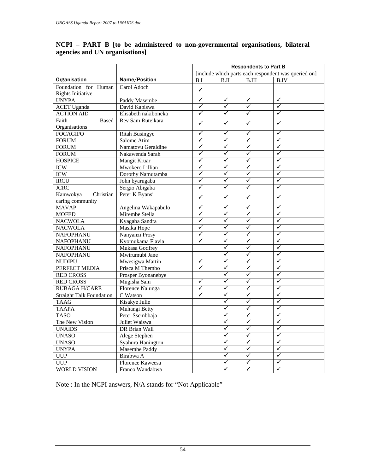|                                 |                         | <b>Respondents to Part B</b> |                         |                         |                                                      |  |
|---------------------------------|-------------------------|------------------------------|-------------------------|-------------------------|------------------------------------------------------|--|
|                                 |                         |                              |                         |                         | [include which parts each respondent was queried on] |  |
| Organisation                    | Name/Position           | B.I                          | B.II                    | $\overline{B.III}$      | <b>B.IV</b>                                          |  |
| Foundation for Human            | Carol Adoch             | $\checkmark$                 |                         |                         |                                                      |  |
| Rights Initiative               |                         |                              |                         |                         |                                                      |  |
| <b>UNYPA</b>                    | Paddy Masembe           | $\overline{\checkmark}$      | $\blacktriangledown$    | $\blacktriangledown$    | $\overline{\checkmark}$                              |  |
| <b>ACET Uganda</b>              | David Kabiswa           | $\blacktriangledown$         | $\blacktriangledown$    | $\checkmark$            | $\blacktriangledown$                                 |  |
| <b>ACTION AID</b>               | Elisabeth nakiboneka    | $\blacktriangledown$         | $\overline{\checkmark}$ | $\overline{\checkmark}$ | $\overline{\checkmark}$                              |  |
| Faith<br><b>Based</b>           | Rev Sam Ruteikara       | $\checkmark$                 | ✓                       | ✓                       | $\checkmark$                                         |  |
| Organisations                   |                         |                              |                         |                         |                                                      |  |
| <b>FOCAGIFO</b>                 | <b>Ritah Busingye</b>   | ✓                            | ✓                       | ✓                       | $\checkmark$                                         |  |
| <b>FORUM</b>                    | Salome Atim             | ✓                            | $\checkmark$            | ✓                       | $\checkmark$                                         |  |
| <b>FORUM</b>                    | Namatovu Geraldine      | ✓                            | ✓                       | ✓                       | $\checkmark$                                         |  |
| <b>FORUM</b>                    | Nakawenda Sarah         | $\overline{\checkmark}$      | $\checkmark$            | $\overline{\checkmark}$ | $\overline{\checkmark}$                              |  |
| <b>HOSPICE</b>                  | Mangit Kruar            | ✓                            | ✓                       | ✓                       | $\checkmark$                                         |  |
| <b>ICW</b>                      | Mwokero Lillian         | $\checkmark$                 | $\checkmark$            | $\overline{\checkmark}$ | $\overline{\checkmark}$                              |  |
| <b>ICW</b>                      | Dorothy Namutamba       | $\blacktriangledown$         | $\overline{\checkmark}$ | ✓                       | $\overline{\checkmark}$                              |  |
| <b>IRCU</b>                     | John byarugaba          | ✓                            | $\checkmark$            | ✓                       | $\blacktriangledown$                                 |  |
| <b>JCRC</b>                     | Sergio Abigaba          | $\overline{\checkmark}$      | $\checkmark$            | $\overline{\checkmark}$ | $\blacktriangledown$                                 |  |
| Kamwokya<br>Christian           | Peter K Byansi          | $\checkmark$                 | ✓                       | $\checkmark$            | $\checkmark$                                         |  |
| caring community                |                         |                              |                         |                         |                                                      |  |
| <b>MAVAP</b>                    | Angelina Wakapabulo     | $\checkmark$                 | $\checkmark$            | $\checkmark$            | ✓                                                    |  |
| <b>MOFED</b>                    | Mirembe Stella          | ✓                            | ✓                       | ✓                       | ✓                                                    |  |
| <b>NACWOLA</b>                  | Kyagaba Sandra          | $\checkmark$                 | ✓                       | $\checkmark$            | $\checkmark$                                         |  |
| <b>NACWOLA</b>                  | Masika Hope             | ✓                            | $\checkmark$            | $\overline{\checkmark}$ | $\overline{\checkmark}$                              |  |
| NAFOPHANU                       | Nanyanzi Prosy          | ✓                            | $\checkmark$            | ✓                       | $\checkmark$                                         |  |
| <b>NAFOPHANU</b>                | Kyomukama Flavia        | ✓                            | $\checkmark$            | $\overline{\checkmark}$ | $\overline{\checkmark}$                              |  |
| <b>NAFOPHANU</b>                | Mukasa Godfrey          |                              | $\checkmark$            | $\checkmark$            | $\checkmark$                                         |  |
| <b>NAFOPHANU</b>                | Mwirumubi Jane          |                              | $\blacktriangledown$    | ✓                       | $\overline{\checkmark}$                              |  |
| <b>NUDIPU</b>                   | Mwesigwa Martin         | $\checkmark$                 | $\checkmark$            | $\blacktriangledown$    | $\blacktriangledown$                                 |  |
| PERFECT MEDIA                   | Prisca M Thembo         | $\overline{\checkmark}$      | $\overline{\checkmark}$ | $\overline{\checkmark}$ | $\overline{\checkmark}$                              |  |
| <b>RED CROSS</b>                | Prosper Byonanebye      |                              | ✓                       | ✓                       | $\checkmark$                                         |  |
| <b>RED CROSS</b>                | Mugisha Sam             | $\checkmark$                 | $\checkmark$            | $\overline{\checkmark}$ | $\overline{\checkmark}$                              |  |
| <b>RUBAGA H/CARE</b>            | <b>Florence Nalunga</b> | ✓                            | $\checkmark$            | ✓                       | $\checkmark$                                         |  |
| <b>Straight Talk Foundation</b> | C Watson                | $\checkmark$                 | $\checkmark$            | ✓                       | $\checkmark$                                         |  |
| <b>TAAG</b>                     | Kisakye Julie           |                              | ✓                       | ✓                       | $\checkmark$                                         |  |
| <b>TAAPA</b>                    | Muhangi Betty           |                              | ✓                       | ✓                       | $\checkmark$                                         |  |
| <b>TASO</b>                     | Peter Ssembbaja         |                              | ✓                       | ✓                       | $\checkmark$                                         |  |
| The New Vision                  | Juliet Waiswa           |                              | ✓                       | ✓                       | $\blacktriangledown$                                 |  |
| <b>UNAIDS</b>                   | <b>DR</b> Brian Wall    |                              | $\checkmark$            | ✓                       | $\overline{\checkmark}$                              |  |
| <b>UNASO</b>                    | Alege Stephen           |                              | ✓                       | $\checkmark$            | $\blacktriangledown$                                 |  |
| <b>UNASO</b>                    | Syahura Hanington       |                              | $\checkmark$            | $\overline{\checkmark}$ | $\overline{\checkmark}$                              |  |
| <b>UNYPA</b>                    | <b>Masembe Paddy</b>    |                              | ✓                       | ✓                       | $\checkmark$                                         |  |
| <b>UUP</b>                      | Birabwa A               |                              | $\checkmark$            | $\overline{\checkmark}$ | $\overline{\checkmark}$                              |  |
| <b>UUP</b>                      | Florence Kaweesa        |                              | $\checkmark$            | $\checkmark$            | ✓                                                    |  |
| <b>WORLD VISION</b>             | Franco Wandabwa         |                              | $\checkmark$            | $\overline{\checkmark}$ | $\overline{\checkmark}$                              |  |

### **NCPI – PART B [to be administered to non-governmental organisations, bilateral agencies and UN organisations]**

Note : In the NCPI answers, N/A stands for "Not Applicable"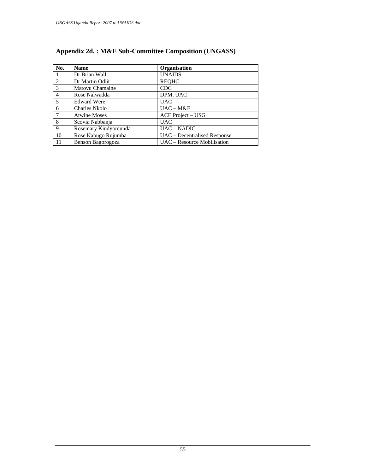| No.            | <b>Name</b>          | Organisation                 |
|----------------|----------------------|------------------------------|
|                | Dr Brian Wall        | <b>UNAIDS</b>                |
| $\mathcal{L}$  | Dr Martin Odiit      | <b>REOHC</b>                 |
| 3              | Matovu Chamaine      | <b>CDC</b>                   |
| $\overline{4}$ | Rose Nalwadda        | DPM, UAC                     |
| 5              | <b>Edward Were</b>   | <b>UAC</b>                   |
| 6              | <b>Charles Nkolo</b> | $UAC - M&E$                  |
| $\tau$         | <b>Atwine Moses</b>  | <b>ACE Project – USG</b>     |
| 8              | Scovia Nabbanja      | <b>UAC</b>                   |
| $\mathbf{Q}$   | Rosemary Kindyomunda | <b>UAC – NADIC</b>           |
| 10             | Rose Kabugo Rujumba  | UAC – Decentralised Response |
| -11            | Benson Bagorogoza    | UAC – Resource Mobilisation  |

# **Appendix 2d. : M&E Sub-Committee Composition (UNGASS)**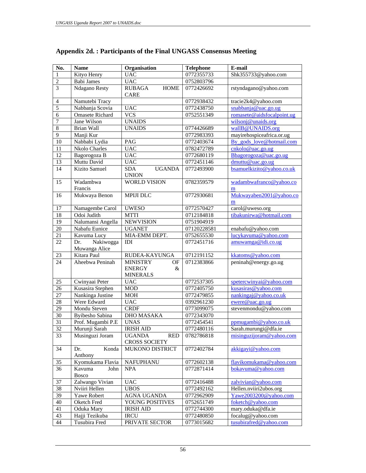| No.             | <b>Name</b>                       | Organisation                                 | <b>Telephone</b> | E-mail                       |
|-----------------|-----------------------------------|----------------------------------------------|------------------|------------------------------|
| $\mathbf{1}$    | Kityo Henry                       | <b>UAC</b>                                   | 0772355733       | Shk355733@yahoo.com          |
| $\overline{2}$  | Babi James                        | <b>UAC</b>                                   | 0752803796       |                              |
| $\overline{3}$  | Ndagano Resty                     | <b>RUBAGA</b><br><b>HOME</b><br><b>CARE</b>  | 0772426692       | rstyndagano@yahoo.com        |
| $\overline{4}$  | Namutebi Tracy                    |                                              | 0772938432       | tracie2k4@yahoo.com          |
| $\overline{5}$  | Nabbanja Scovia                   | <b>UAC</b>                                   | 0772438750       | snabbanja@uac.go.ug          |
| $\overline{6}$  | <b>Omasete Richard</b>            | $\overline{\text{VCS}}$                      | 0752551349       | romasete@aidsfocalpoint.ug   |
| $\overline{7}$  | Jane Wilson                       | <b>UNAIDS</b>                                |                  | wilsonj@unaids.org           |
| $\overline{8}$  | Brian Wall                        | <b>UNAIDS</b>                                | 0774426689       | wallB@UNAIDS.org             |
| $\overline{9}$  | Manji Kur                         |                                              | 0772983393       | mayirehospiceafrica.or.ug    |
| 10              | Nabbabi Lydia                     | PAG                                          | 0772403674       | By gods love@hotmail.com     |
| 11              | Nkolo Charles                     | <b>UAC</b>                                   | 0782472789       | cnkolo@uac.gov.ug            |
| 12              | Bagorogoza B                      | <b>UAC</b>                                   | 0772680119       | Bbagorogoza@uac.go.ug        |
| 13              | Muttu David                       | <b>UAC</b>                                   | 0772451146       | dmuttu@uac.go.ug             |
| 14              | Kizito Samuel                     | <b>SDA</b><br><b>UGANDA</b><br><b>UNION</b>  | 0772493900       | bsamuelkizito@yahoo.co.uk    |
| 15              | Wadambwa<br>Francis               | <b>WORLD VISION</b>                          | 0782359579       | wadambwafranco@yahoo.co<br>m |
| 16              | Mukwaya Benon                     | <b>MPIJI DLC</b>                             | 0772930681       | Mukwayaben2001@yahoo.co      |
|                 |                                   |                                              |                  | m                            |
| 17              | Namagembe Carol                   | <b>UWESO</b>                                 | 0772570427       | carol@uweso.org              |
| 18              | Odoi Judith                       | <b>MTTI</b>                                  | 0712184818       | tibakunirwa@hotmail.com      |
| 19              | Nalumansi Angella                 | <b>NEWVISION</b>                             | 0751904919       |                              |
| 20              | Nabafu Eunice                     | <b>UGANET</b>                                | 07120228581      | enabafu@yahoo.com            |
| 21              | Kavuma Lucy                       | MIA-EMM DEPT.                                | 0752655530       | lucykavuma@yahoo.com         |
| $\overline{22}$ | Nakiwogga<br>Dr.<br>Muwanga Alice | IDI                                          | 0772451716       | amuwamga@idi.co.ug           |
| 23              | Kitara Paul                       | RUDEA-KAYUNGA                                | 0712191152       | kkatoms@yahoo.com            |
| 24              | Aheebwa Peninah                   | <b>MINISTRY</b><br>OF                        | 0712383866       | peninah@energy.go.ug         |
|                 |                                   | <b>ENERGY</b><br>&<br><b>MINERALS</b>        |                  |                              |
| 25              | Cwinyaai Peter                    | <b>UAC</b>                                   | 0772537305       | spetercwinyai@yahoo.com      |
| 26              | Kusasira Stephen                  | <b>MOD</b>                                   | 0772405750       | kusasiras@yahoo.com          |
| 27              | Nankinga Justine                  | <b>MOH</b>                                   | 0772479855       | nankingaj@yahoo.co.uk        |
| 28              | Were Edward                       | <b>UAC</b>                                   | 0392961230       | ewere@uac.go.ug              |
| 29              | Mondu Steven                      | <b>CRDF</b>                                  | 0773099075       | stevenmondu@yahoo.com        |
| 30              | <b>Byibesho Sabina</b>            | <b>DHO MASAKA</b>                            | 0772343070       |                              |
| 31              | Prof. Mugambi P.E                 | <b>UNAS</b>                                  | 0772454541       | ppmugambi@yahoo.co.uk        |
| 32              | Murunji Sarah                     | <b>IRISH AID</b>                             | 0772480116       | Sarah.murungi@dfa.ie         |
| 33              | Musinguzi Joram                   | <b>UGANDA</b><br>RED<br><b>CROSS SOCIETY</b> | 0782786818       | misinguzijoram@yahoo.com     |
| 34              | Konda<br>Dr.<br>Anthony           | MUKONO DISTRICT                              | 0772402784       | akkigayi@yahoo.com           |
| 35              | Kyomukama Flavia                  | <b>NAFUPHANU</b>                             | 0772602138       | flavikomukama@yahoo.com      |
| 36              | Kavuma<br>John<br>Bosco           | <b>NPA</b>                                   | 0772871414       | bokavuma@yahoo.com           |
| 37              | Zalwango Vivian                   | <b>UAC</b>                                   | 0772416488       | zalvivian@yahoo.com          |
| 38              | Nviiri Hellen                     | <b>UBOS</b>                                  | 0772492162       | Hellen.nviiri2ubos.org       |
| 39              | Yawe Robert                       | AGNA UGANDA                                  | 0772962909       | Yawe2003200@yahoo.com        |
| 40              | Oketch Fred                       | YOUNG POSITIVES                              | 0752651749       | foketch@yahoo.com            |
| 41              | Oduka Mary                        | <b>IRISH AID</b>                             | 0772744300       | mary.oduka@dfa.ie            |
| 43              | Hajji Tezikuba                    | <b>IRCU</b>                                  | 0772480850       | focalug@yahoo.com            |
| 44              | Tusubira Fred                     | PRIVATE SECTOR                               | 0773015682       | tusubirafred@yahoo.com       |

# **Appendix 2d. : Participants of the Final UNGASS Consensus Meeting**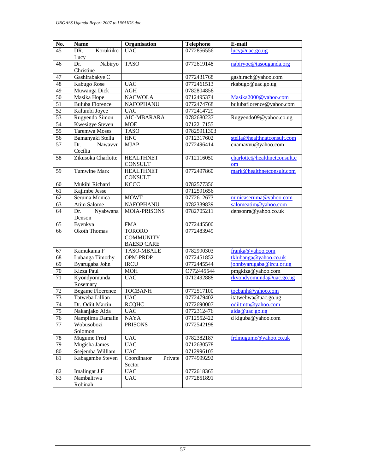| No.             | <b>Name</b>               | Organisation                     | <b>Telephone</b> | E-mail                       |
|-----------------|---------------------------|----------------------------------|------------------|------------------------------|
| 45              | Korukiiko<br>DR.          | <b>UAC</b>                       | 0772856556       | lucy@uac.gov.ug              |
|                 | Lucy                      |                                  |                  |                              |
| 46              | Nabiryo<br>Dr.            | <b>TASO</b>                      | 0772619148       | nabiryoc@tasouganda.org      |
|                 | Christine                 |                                  |                  |                              |
| $47\,$          | Gashirabakye C            |                                  | 0772431768       | gashirach@yahoo.com          |
| 48              | Kabugo Rose               | <b>UAC</b>                       | 0772461513       | rkabugo@uac.go.ug            |
| 49              | Muwanga Dick              | <b>AGH</b>                       | 0782804858       |                              |
| $\overline{50}$ | Masika Hope               | <b>NACWOLA</b>                   | 0712495374       | Masika2000@yahoo.com         |
| 51              | <b>Buluba Florence</b>    | NAFOPHANU                        | 0772474768       | bulubaflorence@yahoo.com     |
| $\overline{52}$ | Kalumbi Joyce             | <b>UAC</b>                       | 0772414729       |                              |
| $\overline{53}$ | Rugyendo Simon            | AIC-MBARARA                      | 0782680237       | Rugyendo09@yahoo.co.ug       |
| $\overline{54}$ | Kwesigye Steven           | <b>MOE</b>                       | 0712217155       |                              |
| 55              | Taremwa Moses             | <b>TASO</b>                      | 07825911303      |                              |
| 56              | Bamanyaki Stella          | ${\rm HNC}$                      | 0712317602       | stella@healthnatconsult.com  |
| 57              | Nawavvu<br>Dr.<br>Cecilia | <b>MJAP</b>                      | 0772496414       | cnamavvu@yahoo.com           |
| 58              | Zikusoka Charlotte        | <b>HEALTHNET</b>                 | 0712116050       | charlotte@healthnetconsult.c |
|                 |                           | CONSULT                          |                  | om                           |
| 59              | <b>Tumwine Mark</b>       | <b>HEALTHNET</b>                 | 0772497860       | mark@healthnetconsult.com    |
|                 |                           | <b>CONSULT</b>                   |                  |                              |
| 60              | Mukibi Richard            | <b>KCCC</b>                      | 0782577356       |                              |
| 61              | Kajimbe Jesse             |                                  | 0712591656       |                              |
| 62              | Seruma Monica             | <b>MOWT</b>                      | 0772612673       | minicaseruma@yahoo.com       |
| 63              | Atim Salome               | <b>NAFOPHANU</b>                 | 0782339839       | salomeatim@yahoo.com         |
| 64              | Nyabwana<br>Dr.<br>Denson | <b>MOIA-PRISONS</b>              | 0782705211       | densonra@yahoo.co.uk         |
| 65              | Byenkya                   | <b>FMA</b>                       | 0772445500       |                              |
| 66              | <b>Okoth Thomas</b>       | <b>TORORO</b>                    | 0772483949       |                              |
|                 |                           | <b>COMMUNITY</b>                 |                  |                              |
|                 |                           | <b>BAESD CARE</b>                |                  |                              |
| 67              | Kamukama F                | <b>TASO-MBALE</b>                | 0782990303       | franka@yahoo.com             |
| 68              | Lubanga Timothy           | OPM-PRDP                         | 0772451852       | tklubanga@yahoo.co.uk        |
| $\overline{69}$ | Byarugaba John            | <b>IRCU</b>                      | 0772445544       | johnbyarugaba@ircu.or.ug     |
| 70              | Kizza Paul                | <b>MOH</b>                       | O772445544       | pmgkiza@yahoo.com            |
| 71              | Kyondyomunda<br>Rosemary  | <b>UAC</b>                       | 0712492888       | rkyondyomunda@uac.go.ug      |
| 72              | <b>Begame Floerence</b>   | <b>TOCBANH</b>                   | 0772517100       | tocbanh@yahoo.com            |
| 73              | Tatweba Lillian           | <b>UAC</b>                       | 0772479402       | itatwebwa@uac.go.ug          |
| 74              | Dr. Odiit Martin          | <b>RCQHC</b>                     | 0772690007       | odiitmtn@yahoo.com           |
| 75              | Nakanjako Aida            | <b>UAC</b>                       | 0772312476       | aida@uac.go.ug               |
| 76              | Nampiima Damalie          | <b>NAYA</b>                      | 0712552422       | d kiguba@yahoo.com           |
| 77              | Wobusobozi                | <b>PRISONS</b>                   | 0772542198       |                              |
|                 | Solomon                   |                                  |                  |                              |
| $78\,$          | Mugume Fred               | <b>UAC</b>                       | 0782382187       | frdmugume@yahoo.co.uk        |
| 79              | Mugisha James             | <b>UAC</b>                       | 0712630578       |                              |
| $80\,$          | Ssejemba William          | <b>UAC</b>                       | 0712996105       |                              |
| 81              | Kabagambe Steven          | Coordinator<br>Private<br>Sector | 0774999292       |                              |
| 82              | Imalingat J.F             | <b>UAC</b>                       | 0772618365       |                              |
| 83              | Nambalirwa                | <b>UAC</b>                       | 0772851891       |                              |
|                 | Robinah                   |                                  |                  |                              |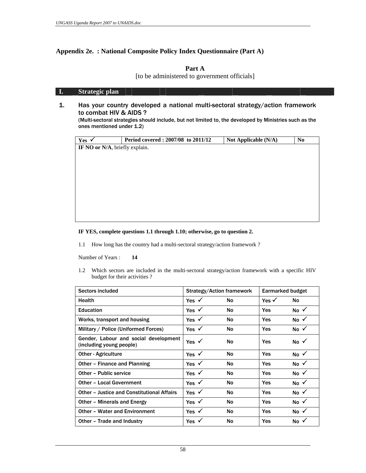#### **Appendix 2e. : National Composite Policy Index Questionnaire (Part A)**

#### **Part A**

[to be administered to government officials]

#### **I. Strategic plan**

1. Has your country developed a national multi-sectoral strategy/action framework to combat HIV & AIDS ?

 (Multi-sectoral strategies should include, but not limited to, the developed by Ministries such as the ones mentioned under 1.2)

| Yes $\checkmark$               | Period covered: 2007/08 to 2011/12 | Not Applicable (N/A) | N <sub>0</sub> |
|--------------------------------|------------------------------------|----------------------|----------------|
| IF NO or N/A, briefly explain. |                                    |                      |                |
|                                |                                    |                      |                |
|                                |                                    |                      |                |
|                                |                                    |                      |                |
|                                |                                    |                      |                |
|                                |                                    |                      |                |
|                                |                                    |                      |                |
|                                |                                    |                      |                |
|                                |                                    |                      |                |
|                                |                                    |                      |                |
|                                |                                    |                      |                |

#### **IF YES, complete questions 1.1 through 1.10; otherwise, go to question 2.**

1.1 How long has the country had a multi-sectoral strategy/action framework ?

Number of Years : **14** 

 1.2 Which sectors are included in the multi-sectoral strategy/action framework with a specific HIV budget for their activities ?

| Sectors included                                                  |                  | Strategy/Action framework |                  | Earmarked budget |
|-------------------------------------------------------------------|------------------|---------------------------|------------------|------------------|
| Health                                                            | Yes $\checkmark$ | No                        | Yes $\checkmark$ | No               |
| <b>Education</b>                                                  | Yes $\checkmark$ | No                        | <b>Yes</b>       | No $\checkmark$  |
| Works, transport and housing                                      | Yes $\checkmark$ | No                        | Yes              | No $\checkmark$  |
| Military / Police (Uniformed Forces)                              | Yes $\checkmark$ | No                        | <b>Yes</b>       | No $\checkmark$  |
| Gender, Labour and social development<br>(including young people) | Yes $\checkmark$ | No                        | Yes              | No $\checkmark$  |
| <b>Other - Agriculture</b>                                        | Yes $\checkmark$ | No                        | <b>Yes</b>       | No √             |
| Other - Finance and Planning                                      | Yes $\checkmark$ | No                        | Yes              | No $\checkmark$  |
| Other - Public service                                            | Yes $\checkmark$ | No                        | Yes              | No $\checkmark$  |
| <b>Other - Local Government</b>                                   | Yes $\checkmark$ | No                        | <b>Yes</b>       | No $\checkmark$  |
| <b>Other - Justice and Constitutional Affairs</b>                 | Yes $\checkmark$ | No                        | <b>Yes</b>       | No $\checkmark$  |
| Other - Minerals and Energy                                       | Yes $\checkmark$ | No                        | Yes              | No $\checkmark$  |
| <b>Other - Water and Environment</b>                              | Yes $\checkmark$ | No                        | Yes              | No $\checkmark$  |
| Other – Trade and Industry                                        | Yes $\checkmark$ | No                        | Yes              | No $\checkmark$  |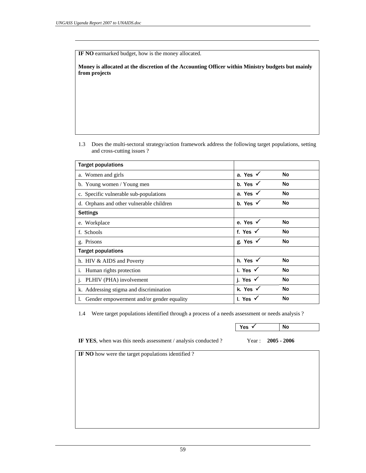**IF NO** earmarked budget, how is the money allocated.

**Money is allocated at the discretion of the Accounting Officer within Ministry budgets but mainly from projects** 

 1.3 Does the multi-sectoral strategy/action framework address the following target populations, setting and cross-cutting issues ?

| <b>Target populations</b>                    |                     |           |
|----------------------------------------------|---------------------|-----------|
| a. Women and girls                           | a. Yes $\checkmark$ | <b>No</b> |
| b. Young women / Young men                   | b. Yes $\checkmark$ | <b>No</b> |
| c. Specific vulnerable sub-populations       | a. Yes $\checkmark$ | No        |
| d. Orphans and other vulnerable children     | b. Yes $\checkmark$ | No        |
| <b>Settings</b>                              |                     |           |
| e. Workplace                                 | e. Yes $\checkmark$ | No        |
| f. Schools                                   | f. Yes $\checkmark$ | No        |
| g. Prisons                                   | g. Yes $\checkmark$ | No        |
| <b>Target populations</b>                    |                     |           |
| h. HIV & AIDS and Poverty                    | h. Yes $\checkmark$ | <b>No</b> |
| i. Human rights protection                   | i. Yes $\checkmark$ | No        |
| j. PLHIV (PHA) involvement                   | j. Yes $\checkmark$ | No        |
| k. Addressing stigma and discrimination      | k. Yes √            | No        |
| 1. Gender empowerment and/or gender equality | I. Yes $\checkmark$ | No        |
|                                              |                     |           |

1.4 Were target populations identified through a process of a needs assessment or needs analysis ?

|                                                               | Yes $\checkmark$ | No            |
|---------------------------------------------------------------|------------------|---------------|
| IF YES, when was this needs assessment / analysis conducted ? | Year :           | $2005 - 2006$ |
| IF NO how were the target populations identified?             |                  |               |
|                                                               |                  |               |
|                                                               |                  |               |
|                                                               |                  |               |
|                                                               |                  |               |
|                                                               |                  |               |
|                                                               |                  |               |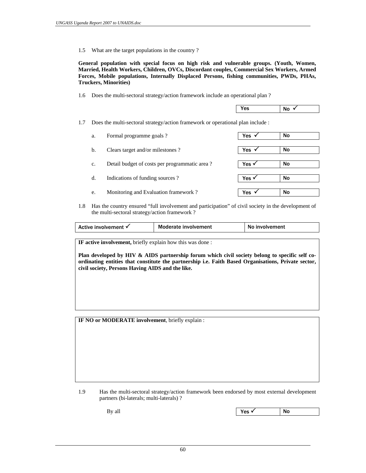1.5 What are the target populations in the country ?

 **General population with special focus on high risk and vulnerable groups. (Youth, Women, Married, Health Workers, Children, OVCs, Discordant couples, Commercial Sex Workers, Armed Forces, Mobile populations, Internally Displaced Persons, fishing communities, PWDs, PHAs, Truckers, Minorities)** 

1.6 Does the multi-sectoral strategy/action framework include an operational plan ?

 $Yes$  No  $\checkmark$ 

1.7 Does the multi-sectoral strategy/action framework or operational plan include :

| Formal programme goals?<br>a.                       | Yes   | <b>No</b> |
|-----------------------------------------------------|-------|-----------|
| Clears target and/or milestones?<br>b.              | Yes   | No        |
| Detail budget of costs per programmatic area?<br>c. | Yes v | No        |
| Indications of funding sources?<br>d.               | Yes v | No        |
| Monitoring and Evaluation framework?<br>e.          | Yes   | No        |

 1.8 Has the country ensured "full involvement and participation" of civil society in the development of the multi-sectoral strategy/action framework ?

| Moderate involvement<br>involvement<br>Active involvement √<br>N0. |
|--------------------------------------------------------------------|
|--------------------------------------------------------------------|

**IF active involvement,** briefly explain how this was done :

**Plan developed by HIV & AIDS partnership forum which civil society belong to specific self coordinating entities that constitute the partnership i.e. Faith Based Organisations, Private sector, civil society, Persons Having AIDS and the like.** 

**IF NO or MODERATE involvement**, briefly explain :

By all Yes 3 No

 <sup>1.9</sup> Has the multi-sectoral strategy/action framework been endorsed by most external development partners (bi-laterals; multi-laterals) ?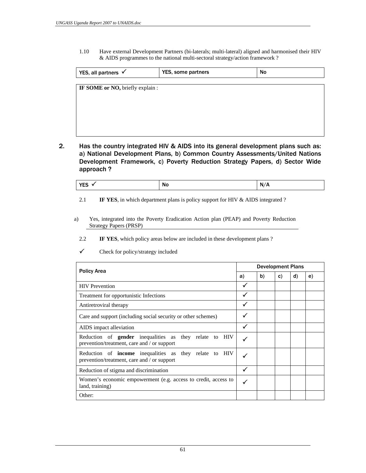1.10 Have external Development Partners (bi-laterals; multi-lateral) aligned and harmonised their HIV & AIDS programmes to the national multi-sectoral strategy/action framework ?

| YES, all partners $\checkmark$   | YES, some partners | No |  |
|----------------------------------|--------------------|----|--|
| IF SOME or NO, briefly explain : |                    |    |  |
|                                  |                    |    |  |
|                                  |                    |    |  |
|                                  |                    |    |  |
|                                  |                    |    |  |
|                                  |                    |    |  |

2. Has the country integrated HIV & AIDS into its general development plans such as: a) National Development Plans, b) Common Country Assessments/United Nations Development Framework, c) Poverty Reduction Strategy Papers, d) Sector Wide approach ?

| $V = C$<br>. .<br><b>N</b> O<br>. .<br>. | N.<br>A<br>. r |
|------------------------------------------|----------------|
|------------------------------------------|----------------|

2.1 **IF YES**, in which department plans is policy support for HIV & AIDS integrated ?

- a) Yes, integrated into the Poverty Eradication Action plan (PEAP) and Poverty Reduction Strategy Papers (PRSP)
	- 2.2 **IF YES**, which policy areas below are included in these development plans ?

|                                                                                                              |    | <b>Development Plans</b> |    |    |    |
|--------------------------------------------------------------------------------------------------------------|----|--------------------------|----|----|----|
| <b>Policy Area</b>                                                                                           | a) | b)                       | C) | d) | e) |
| <b>HIV</b> Prevention                                                                                        | ✓  |                          |    |    |    |
| Treatment for opportunistic Infections                                                                       |    |                          |    |    |    |
| Antiretroviral therapy                                                                                       |    |                          |    |    |    |
| Care and support (including social security or other schemes)                                                | ✓  |                          |    |    |    |
| AIDS impact alleviation                                                                                      | ✓  |                          |    |    |    |
| Reduction of <b>gender</b> inequalities as they relate to HIV<br>prevention/treatment, care and / or support |    |                          |    |    |    |
| Reduction of <b>income</b> inequalities as they relate to HIV<br>prevention/treatment, care and / or support |    |                          |    |    |    |
| Reduction of stigma and discrimination                                                                       | ✓  |                          |    |    |    |
| Women's economic empowerment (e.g. access to credit, access to<br>land, training)                            |    |                          |    |    |    |
| Other:                                                                                                       |    |                          |    |    |    |

 $\checkmark$  Check for policy/strategy included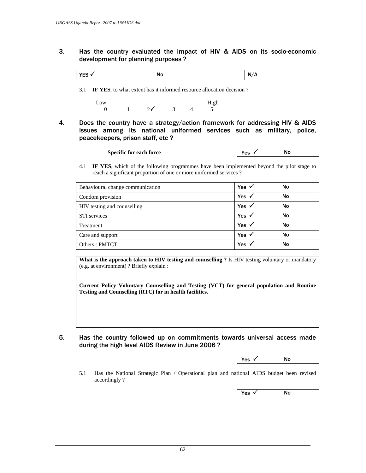3. Has the country evaluated the impact of HIV & AIDS on its socio-economic development for planning purposes ?

| N<br><br>.<br>$\cdot$ $\cdot$ $\cdot$ |
|---------------------------------------|
|---------------------------------------|

3.1 **IF YES**, to what extent has it informed resource allocation decision ?

Low High 0 1  $2\sqrt{}$  3 4 5

4. Does the country have a strategy/action framework for addressing HIV & AIDS issues among its national uniformed services such as military, police, peacekeepers, prison staff, etc ?

| No<br><b>Specific for each force</b><br>Vac<br>ູ |
|--------------------------------------------------|
|--------------------------------------------------|

 4.1 **IF YES**, which of the following programmes have been implemented beyond the pilot stage to reach a significant proportion of one or more uniformed services ?

| Behavioural change communication | Yes $\checkmark$ | No |
|----------------------------------|------------------|----|
| Condom provision                 | Yes $\checkmark$ | No |
| HIV testing and counselling      | Yes $\checkmark$ | No |
| STI services                     | Yes $\checkmark$ | No |
| Treatment                        | Yes $\checkmark$ | No |
| Care and support                 | Yes              | No |
| Others: PMTCT                    | <b>Yes</b>       | No |

**What is the approach taken to HIV testing and counselling ?** Is HIV testing voluntary or mandatory (e.g. at environment) ? Briefly explain :

**Current Policy Voluntary Counselling and Testing (VCT) for general population and Routine Testing and Counselling (RTC) for in health facilities.** 

5. Has the country followed up on commitments towards universal access made during the high level AIDS Review in June 2006 ?

|  |  | $\sim$<br>-<br>. .<br>--- | . No<br>.<br>$\sim$ |
|--|--|---------------------------|---------------------|
|--|--|---------------------------|---------------------|

 5.1 Has the National Strategic Plan / Operational plan and national AIDS budget been revised accordingly ?

 $Yes \checkmark$  No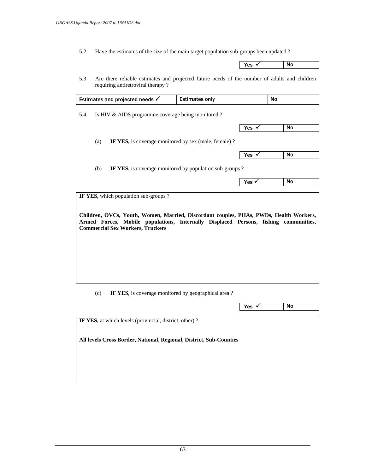5.2 Have the estimates of the size of the main target population sub-groups been updated ?

| Yes<br>$\cdot$ | <b>No</b> |  |
|----------------|-----------|--|
|                |           |  |
|                |           |  |

 5.3 Are there reliable estimates and projected future needs of the number of adults and children requiring antiretroviral therapy ?

|     | Estimates and projected needs √                                                                                                                                                                                                                                   | <b>Estimates only</b>                                   |                  | <b>No</b> |
|-----|-------------------------------------------------------------------------------------------------------------------------------------------------------------------------------------------------------------------------------------------------------------------|---------------------------------------------------------|------------------|-----------|
| 5.4 | Is HIV & AIDS programme coverage being monitored?                                                                                                                                                                                                                 |                                                         |                  |           |
|     |                                                                                                                                                                                                                                                                   |                                                         | Yes $\checkmark$ | <b>No</b> |
|     | IF YES, is coverage monitored by sex (male, female)?<br>(a)                                                                                                                                                                                                       |                                                         |                  |           |
|     |                                                                                                                                                                                                                                                                   |                                                         | Yes $\checkmark$ | <b>No</b> |
|     | (b)                                                                                                                                                                                                                                                               | IF YES, is coverage monitored by population sub-groups? |                  |           |
|     |                                                                                                                                                                                                                                                                   |                                                         |                  |           |
|     | IF YES, which population sub-groups?<br>Children, OVCs, Youth, Women, Married, Discordant couples, PHAs, PWDs, Health Workers,<br>Armed Forces, Mobile populations, Internally Displaced Persons, fishing communities,<br><b>Commercial Sex Workers, Truckers</b> |                                                         | Yes √            | <b>No</b> |
|     |                                                                                                                                                                                                                                                                   |                                                         |                  |           |
|     | IF YES, is coverage monitored by geographical area?<br>(c)                                                                                                                                                                                                        |                                                         |                  |           |

**IF YES,** at which levels (provincial, district, other) ? **All levels Cross Border, National, Regional, District, Sub-Counties**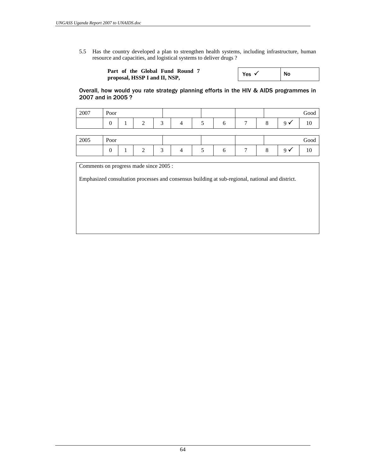5.5 Has the country developed a plan to strengthen health systems, including infrastructure, human resource and capacities, and logistical systems to deliver drugs ?

| Part of the Global Fund Round 7 | Yes | No |
|---------------------------------|-----|----|
| proposal, HSSP I and II, NSP,   |     |    |

 Overall, how would you rate strategy planning efforts in the HIV & AIDS programmes in 2007 and in 2005 ?

| 2007 | Poor           |   |                 |  |              |   |   | Good |
|------|----------------|---|-----------------|--|--------------|---|---|------|
|      | $\overline{0}$ | ◠ | $\sqrt{2}$      |  | h            | − | 8 | 10   |
|      |                |   |                 |  |              |   |   |      |
| 2005 | Poor           |   |                 |  |              |   |   | Good |
|      | $\overline{0}$ | ⌒ | $\sqrt{2}$<br>́ |  | <sub>0</sub> |   |   | 10   |

Comments on progress made since 2005 :

Emphasized consultation processes and consensus building at sub-regional, national and district.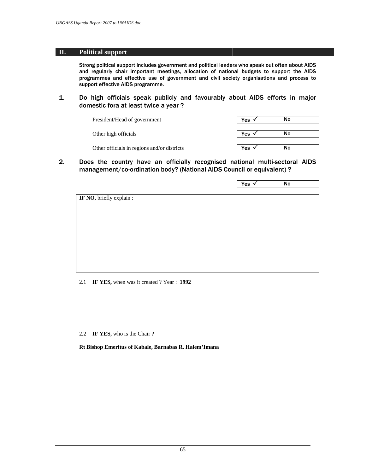#### **II. Political support**

 Strong political support includes government and political leaders who speak out often about AIDS and regularly chair important meetings, allocation of national budgets to support the AIDS programmes and effective use of government and civil society organisations and process to support effective AIDS programme.

1. Do high officials speak publicly and favourably about AIDS efforts in major domestic fora at least twice a year ?

| President/Head of government                | Yes Y       | No |
|---------------------------------------------|-------------|----|
| Other high officials                        | Yes $\cdot$ | No |
| Other officials in regions and/or districts | Yes         | No |

 $2.$ 2. Does the country have an officially recognised national multi-sectoral AIDS management/co-ordination body? (National AIDS Council or equivalent) ?

|                          | Yes v | No |
|--------------------------|-------|----|
|                          |       |    |
| IF NO, briefly explain : |       |    |
|                          |       |    |
|                          |       |    |
|                          |       |    |
|                          |       |    |
|                          |       |    |
|                          |       |    |
|                          |       |    |
|                          |       |    |
|                          |       |    |
|                          |       |    |

2.1 **IF YES,** when was it created ? Year : **1992**

2.2 **IF YES,** who is the Chair ?

**Rt Bishop Emeritus of Kabale, Barnabas R. Halem'Imana**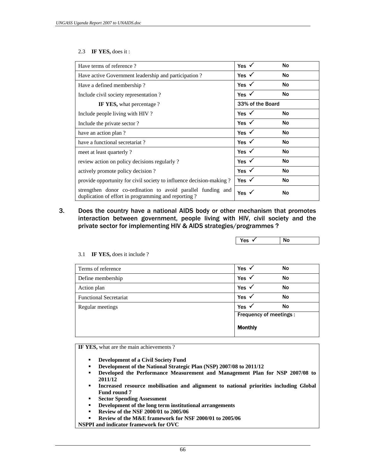#### 2.3 **IF YES,** does it :

| Have terms of reference?                                                                                            | Yes $\checkmark$ | No        |  |
|---------------------------------------------------------------------------------------------------------------------|------------------|-----------|--|
| Have active Government leadership and participation?                                                                | Yes $\checkmark$ | No        |  |
| Have a defined membership?                                                                                          | Yes $\checkmark$ | No        |  |
| Include civil society representation?                                                                               | Yes $\checkmark$ | No        |  |
| <b>IF YES,</b> what percentage?                                                                                     | 33% of the Board |           |  |
| Include people living with HIV?                                                                                     | Yes $\checkmark$ | No        |  |
| Include the private sector?                                                                                         | Yes $\checkmark$ | No        |  |
| have an action plan?                                                                                                | Yes $\checkmark$ | No        |  |
| have a functional secretariat?                                                                                      | Yes $\checkmark$ | No        |  |
| meet at least quarterly?                                                                                            | Yes $\checkmark$ | No        |  |
| review action on policy decisions regularly?                                                                        | Yes $\checkmark$ | <b>No</b> |  |
| actively promote policy decision?                                                                                   | Yes $\checkmark$ | No        |  |
| provide opportunity for civil society to influence decision-making?                                                 | Yes $\checkmark$ | No        |  |
| strengthen donor co-ordination to avoid parallel funding and<br>duplication of effort in programming and reporting? | Yes $\checkmark$ | No        |  |

 $3.$ Does the country have a national AIDS body or other mechanism that promotes interaction between government, people living with HIV, civil society and the private sector for implementing HIV & AIDS strategies/programmes ?

| $\sim$<br>. . | - NP<br><br>$\cdot$ $\cdot$ $\cdot$ |  |
|---------------|-------------------------------------|--|
|               |                                     |  |

|                               | <b>Monthly</b>          |           |
|-------------------------------|-------------------------|-----------|
|                               | Frequency of meetings : |           |
| Regular meetings              | Yes $\checkmark$        | No        |
| <b>Functional Secretariat</b> | Yes $\checkmark$        | <b>No</b> |
| Action plan                   | Yes $\checkmark$        | No        |
| Define membership             | Yes $\checkmark$        | No        |
| Terms of reference            | Yes $\checkmark$        | No        |

3.1 **IF YES,** does it include ?

**IF YES,** what are the main achievements ?

- **Development of a Civil Society Fund**
- **Development of the National Strategic Plan (NSP) 2007/08 to 2011/12**
- **Developed the Performance Measurement and Management Plan for NSP 2007/08 to 2011/12**
- **Increased resource mobilisation and alignment to national priorities including Global Fund round 7**
- **Sector Spending Assessment**
- **Development of the long term institutional arrangements**
- **Review of the NSF 2000/01 to 2005/06**
- **Review of the M&E framework for NSF 2000/01 to 2005/06**

**NSPPI and indicator framework for OVC**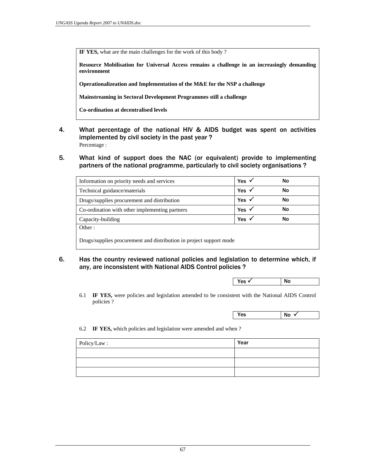**IF YES,** what are the main challenges for the work of this body ?

**Resource Mobilisation for Universal Access remains a challenge in an increasingly demanding environment** 

**Operationalizeation and Implementation of the M&E for the NSP a challenge** 

**Mainstreaming in Sectoral Development Programmes still a challenge**

**Co-ordination at decentralised levels** 

- 4. What percentage of the national HIV & AIDS budget was spent on activities implemented by civil society in the past year ? Percentage :
- 5. What kind of support does the NAC (or equivalent) provide to implementing partners of the national programme, particularly to civil society organisations ?

| Information on priority needs and services     | Yes $\checkmark$ | No        |
|------------------------------------------------|------------------|-----------|
| Technical guidance/materials                   | Yes $\checkmark$ | No        |
| Drugs/supplies procurement and distribution    | Yes $\checkmark$ | <b>No</b> |
| Co-ordination with other implementing partners | Yes $\checkmark$ | No        |
| Capacity-building                              | Yes $\checkmark$ | No        |
| Other:                                         |                  |           |

6. Has the country reviewed national policies and legislation to determine which, if any, are inconsistent with National AIDS Control policies ?

| No<br>Yes √ |  |
|-------------|--|
|-------------|--|

 6.1 **IF YES,** were policies and legislation amended to be consistent with the National AIDS Control policies ?

 $\sqrt{X}$  Yes  $\sqrt{N_0 \sqrt{2}}$ 

6.2 **IF YES,** which policies and legislation were amended and when ?

| Policy/Law: | Year |
|-------------|------|
|             |      |
|             |      |
|             |      |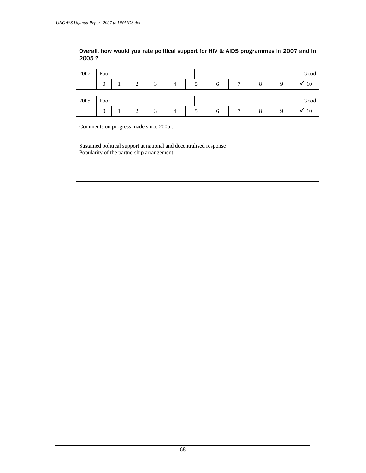## Overall, how would you rate political support for HIV & AIDS programmes in 2007 and in 2005 ?

| 2007 | Poor     |   |        |  |   |   |  | Good |
|------|----------|---|--------|--|---|---|--|------|
|      | $\theta$ | ി | $\sim$ |  | h | − |  |      |
|      |          |   |        |  |   |   |  |      |
|      |          |   |        |  |   |   |  |      |
| 2005 | Poor     |   |        |  |   |   |  | Good |

Comments on progress made since 2005 :

Sustained political support at national and decentralised response Popularity of the partnership arrangement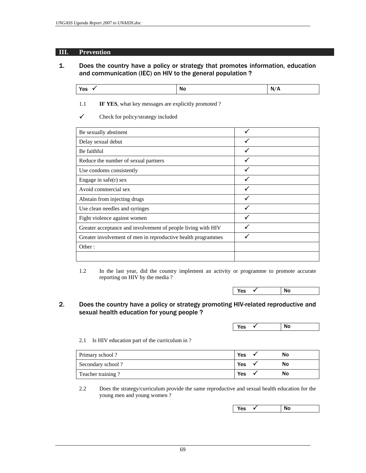## **III. Prevention**

# 1. Does the country have a policy or strategy that promotes information, education and communication (IEC) on HIV to the general population ?

| Yes $\checkmark$ | No | N/A |
|------------------|----|-----|
|------------------|----|-----|

1.1 **IF YES**, what key messages are explicitly promoted ?

 $\checkmark$  Check for policy/strategy included

| Be sexually abstinent                                        |  |
|--------------------------------------------------------------|--|
| Delay sexual debut                                           |  |
| Be faithful                                                  |  |
| Reduce the number of sexual partners                         |  |
| Use condoms consistently                                     |  |
| Engage in $safe(r)$ sex                                      |  |
| Avoid commercial sex                                         |  |
| Abstain from injecting drugs                                 |  |
| Use clean needles and syringes                               |  |
| Fight violence against women                                 |  |
| Greater acceptance and involvement of people living with HIV |  |
| Greater involvement of men in reproductive health programmes |  |
| Other:                                                       |  |

 1.2 In the last year, did the country implement an activity or programme to promote accurate reporting on HIV by the media ?



## 2. Does the country have a policy or strategy promoting HIV-related reproductive and sexual health education for young people ?

 $Yes \checkmark$  No

2.1 Is HIV education part of the curriculum in ?

| Primary school?   | Yes | Νo |
|-------------------|-----|----|
| Secondary school? | Yes | NΟ |
| Teacher training? | Yes | NΟ |

 2.2 Does the strategy/curriculum provide the same reproductive and sexual health education for the young men and young women ?

 $\sqrt{ }$  Yes  $\sqrt{ }$  No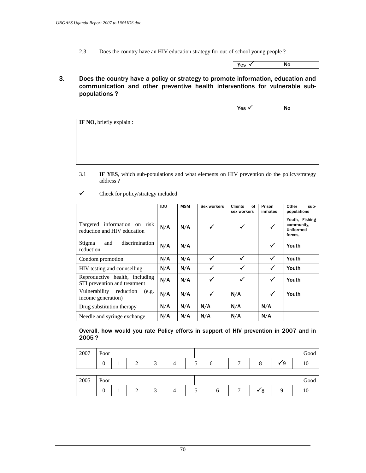2.3 Does the country have an HIV education strategy for out-of-school young people ?

| Yes | <b>NO</b> |
|-----|-----------|

3. Does the country have a policy or strategy to promote information, education and communication and other preventive health interventions for vulnerable subpopulations ?

| Yes<br>٠ | <b>NO</b> |  |
|----------|-----------|--|

**IF NO, briefly explain :** 

 3.1 **IF YES**, which sub-populations and what elements on HIV prevention do the policy/strategy address ?

|                                                                | <b>IDU</b> | <b>MSM</b> | Sex workers | <b>Clients</b><br>οf<br>sex workers | Prison<br>inmates | Other<br>sub-<br>populations                                |
|----------------------------------------------------------------|------------|------------|-------------|-------------------------------------|-------------------|-------------------------------------------------------------|
| Targeted information on risk<br>reduction and HIV education    | N/A        | N/A        | ✓           | $\checkmark$                        | $\checkmark$      | Youth, Fishing<br>community,<br><b>Uniformed</b><br>forces. |
| discrimination<br>Stigma<br>and<br>reduction                   | N/A        | N/A        |             |                                     | ✓                 | Youth                                                       |
| Condom promotion                                               | N/A        | N/A        | ✓           | ✓                                   | ✓                 | Youth                                                       |
| HIV testing and counselling                                    | N/A        | N/A        | ✓           | ✓                                   | ✓                 | Youth                                                       |
| Reproductive health, including<br>STI prevention and treatment | N/A        | N/A        | ✓           | $\checkmark$                        | ✓                 | Youth                                                       |
| Vulnerability<br>reduction<br>(e.g.<br>income generation)      | N/A        | N/A        | ✓           | N/A                                 | $\checkmark$      | Youth                                                       |
| Drug substitution therapy                                      | N/A        | N/A        | N/A         | N/A                                 | N/A               |                                                             |
| Needle and syringe exchange                                    | N/A        | N/A        | N/A         | N/A                                 | N/A               |                                                             |

 $\checkmark$  Check for policy/strategy included

 Overall, how would you rate Policy efforts in support of HIV prevention in 2007 and in 2005 ?

| 2007 | Poor     |   |                 |  |   |   |   | Good |
|------|----------|---|-----------------|--|---|---|---|------|
|      | 0        | ◠ | $\sqrt{2}$<br>≺ |  | O | ◠ | u |      |
|      |          |   |                 |  |   |   |   |      |
| 2005 | Poor     |   |                 |  |   |   |   | Good |
|      | $\theta$ | ◠ | $\sqrt{2}$<br>́ |  |   | x |   |      |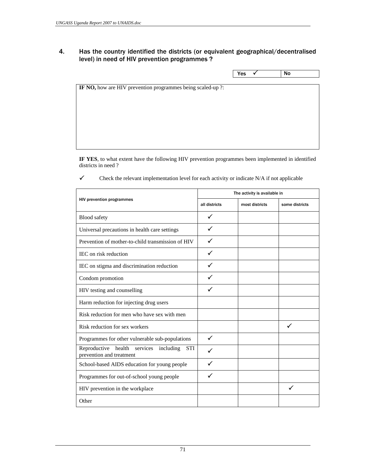# 4. Has the country identified the districts (or equivalent geographical/decentralised level) in need of HIV prevention programmes ?

|                                                             | Yes | No |
|-------------------------------------------------------------|-----|----|
|                                                             |     |    |
| IF NO, how are HIV prevention programmes being scaled-up ?: |     |    |
|                                                             |     |    |
|                                                             |     |    |
|                                                             |     |    |
|                                                             |     |    |
|                                                             |     |    |
|                                                             |     |    |
|                                                             |     |    |

**IF YES**, to what extent have the following HIV prevention programmes been implemented in identified districts in need ?

 $\checkmark$  Check the relevant implementation level for each activity or indicate N/A if not applicable

|                                                                                  |               | The activity is available in |                |
|----------------------------------------------------------------------------------|---------------|------------------------------|----------------|
| <b>HIV prevention programmes</b>                                                 | all districts | most districts               | some districts |
| <b>Blood</b> safety                                                              |               |                              |                |
| Universal precautions in health care settings                                    |               |                              |                |
| Prevention of mother-to-child transmission of HIV                                |               |                              |                |
| IEC on risk reduction                                                            |               |                              |                |
| IEC on stigma and discrimination reduction                                       |               |                              |                |
| Condom promotion                                                                 |               |                              |                |
| HIV testing and counselling                                                      |               |                              |                |
| Harm reduction for injecting drug users                                          |               |                              |                |
| Risk reduction for men who have sex with men                                     |               |                              |                |
| Risk reduction for sex workers                                                   |               |                              | $\checkmark$   |
| Programmes for other vulnerable sub-populations                                  | ✓             |                              |                |
| Reproductive health services including<br><b>STI</b><br>prevention and treatment |               |                              |                |
| School-based AIDS education for young people                                     |               |                              |                |
| Programmes for out-of-school young people                                        |               |                              |                |
| HIV prevention in the workplace                                                  |               |                              | $\checkmark$   |
| Other                                                                            |               |                              |                |
|                                                                                  |               |                              |                |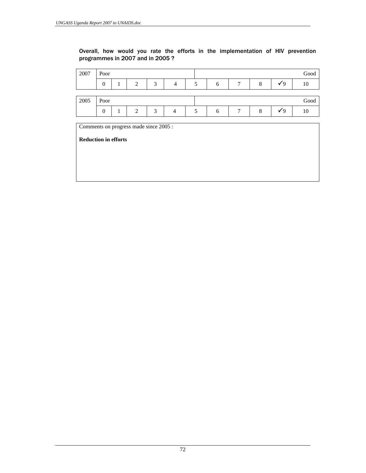Overall, how would you rate the efforts in the implementation of HIV prevention programmes in 2007 and in 2005 ?

| 2007 | Poor           |   |   |                |   |   |   |            | Good |
|------|----------------|---|---|----------------|---|---|---|------------|------|
|      | $\overline{0}$ | 2 | 3 | 4              | 5 | 6 | 8 | Y 9        | 10   |
|      |                |   |   |                |   |   |   |            |      |
| 2005 | Poor           |   |   |                |   |   |   |            | Good |
|      | $\mathbf{0}$   | 2 | 3 | $\overline{4}$ | 5 | 6 | 8 | $\sqrt{9}$ | 10   |

72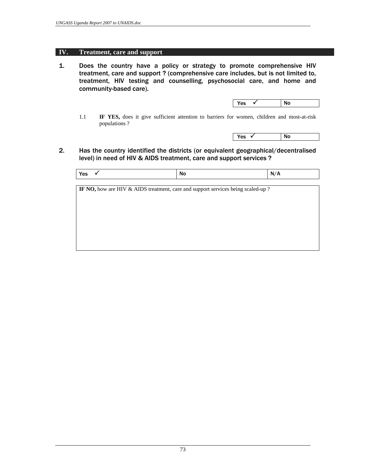## **IV. Treatment, care and support**

1. Does the country have a policy or strategy to promote comprehensive HIV treatment, care and support ? (comprehensive care includes, but is not limited to, treatment, HIV testing and counselling, psychosocial care, and home and community-based care).

|  |  |  |  | Yes<br>- 4 |  | No |  |
|--|--|--|--|------------|--|----|--|
|--|--|--|--|------------|--|----|--|

 1.1 **IF YES,** does it give sufficient attention to barriers for women, children and most-at-risk populations ?

 $\sqrt{Y}$ es  $\sqrt{N}$ 

2. Has the country identified the districts (or equivalent geographical/decentralised level) in need of HIV & AIDS treatment, care and support services ?

| Yes | <b>No</b> | . .<br>N<br>. . |
|-----|-----------|-----------------|

**IF NO,** how are HIV & AIDS treatment, care and support services being scaled-up ?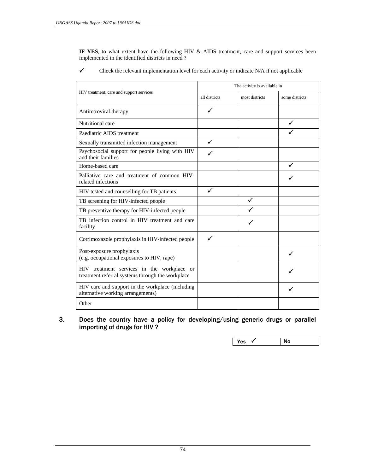**IF YES**, to what extent have the following HIV & AIDS treatment, care and support services been implemented in the identified districts in need ?

 $\checkmark$  Check the relevant implementation level for each activity or indicate N/A if not applicable

|                                                                                                |               | The activity is available in |                |
|------------------------------------------------------------------------------------------------|---------------|------------------------------|----------------|
| HIV treatment, care and support services                                                       | all districts | most districts               | some districts |
| Antiretroviral therapy                                                                         | ✓             |                              |                |
| Nutritional care                                                                               |               |                              |                |
| Paediatric AIDS treatment                                                                      |               |                              |                |
| Sexually transmitted infection management                                                      | $\checkmark$  |                              |                |
| Psychosocial support for people living with HIV<br>and their families                          |               |                              |                |
| Home-based care                                                                                |               |                              |                |
| Palliative care and treatment of common HIV-<br>related infections                             |               |                              |                |
| HIV tested and counselling for TB patients                                                     | $\checkmark$  |                              |                |
| TB screening for HIV-infected people                                                           |               |                              |                |
| TB preventive therapy for HIV-infected people                                                  |               |                              |                |
| TB infection control in HIV treatment and care<br>facility                                     |               |                              |                |
| Cotrimoxazole prophylaxis in HIV-infected people                                               | $\checkmark$  |                              |                |
| Post-exposure prophylaxis<br>(e.g. occupational exposures to HIV, rape)                        |               |                              | $\checkmark$   |
| HIV treatment services in the workplace or<br>treatment referral systems through the workplace |               |                              |                |
| HIV care and support in the workplace (including<br>alternative working arrangements)          |               |                              |                |
| Other                                                                                          |               |                              |                |

 $3.$ Does the country have a policy for developing/using generic drugs or parallel importing of drugs for HIV ?

|  | Yes<br>v | No |
|--|----------|----|
|--|----------|----|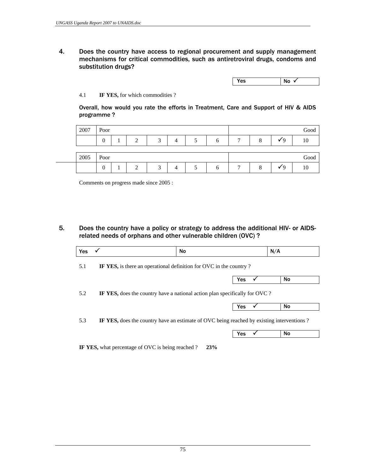4. Does the country have access to regional procurement and supply management mechanisms for critical commodities, such as antiretroviral drugs, condoms and substitution drugs?

 $Yes$  No  $\checkmark$ 

## 4.1 **IF YES,** for which commodities ?

 Overall, how would you rate the efforts in Treatment, Care and Support of HIV & AIDS programme ?

| 2007 | Poor |   |        |   |   |   |       | Good |
|------|------|---|--------|---|---|---|-------|------|
|      |      | ⌒ | $\sim$ | 4 | n | − | ิน    | 10   |
|      |      |   |        |   |   |   |       |      |
| 2005 | Poor |   |        |   |   |   |       | Good |
|      | v    |   | $\sim$ |   |   | − | ิ ฯ น | 10   |

Comments on progress made since 2005 :

5. Does the country have a policy or strategy to address the additional HIV- or AIDSrelated needs of orphans and other vulnerable children (OVC) ?

| <b>Yes</b> | $\checkmark$                                                                              | No |     | N/A |
|------------|-------------------------------------------------------------------------------------------|----|-----|-----|
| 5.1        | IF YES, is there an operational definition for OVC in the country?                        |    |     |     |
|            |                                                                                           |    | Yes | No  |
| 5.2        | IF YES, does the country have a national action plan specifically for OVC?                |    |     |     |
|            |                                                                                           |    | Yes | No  |
|            |                                                                                           |    |     |     |
| 5.3        | IF YES, does the country have an estimate of OVC being reached by existing interventions? |    |     |     |

**IF YES,** what percentage of OVC is being reached ? **23%**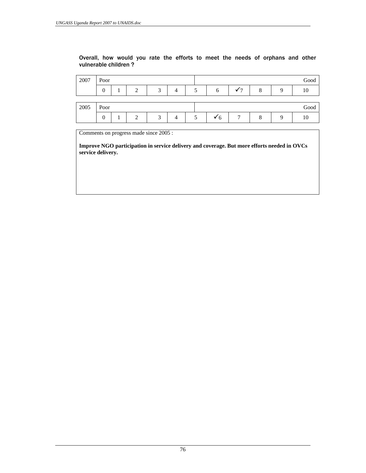## Overall, how would you rate the efforts to meet the needs of orphans and other vulnerable children ?

| 2007 | Poor     |   |   |  |   |   | Good |
|------|----------|---|---|--|---|---|------|
|      | $\theta$ | ◠ | ◠ |  | h | 8 |      |
|      |          |   |   |  |   |   |      |
|      |          |   |   |  |   |   |      |
| 2005 | Poor     |   |   |  |   |   | Good |

Comments on progress made since 2005 :

**Improve NGO participation in service delivery and coverage. But more efforts needed in OVCs service delivery.**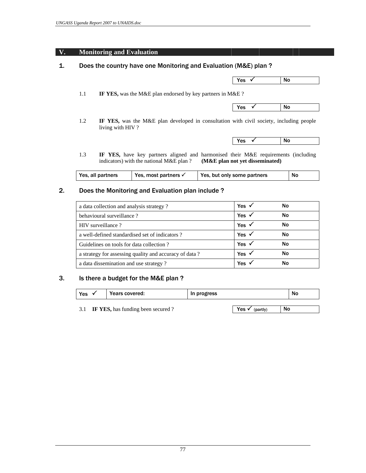## **V. Monitoring and Evaluation**

# 1. Does the country have one Monitoring and Evaluation (M&E) plan ?

| Yes<br> | <b>NO</b> |
|---------|-----------|

1.1 **IF YES,** was the M&E plan endorsed by key partners in M&E ?

| N/<br><br>$\mathbf{r}$<br>$\sim$ |
|----------------------------------|
|----------------------------------|

 1.2 **IF YES,** was the M&E plan developed in consultation with civil society, including people living with HIV ?

| γ۵ς<br><b>NO</b><br>, 69 |  |
|--------------------------|--|
|--------------------------|--|

 1.3 **IF YES,** have key partners aligned and harmonised their M&E requirements (including indicators) with the national M&E plan ? **(M&E plan not yet disseminated)**

|  | Yes, all partners | Yes, most partners $\checkmark$ | Yes, but only some partners | No |
|--|-------------------|---------------------------------|-----------------------------|----|
|--|-------------------|---------------------------------|-----------------------------|----|

## 2. Does the Monitoring and Evaluation plan include ?

| a data collection and analysis strategy?               | Yes $\checkmark$ | No |  |
|--------------------------------------------------------|------------------|----|--|
| behavioural surveillance?                              | Yes $\checkmark$ | No |  |
| HIV surveillance?                                      | Yes $\checkmark$ | No |  |
| a well-defined standardised set of indicators?         | Yes $\checkmark$ | No |  |
| Guidelines on tools for data collection?               | Yes $\checkmark$ | No |  |
| a strategy for assessing quality and accuracy of data? | Yes $\checkmark$ | No |  |
| a data dissemination and use strategy?                 | Yes $\checkmark$ | No |  |

## 3. Is there a budget for the M&E plan ?

| Yes | Years covered:                    | In progress |                   | No |
|-----|-----------------------------------|-------------|-------------------|----|
|     |                                   |             |                   |    |
|     | IF YES, has funding been secured? |             | Yes √<br>(partly) | No |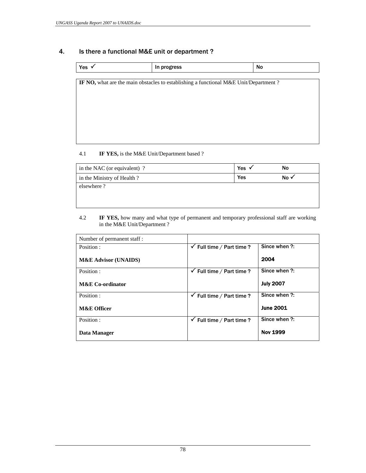# 4. Is there a functional M&E unit or department ?

| Yes $\checkmark$ | In progress                                                                                 | No |
|------------------|---------------------------------------------------------------------------------------------|----|
|                  |                                                                                             |    |
|                  | <b>IF NO,</b> what are the main obstacles to establishing a functional M&E Unit/Department? |    |
|                  |                                                                                             |    |
|                  |                                                                                             |    |
|                  |                                                                                             |    |
|                  |                                                                                             |    |
|                  |                                                                                             |    |
|                  |                                                                                             |    |
|                  |                                                                                             |    |

# 4.1 **IF YES,** is the M&E Unit/Department based ?

| in the NAC (or equivalent) ? | <b>Yes</b> | No  |
|------------------------------|------------|-----|
| in the Ministry of Health?   | Yes        | No١ |
| elsewhere?                   |            |     |
|                              |            |     |
|                              |            |     |

### 4.2 **IF YES,** how many and what type of permanent and temporary professional staff are working in the M&E Unit/Department ?

| Number of permanent staff :     |                                      |                  |
|---------------------------------|--------------------------------------|------------------|
| Position :                      | $\checkmark$ Full time / Part time ? | Since when ?:    |
| <b>M&amp;E Advisor (UNAIDS)</b> |                                      | 2004             |
| Position:                       | $\checkmark$ Full time / Part time ? | Since when ?:    |
| <b>M&amp;E</b> Co-ordinator     |                                      | <b>July 2007</b> |
| Position:                       | $\checkmark$ Full time / Part time ? | Since when ?:    |
| <b>M&amp;E Officer</b>          |                                      | <b>June 2001</b> |
| Position:                       | $\checkmark$ Full time / Part time ? | Since when ?:    |
| Data Manager                    |                                      | <b>Nov 1999</b>  |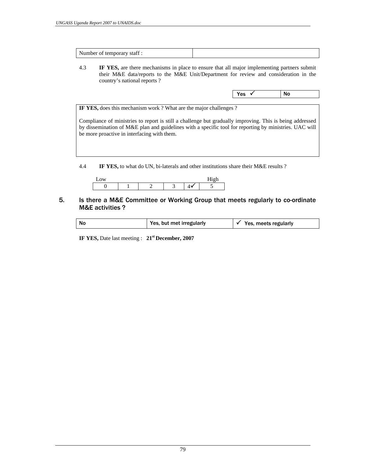|--|

 4.3 **IF YES,** are there mechanisms in place to ensure that all major implementing partners submit their M&E data/reports to the M&E Unit/Department for review and consideration in the country's national reports ?

| No<br>Yes<br>$\cdot$ |  |
|----------------------|--|

**IF YES,** does this mechanism work ? What are the major challenges ?

Compliance of ministries to report is still a challenge but gradually improving. This is being addressed by dissemination of M&E plan and guidelines with a specific tool for reporting by ministries. UAC will be more proactive in interfacing with them.

4.4 **IF YES,** to what do UN, bi-laterals and other institutions share their M&E results ?



## 5. Is there a M&E Committee or Working Group that meets regularly to co-ordinate M&E activities ?

| Yes, but met irregularly<br>No<br>Yes, meets regularly |  |  |  |  |
|--------------------------------------------------------|--|--|--|--|
|--------------------------------------------------------|--|--|--|--|

**IF YES,** Date last meeting : **21st December, 2007**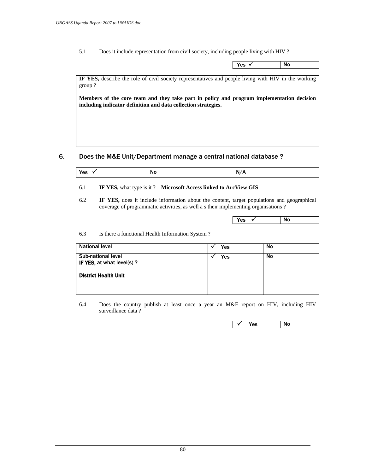5.1 Does it include representation from civil society, including people living with HIV ?

| <b>Voc</b><br>--<br>ິ | <b>NC</b><br>$\cdot$ $\cdot$ $\cdot$ |
|-----------------------|--------------------------------------|
|                       |                                      |

**IF YES,** describe the role of civil society representatives and people living with HIV in the working group ?

**Members of the core team and they take part in policy and program implementation decision including indicator definition and data collection strategies.** 

## 6. Does the M&E Unit/Department manage a central national database ?

| ----<br>$\mathbf{v}$<br>N<br>NI.<br>11 V<br><u>r</u><br>.<br>$\sim$ |  |
|---------------------------------------------------------------------|--|
|---------------------------------------------------------------------|--|

### 6.1 **IF YES,** what type is it ? **Microsoft Access linked to ArcView GIS**

 6.2 **IF YES,** does it include information about the content, target populations and geographical coverage of programmatic activities, as well a s their implementing organisations ?

| Yes<br>$\overline{\phantom{a}}$ | <b>No</b> |  |
|---------------------------------|-----------|--|

6.3 Is there a functional Health Information System ?

| <b>National level</b>                                  | Yes | No |
|--------------------------------------------------------|-----|----|
| <b>Sub-national level</b><br>IF YES, at what level(s)? | Yes | No |
| <b>District Health Unit</b>                            |     |    |
|                                                        |     |    |

 6.4 Does the country publish at least once a year an M&E report on HIV, including HIV surveillance data ?

 $\sqrt{ }$  Yes No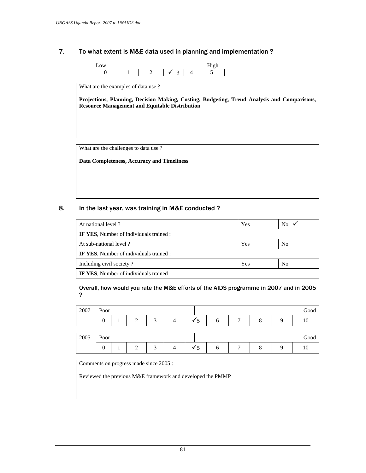## 7. To what extent is M&E data used in planning and implementation ?



What are the examples of data use ?

**Projections, Planning, Decision Making, Costing, Budgeting, Trend Analysis and Comparisons, Resource Management and Equitable Distribution** 

What are the challenges to data use ?

**Data Completeness, Accuracy and Timeliness** 

## 8. In the last year, was training in M&E conducted ?

| At national level ?                            | Yes | No             |
|------------------------------------------------|-----|----------------|
| <b>IF YES.</b> Number of individuals trained : |     |                |
| At sub-national level?                         | Yes | N <sub>0</sub> |
| IF YES, Number of individuals trained :        |     |                |
| Including civil society?                       | Yes | N <sub>0</sub> |
| <b>IF YES, Number of individuals trained :</b> |     |                |

 Overall, how would you rate the M&E efforts of the AIDS programme in 2007 and in 2005 ?

| 2007 | Poor           |  |   |  |  |    |  |   |  | Good |
|------|----------------|--|---|--|--|----|--|---|--|------|
|      | $\overline{0}$ |  | ◠ |  |  | Y. |  | − |  |      |
|      |                |  |   |  |  |    |  |   |  |      |
|      | Poor           |  |   |  |  |    |  |   |  |      |
| 2005 |                |  |   |  |  |    |  |   |  | Good |

Comments on progress made since 2005 :

Reviewed the previous M&E framework and developed the PMMP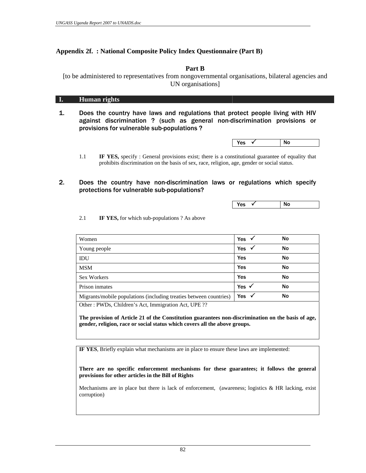# **Appendix 2f. : National Composite Policy Index Questionnaire (Part B)**

**Part B**

[to be administered to representatives from nongovernmental organisations, bilateral agencies and UN organisations]

## **I. Human rights**

1. Does the country have laws and regulations that protect people living with HIV against discrimination ? (such as general non-discrimination provisions or provisions for vulnerable sub-populations ?

| Yes<br>- 1 | <b>No</b> |  |
|------------|-----------|--|
|------------|-----------|--|

- 1.1 **IF YES,** specify : General provisions exist; there is a constitutional guarantee of equality that prohibits discrimination on the basis of sex, race, religion, age, gender or social status.
- 2. Does the country have non-discrimination laws or regulations which specify protections for vulnerable sub-populations?

 $\sqrt{2}$  No  $\sqrt{2}$  No  $\sqrt{2}$  No  $\sqrt{2}$  No  $\sqrt{2}$  No  $\sqrt{2}$  No  $\sqrt{2}$  No  $\sqrt{2}$  No  $\sqrt{2}$  No  $\sqrt{2}$  No  $\sqrt{2}$  No  $\sqrt{2}$  No  $\sqrt{2}$  No  $\sqrt{2}$  No  $\sqrt{2}$  No  $\sqrt{2}$  No  $\sqrt{2}$  No  $\sqrt{2}$  No  $\sqrt{2}$  No  $\sqrt{2}$  No

2.1 **IF YES,** for which sub-populations ? As above

| Women                                                              | Yes              | No |  |
|--------------------------------------------------------------------|------------------|----|--|
| Young people                                                       | <b>Yes</b>       | No |  |
| IDU                                                                | Yes              | No |  |
| <b>MSM</b>                                                         | Yes              | No |  |
| <b>Sex Workers</b>                                                 | Yes              | No |  |
| Prison inmates                                                     | Yes $\checkmark$ | No |  |
| Migrants/mobile populations (including treaties between countries) | Yes $\checkmark$ | No |  |
|                                                                    |                  |    |  |

Other : PWDs, Children's Act, Immigration Act, UPE ??

**The provision of Article 21 of the Constitution guarantees non-discrimination on the basis of age, gender, religion, race or social status which covers all the above groups.** 

**IF YES**, Briefly explain what mechanisms are in place to ensure these laws are implemented:

**There are no specific enforcement mechanisms for these guarantees; it follows the general provisions for other articles in the Bill of Rights** 

Mechanisms are in place but there is lack of enforcement, (awareness; logistics & HR lacking, exist corruption)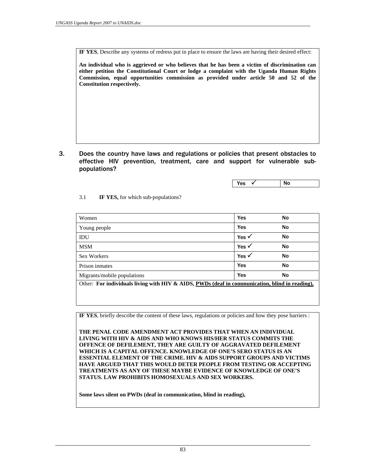**IF YES**, Describe any systems of redress put in place to ensure the laws are having their desired effect:

**An individual who is aggrieved or who believes that he has been a victim of discrimination can either petition the Constitutional Court or lodge a complaint with the Uganda Human Rights Commission, equal opportunities commission as provided under article 50 and 52 of the Constitution respectively.** 

3. Does the country have laws and regulations or policies that present obstacles to effective HIV prevention, treatment, care and support for vulnerable subpopulations?

 $\gamma_{\text{es}}$   $\checkmark$  No

## 3.1 **IF YES,** for which sub-populations?

| Women                                                                                          | Yes              | No |
|------------------------------------------------------------------------------------------------|------------------|----|
| Young people                                                                                   | Yes              | No |
| IDU                                                                                            | Yes $\checkmark$ | No |
| <b>MSM</b>                                                                                     | Yes $\checkmark$ | No |
| <b>Sex Workers</b>                                                                             | Yes $\checkmark$ | No |
| Prison inmates                                                                                 | Yes              | No |
| Migrants/mobile populations                                                                    | Yes              | No |
| Other: For individuals living with HIV & AIDS, PWDs (deaf in communication, blind in reading), |                  |    |

**IF YES**, briefly describe the content of these laws, regulations or policies and how they pose barriers :

**THE PENAL CODE AMENDMENT ACT PROVIDES THAT WHEN AN INDIVIDUAL LIVING WITH HIV & AIDS AND WHO KNOWS HIS/HER STATUS COMMITS THE OFFENCE OF DEFILEMENT, THEY ARE GUILTY OF AGGRAVATED DEFILEMENT WHICH IS A CAPITAL OFFENCE. KNOWLEDGE OF ONE'S SERO STATUS IS AN ESSENTIAL ELEMENT OF THE CRIME. HIV & AIDS SUPPORT GROUPS AND VICTIMS HAVE ARGUED THAT THIS WOULD DETER PEOPLE FROM TESTING OR ACCEPTING TREATMENTS AS ANY OF THESE MAYBE EVIDENCE OF KNOWLEDGE OF ONE'S STATUS. LAW PROHIBITS HOMOSEXUALS AND SEX WORKERS.** 

**Some laws silent on PWDs (deaf in communication, blind in reading),**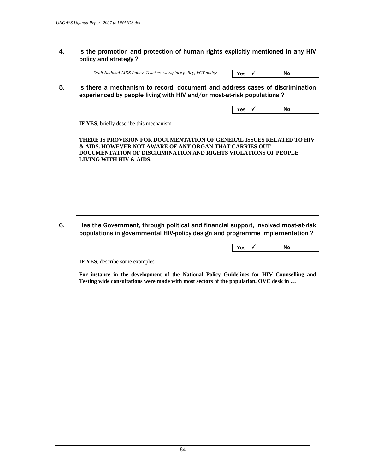4. Is the promotion and protection of human rights explicitly mentioned in any HIV policy and strategy ?

**Draft National AIDS Policy, Teachers workplace policy, VCT policy** 

| $V_{\alpha\alpha}$<br>es<br>-- | Νo |
|--------------------------------|----|
|                                |    |

5. Is there a mechanism to record, document and address cases of discrimination experienced by people living with HIV and/or most-at-risk populations ?

| Yes<br>- 1 | <b>No</b> |  |
|------------|-----------|--|

**IF YES**, briefly describe this mechanism

**THERE IS PROVISION FOR DOCUMENTATION OF GENERAL ISSUES RELATED TO HIV & AIDS. HOWEVER NOT AWARE OF ANY ORGAN THAT CARRIES OUT DOCUMENTATION OF DISCRIMINATION AND RIGHTS VIOLATIONS OF PEOPLE LIVING WITH HIV & AIDS.** 

6. Has the Government, through political and financial support, involved most-at-risk populations in governmental HIV-policy design and programme implementation ?

|                                                                                           | Yes | No |
|-------------------------------------------------------------------------------------------|-----|----|
| <b>IF YES, describe some examples</b>                                                     |     |    |
| For instance in the development of the National Policy Guidelines for HIV Counselling and |     |    |
|                                                                                           |     |    |
| Testing wide consultations were made with most sectors of the population. OVC desk in     |     |    |
|                                                                                           |     |    |
|                                                                                           |     |    |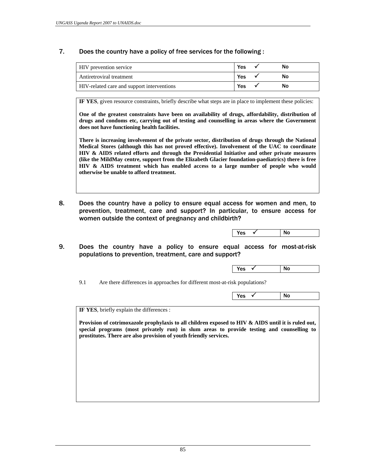# 7. Does the country have a policy of free services for the following :

| HIV prevention service                     | Yes | Nο |
|--------------------------------------------|-----|----|
| Antiretroviral treatment                   | Yes | Nο |
| HIV-related care and support interventions | Yes | Nο |

**IF YES**, given resource constraints, briefly describe what steps are in place to implement these policies:

**One of the greatest constraints have been on availability of drugs, affordability, distribution of drugs and condoms etc, carrying out of testing and counselling in areas where the Government does not have functioning health facilities.** 

**There is increasing involvement of the private sector, distribution of drugs through the National Medical Stores (although this has not proved effective). Involvement of the UAC to coordinate HIV & AIDS related efforts and through the Presidential Initiative and other private measures (like the MildMay centre, support from the Elizabeth Glacier foundation-paediatrics) there is free HIV & AIDS treatment which has enabled access to a large number of people who would otherwise be unable to afford treatment.**

8. Does the country have a policy to ensure equal access for women and men, to prevention, treatment, care and support? In particular, to ensure access for women outside the context of pregnancy and childbirth?

| N<br>$\sim$ |
|-------------|
|-------------|

9. Does the country have a policy to ensure equal access for most-at-risk populations to prevention, treatment, care and support?

 $\sqrt{ }$  Yes  $\sqrt{ }$  No

9.1 Are there differences in approaches for different most-at-risk populations?

| N6<br>.<br>__ |
|---------------|
|---------------|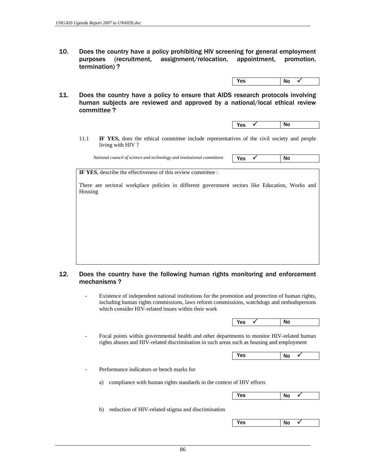10. Does the country have a policy prohibiting HIV screening for general employment purposes (recruitment, assignment/relocation, appointment, promotion, termination) ?

| Yes<br>No |
|-----------|
|-----------|

11. Does the country have a policy to ensure that AIDS research protocols involving human subjects are reviewed and approved by a national/local ethical review committee ?

| No | Yes<br>$\sim$ |  |
|----|---------------|--|
|    |               |  |

 11.1 **IF YES,** does the ethical committee include representatives of the civil society and people living with HIV ?

*National council of science and technology and institutional committees* **Yes Y** 

**IF YES**, describe the effectiveness of this review committee :

There are sectoral workplace policies in different government sectors like Education, Works and Housing

## 12. Does the country have the following human rights monitoring and enforcement mechanisms ?

 - Existence of independent national institutions for the promotion and protection of human rights, including human rights commissions, laws reform commissions, watchdogs and ombudspersons which consider HIV-related issues within their work

 $\sqrt{X}$   $\sqrt{X}$  No

 - Focal points within governmental health and other departments to monitor HIV-related human rights abuses and HIV-related discrimination in such areas such as housing and employment

 $Yes$  No  $\checkmark$ 

- Performance indicators or bench marks for

a) compliance with human rights standards in the context of HIV efforts

| Yes<br>No |
|-----------|
|-----------|

b) reduction of HIV-related stigma and discrimination

| Yes | No |  |
|-----|----|--|
|     |    |  |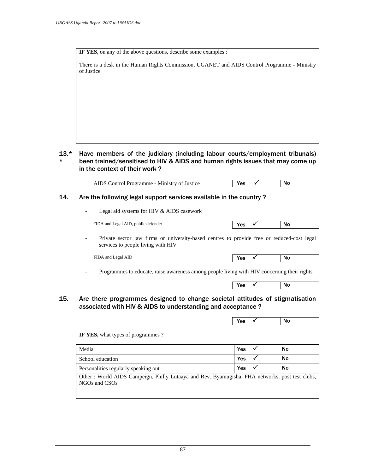**IF YES**, on any of the above questions, describe some examples :

There is a desk in the Human Rights Commission, UGANET and AIDS Control Programme - Ministry of Justice

#### 13.\* \* Have members of the judiciary (including labour courts/employment tribunals) been trained/sensitised to HIV & AIDS and human rights issues that may come up in the context of their work ?

| AIDS Control Programme - Ministry of Justice | <b>Yes</b> | No |  |
|----------------------------------------------|------------|----|--|
|----------------------------------------------|------------|----|--|

## 14. Are the following legal support services available in the country ?

Legal aid systems for HIV & AIDS casework

FIDA and Legal AID, public defender

| --<br>$\overline{\phantom{a}}$ | $\ddot{\phantom{0}}$ |
|--------------------------------|----------------------|
|                                |                      |

Private sector law firms or university-based centres to provide free or reduced-cost legal services to people living with HIV

FIDA and Legal AID

| $ -$ | $\cdot$ $\cdot$ |  |
|------|-----------------|--|
|      |                 |  |

- Programmes to educate, raise awareness among people living with HIV concerning their rights



## 15. Are there programmes designed to change societal attitudes of stigmatisation associated with HIV & AIDS to understanding and acceptance ?

 $\sqrt{X}$   $\sqrt{X}$  No

**IF YES,** what types of programmes ?

| Media                                | Yes | No |
|--------------------------------------|-----|----|
| School education                     | Yes | No |
| Personalities regularly speaking out | Yes | No |

Other : World AIDS Campeign, Philly Lutaaya and Rev. Byamugisha, PHA networks, post test clubs, NGOs and CSOs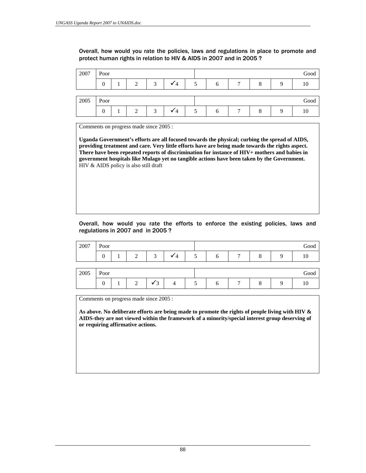Overall, how would you rate the policies, laws and regulations in place to promote and protect human rights in relation to HIV & AIDS in 2007 and in 2005 ?

| 2007 | Poor     |  |   |        |  |  |   |              | Good    |      |
|------|----------|--|---|--------|--|--|---|--------------|---------|------|
|      | $\theta$ |  | ◠ | $\sim$ |  |  | n | $\mathbf{r}$ | $\circ$ |      |
|      |          |  |   |        |  |  |   |              |         |      |
|      |          |  |   |        |  |  |   |              |         |      |
| 2005 | Poor     |  |   |        |  |  |   |              |         | Good |

Comments on progress made since 2005 :

**Uganda Government's efforts are all focused towards the physical; curbing the spread of AIDS, providing treatment and care. Very little efforts have are being made towards the rights aspect. There have been repeated reports of discrimination for instance of HIV+ mothers and babies in government hospitals like Mulago yet no tangible actions have been taken by the Government.**  HIV & AIDS policy is also still draft

## Overall, how would you rate the efforts to enforce the existing policies, laws and regulations in 2007 and in 2005 ?

| 2007 | Poor |  |   |          |   |  | Good |
|------|------|--|---|----------|---|--|------|
|      | 0    |  | ◠ | $\Delta$ | h |  | ١C   |
|      |      |  |   |          |   |  |      |
|      |      |  |   |          |   |  |      |
| 2005 | Poor |  |   |          |   |  | Good |

Comments on progress made since 2005 :

**As above. No deliberate efforts are being made to promote the rights of people living with HIV & AIDS-they are not viewed within the framework of a minority/special interest group deserving of or requiring affirmative actions.**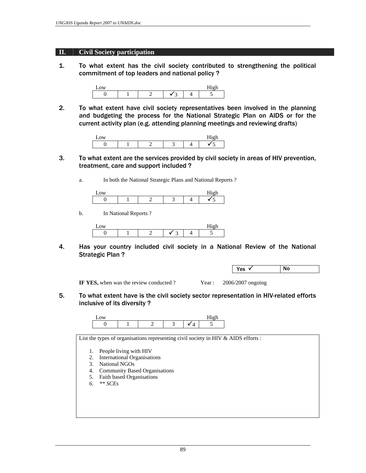## **II. Civil Society participation**

1. To what extent has the civil society contributed to strengthening the political commitment of top leaders and national policy ?



2. To what extent have civil society representatives been involved in the planning and budgeting the process for the National Strategic Plan on AIDS or for the current activity plan (e.g. attending planning meetings and reviewing drafts)

- 3. To what extent are the services provided by civil society in areas of HIV prevention, treatment, care and support included ?
	- a. In both the National Strategic Plans and National Reports ?

b. In National Reports ?



4. Has your country included civil society in a National Review of the National Strategic Plan ?

| N0<br>v.e<br>.<br>$ -$ |  |
|------------------------|--|
|------------------------|--|

**IF YES,** when was the review conducted ? Year : 2006/2007 ongoing

5. To what extent have is the civil society sector representation in HIV-related efforts inclusive of its diversity ?



List the types of organisations representing civil society in HIV & AIDS efforts :

- 1. People living with HIV
- 2. International Organisations
- 3. National NGOs
- 4. Community Based Organisations
- 5. Faith based Organisations
- *6. \*\* SCEs*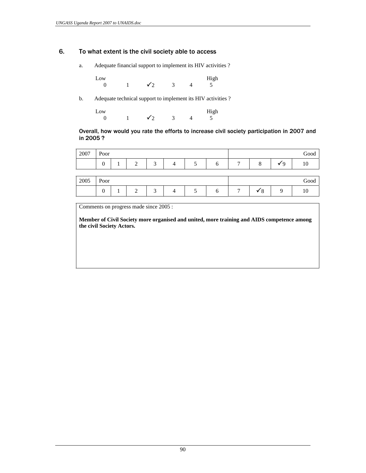## 6. To what extent is the civil society able to access

a. Adequate financial support to implement its HIV activities ?

Low High 0 1  $\sqrt{2}$  3 4 5

b. Adequate technical support to implement its HIV activities ?

Low High 0 1  $\sqrt{2}$  3 4 5

## Overall, how would you rate the efforts to increase civil society participation in 2007 and in 2005 ?

| 2007 | $\sim$<br>Poor  |             |        |  |   |   |   | Good   |   |    |
|------|-----------------|-------------|--------|--|---|---|---|--------|---|----|
|      | $\sqrt{2}$<br>U | $\sim$<br>, | ⌒<br>ັ |  | ◡ | ∼ | − | -<br>O | u | 10 |

| 2005 | $\sim$<br>Poor  |    |             |        |   |   |         | $_{\rm Good}$ |
|------|-----------------|----|-------------|--------|---|---|---------|---------------|
|      | $\sqrt{2}$<br>0 | л. | ∽<br>-<br>- | ∽<br>ັ | v | - | $\circ$ | T             |

Comments on progress made since 2005 :

**Member of Civil Society more organised and united, more training and AIDS competence among the civil Society Actors.**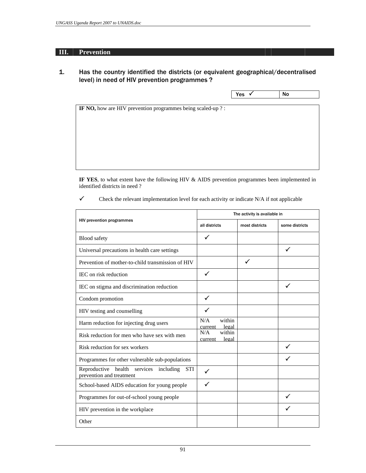## **III. Prevention**

1. Has the country identified the districts (or equivalent geographical/decentralised level) in need of HIV prevention programmes ?

| No | Yes<br>$\sim$ |
|----|---------------|
|    |               |

**IF NO,** how are HIV prevention programmes being scaled-up ? :

**IF YES**, to what extent have the following HIV & AIDS prevention programmes been implemented in identified districts in need ?

 $\checkmark$  Check the relevant implementation level for each activity or indicate N/A if not applicable

|                                                                                     | The activity is available in      |                |                |  |  |
|-------------------------------------------------------------------------------------|-----------------------------------|----------------|----------------|--|--|
| <b>HIV prevention programmes</b>                                                    | all districts                     | most districts | some districts |  |  |
| <b>Blood</b> safety                                                                 | ✓                                 |                |                |  |  |
| Universal precautions in health care settings                                       |                                   |                | $\checkmark$   |  |  |
| Prevention of mother-to-child transmission of HIV                                   |                                   | ✓              |                |  |  |
| IEC on risk reduction                                                               | $\checkmark$                      |                |                |  |  |
| IEC on stigma and discrimination reduction                                          |                                   |                |                |  |  |
| Condom promotion                                                                    | ✓                                 |                |                |  |  |
| HIV testing and counselling                                                         | ✓                                 |                |                |  |  |
| Harm reduction for injecting drug users                                             | within<br>N/A<br>legal<br>current |                |                |  |  |
| Risk reduction for men who have sex with men                                        | N/A<br>within<br>legal<br>current |                |                |  |  |
| Risk reduction for sex workers                                                      |                                   |                |                |  |  |
| Programmes for other vulnerable sub-populations                                     |                                   |                |                |  |  |
| Reproductive health services<br>including<br><b>STI</b><br>prevention and treatment | ✓                                 |                |                |  |  |
| School-based AIDS education for young people                                        | ✓                                 |                |                |  |  |
| Programmes for out-of-school young people                                           |                                   |                |                |  |  |
| HIV prevention in the workplace                                                     |                                   |                |                |  |  |
| Other                                                                               |                                   |                |                |  |  |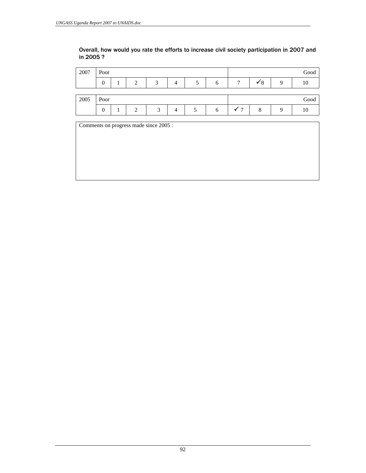# Overall, how would you rate the efforts to increase civil society participation in 2007 and in 2005 ?

| 2007 | Poor |  |  |     |   |  | Good |
|------|------|--|--|-----|---|--|------|
|      | 0    |  |  | - 1 | O |  |      |
|      |      |  |  |     |   |  |      |
|      |      |  |  |     |   |  |      |
| 2005 | Poor |  |  |     |   |  | Good |

Comments on progress made since 2005 :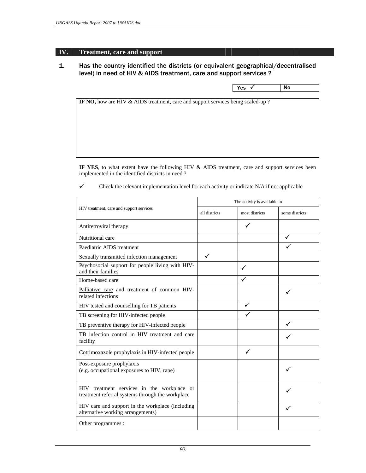# **IV. Treatment, care and support**

# 1. Has the country identified the districts (or equivalent geographical/decentralised level) in need of HIV & AIDS treatment, care and support services ?

| - 1 |     |           |
|-----|-----|-----------|
|     | Yes | <b>No</b> |

**IF NO,** how are HIV & AIDS treatment, care and support services being scaled-up ?

**IF YES**, to what extent have the following HIV & AIDS treatment, care and support services been implemented in the identified districts in need ?

 $\checkmark$  Check the relevant implementation level for each activity or indicate N/A if not applicable

|                                                                                                |               | The activity is available in |                |
|------------------------------------------------------------------------------------------------|---------------|------------------------------|----------------|
| HIV treatment, care and support services                                                       | all districts | most districts               | some districts |
| Antiretroviral therapy                                                                         |               | ✓                            |                |
| Nutritional care                                                                               |               |                              | ✓              |
| Paediatric AIDS treatment                                                                      |               |                              |                |
| Sexually transmitted infection management                                                      | $\checkmark$  |                              |                |
| Psychosocial support for people living with HIV-<br>and their families                         |               | ✓                            |                |
| Home-based care                                                                                |               |                              |                |
| Palliative care and treatment of common HIV-<br>related infections                             |               |                              |                |
| HIV tested and counselling for TB patients                                                     |               | ✓                            |                |
| TB screening for HIV-infected people                                                           |               |                              |                |
| TB preventive therapy for HIV-infected people                                                  |               |                              | ✓              |
| TB infection control in HIV treatment and care<br>facility                                     |               |                              |                |
| Cotrimoxazole prophylaxis in HIV-infected people                                               |               | ✓                            |                |
| Post-exposure prophylaxis<br>(e.g. occupational exposures to HIV, rape)                        |               |                              |                |
| HIV treatment services in the workplace or<br>treatment referral systems through the workplace |               |                              |                |
| HIV care and support in the workplace (including<br>alternative working arrangements)          |               |                              |                |
| Other programmes :                                                                             |               |                              |                |
|                                                                                                |               |                              |                |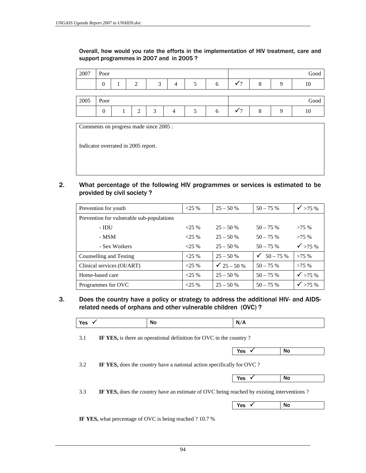Overall, how would you rate the efforts in the implementation of HIV treatment, care and support programmes in 2007 and in 2005 ?

| 2007 | Poor     |  |        |   |  |  | Good |
|------|----------|--|--------|---|--|--|------|
|      | $\theta$ |  | $\sim$ | 4 |  |  | 1U.  |
|      |          |  |        |   |  |  |      |
|      |          |  |        |   |  |  |      |
| 2005 | Poor     |  |        |   |  |  | Good |

Comments on progress made since 2005 :

Indicator overrated in 2005 report.

2. What percentage of the following HIV programmes or services is estimated to be provided by civil society ?

| Prevention for youth                      | $<$ 25 % | $25 - 50%$             | $50 - 75%$             | $\sqrt{}$ >75 %    |
|-------------------------------------------|----------|------------------------|------------------------|--------------------|
| Prevention for vulnerable sub-populations |          |                        |                        |                    |
| $-$ IDU                                   | $<25\%$  | $25 - 50%$             | $50 - 75%$             | $>75\%$            |
| - MSM                                     | $<25\%$  | $25 - 50%$             | $50 - 75%$             | >75%               |
| - Sex Workers                             | $<25\%$  | $25 - 50%$             | $50 - 75%$             | $\checkmark$ >75 % |
| Counselling and Testing                   | $<25\%$  | $25 - 50%$             | $\checkmark$ 50 – 75 % | $>75\%$            |
| Clinical services (OI/ART)                | $<25\%$  | $\checkmark$ 25 – 50 % | $50 - 75%$             | $>75\%$            |
| Home-based care                           | $<25\%$  | $25 - 50%$             | $50 - 75%$             | $\checkmark$ >75 % |
| Programmes for OVC                        | $<$ 25 % | $25 - 50%$             | $50 - 75%$             | $\checkmark$ >75 % |

3. Does the country have a policy or strategy to address the additional HIV- and AIDSrelated needs of orphans and other vulnerable children (OVC) ?

| Yes<br>and the control of the control of |
|------------------------------------------|
|------------------------------------------|

3.1 **IF YES,** is there an operational definition for OVC in the country ?



3.2 **IF YES,** does the country have a national action specifically for OVC ?

| いへへ         |             |  |
|-------------|-------------|--|
| .<br>ື້<br> | Νo<br><br>. |  |

3.3 **IF YES,** does the country have an estimate of OVC being reached by existing interventions ?

| <b>No</b><br>Yes<br>- 1 |
|-------------------------|
|-------------------------|

**IF YES,** what percentage of OVC is being reached ? 10.7 %